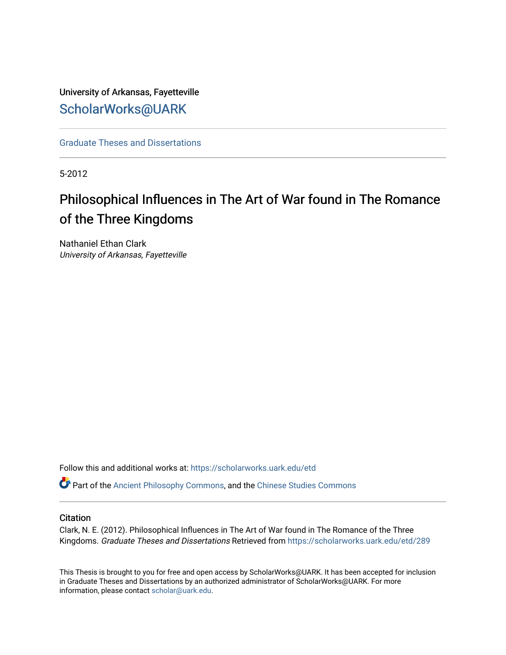University of Arkansas, Fayetteville [ScholarWorks@UARK](https://scholarworks.uark.edu/) 

[Graduate Theses and Dissertations](https://scholarworks.uark.edu/etd) 

5-2012

# Philosophical Influences in The Art of War found in The Romance of the Three Kingdoms

Nathaniel Ethan Clark University of Arkansas, Fayetteville

Follow this and additional works at: [https://scholarworks.uark.edu/etd](https://scholarworks.uark.edu/etd?utm_source=scholarworks.uark.edu%2Fetd%2F289&utm_medium=PDF&utm_campaign=PDFCoverPages)

Part of the [Ancient Philosophy Commons](http://network.bepress.com/hgg/discipline/448?utm_source=scholarworks.uark.edu%2Fetd%2F289&utm_medium=PDF&utm_campaign=PDFCoverPages), and the [Chinese Studies Commons](http://network.bepress.com/hgg/discipline/1081?utm_source=scholarworks.uark.edu%2Fetd%2F289&utm_medium=PDF&utm_campaign=PDFCoverPages)

#### **Citation**

Clark, N. E. (2012). Philosophical Influences in The Art of War found in The Romance of the Three Kingdoms. Graduate Theses and Dissertations Retrieved from [https://scholarworks.uark.edu/etd/289](https://scholarworks.uark.edu/etd/289?utm_source=scholarworks.uark.edu%2Fetd%2F289&utm_medium=PDF&utm_campaign=PDFCoverPages) 

This Thesis is brought to you for free and open access by ScholarWorks@UARK. It has been accepted for inclusion in Graduate Theses and Dissertations by an authorized administrator of ScholarWorks@UARK. For more information, please contact [scholar@uark.edu.](mailto:scholar@uark.edu)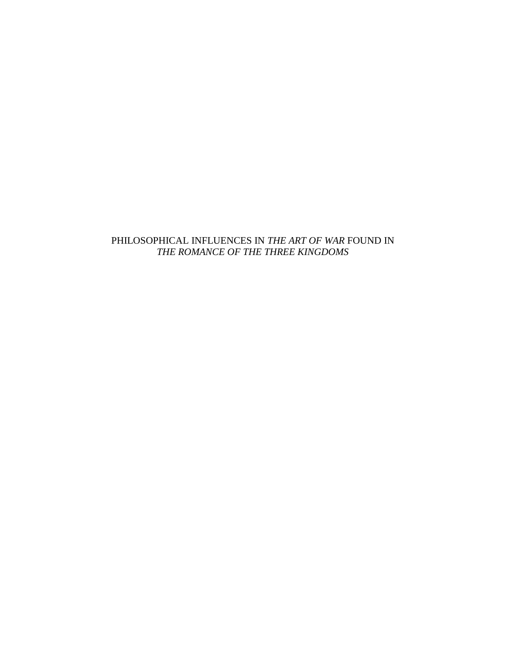### PHILOSOPHICAL INFLUENCES IN *THE ART OF WAR* FOUND IN *THE ROMANCE OF THE THREE KINGDOMS*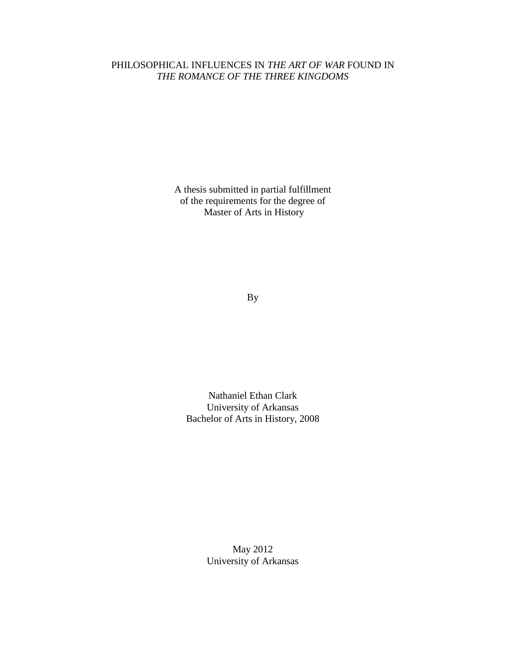### PHILOSOPHICAL INFLUENCES IN *THE ART OF WAR* FOUND IN *THE ROMANCE OF THE THREE KINGDOMS*

A thesis submitted in partial fulfillment of the requirements for the degree of Master of Arts in History

By

Nathaniel Ethan Clark University of Arkansas Bachelor of Arts in History, 2008

> May 2012 University of Arkansas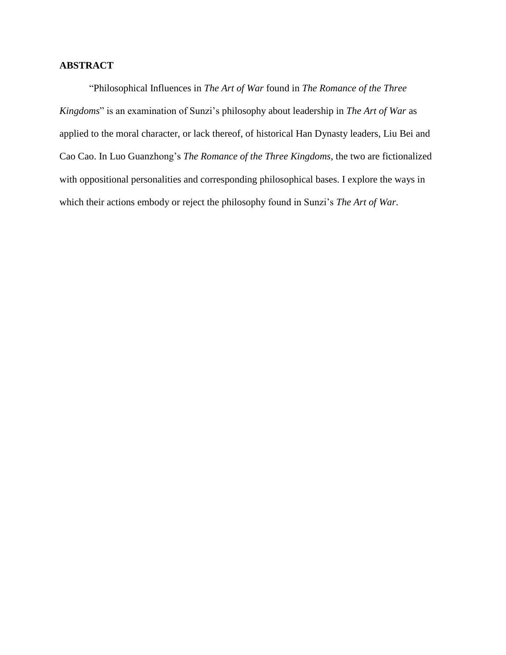### **ABSTRACT**

"Philosophical Influences in *The Art of War* found in *The Romance of the Three Kingdoms*" is an examination of Sunzi's philosophy about leadership in *The Art of War* as applied to the moral character, or lack thereof, of historical Han Dynasty leaders, Liu Bei and Cao Cao. In Luo Guanzhong's *The Romance of the Three Kingdoms*, the two are fictionalized with oppositional personalities and corresponding philosophical bases. I explore the ways in which their actions embody or reject the philosophy found in Sunzi's *The Art of War*.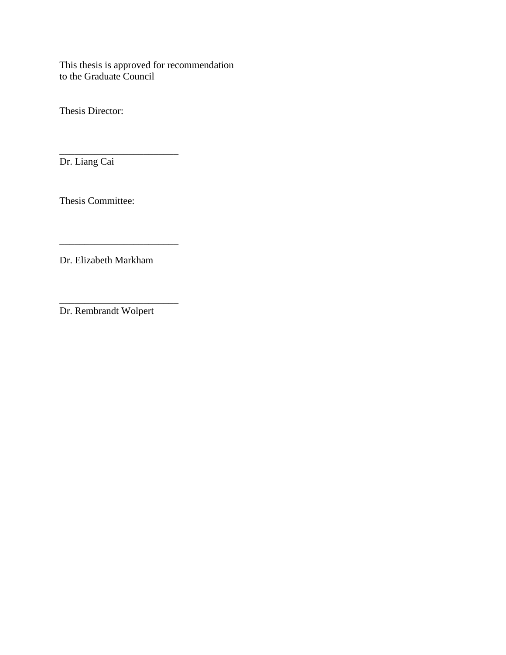This thesis is approved for recommendation to the Graduate Council

Thesis Director:

Dr. Liang Cai

Thesis Committee:

\_\_\_\_\_\_\_\_\_\_\_\_\_\_\_\_\_\_\_\_\_\_\_\_

Dr. Elizabeth Markham

\_\_\_\_\_\_\_\_\_\_\_\_\_\_\_\_\_\_\_\_\_\_\_\_

\_\_\_\_\_\_\_\_\_\_\_\_\_\_\_\_\_\_\_\_\_\_\_\_

Dr. Rembrandt Wolpert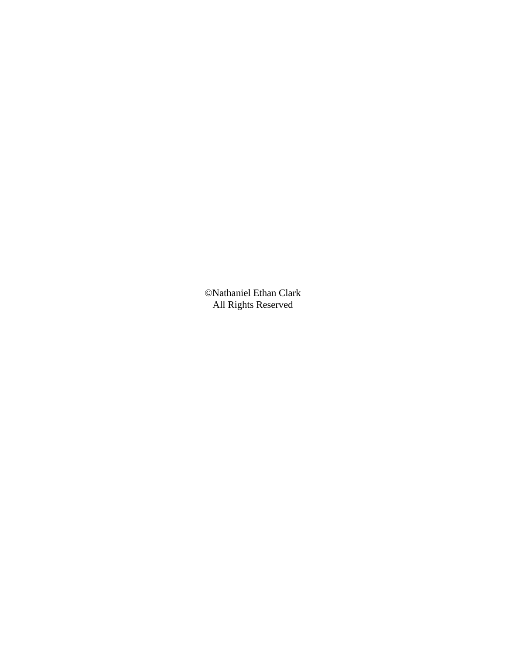©Nathaniel Ethan Clark All Rights Reserved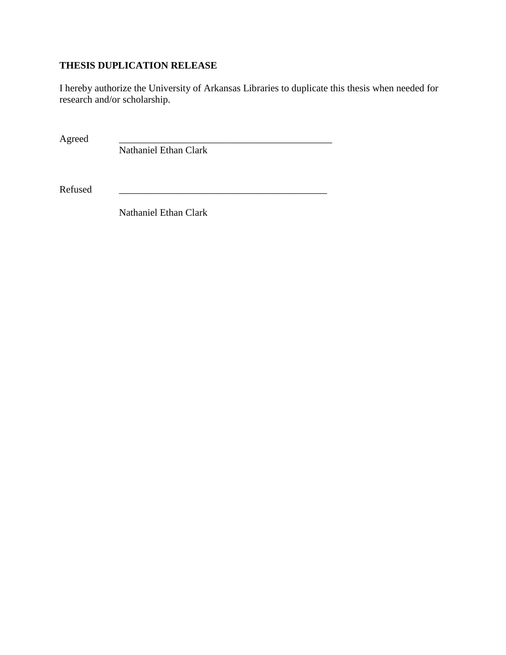# **THESIS DUPLICATION RELEASE**

I hereby authorize the University of Arkansas Libraries to duplicate this thesis when needed for research and/or scholarship.

Agreed

Nathaniel Ethan Clark

Refused

Nathaniel Ethan Clark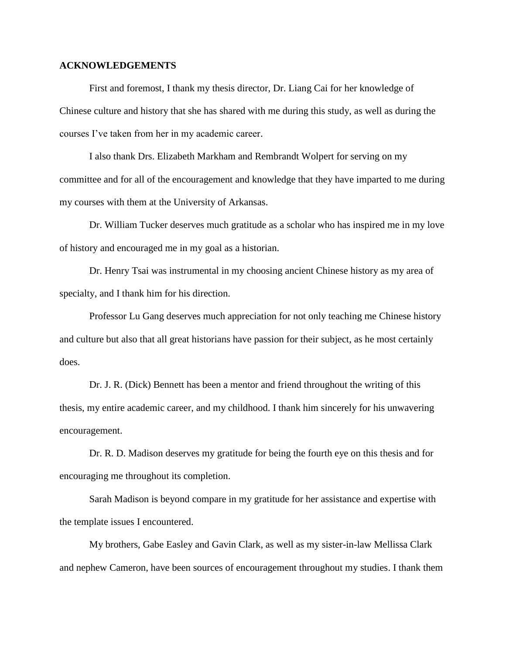#### **ACKNOWLEDGEMENTS**

First and foremost, I thank my thesis director, Dr. Liang Cai for her knowledge of Chinese culture and history that she has shared with me during this study, as well as during the courses I've taken from her in my academic career.

I also thank Drs. Elizabeth Markham and Rembrandt Wolpert for serving on my committee and for all of the encouragement and knowledge that they have imparted to me during my courses with them at the University of Arkansas.

Dr. William Tucker deserves much gratitude as a scholar who has inspired me in my love of history and encouraged me in my goal as a historian.

Dr. Henry Tsai was instrumental in my choosing ancient Chinese history as my area of specialty, and I thank him for his direction.

Professor Lu Gang deserves much appreciation for not only teaching me Chinese history and culture but also that all great historians have passion for their subject, as he most certainly does.

Dr. J. R. (Dick) Bennett has been a mentor and friend throughout the writing of this thesis, my entire academic career, and my childhood. I thank him sincerely for his unwavering encouragement.

Dr. R. D. Madison deserves my gratitude for being the fourth eye on this thesis and for encouraging me throughout its completion.

Sarah Madison is beyond compare in my gratitude for her assistance and expertise with the template issues I encountered.

My brothers, Gabe Easley and Gavin Clark, as well as my sister-in-law Mellissa Clark and nephew Cameron, have been sources of encouragement throughout my studies. I thank them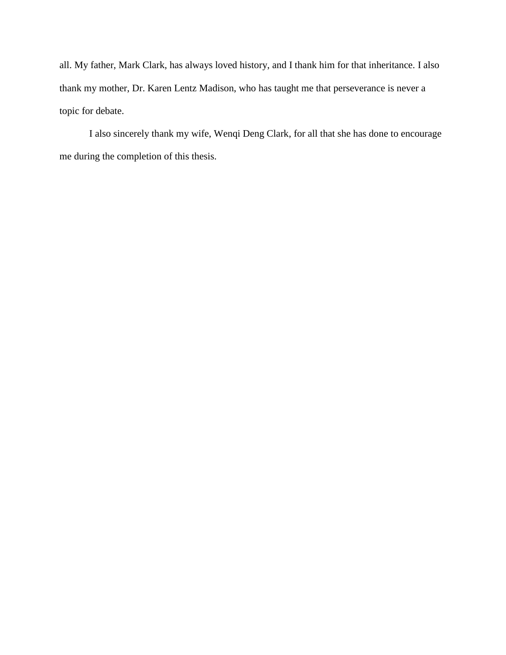all. My father, Mark Clark, has always loved history, and I thank him for that inheritance. I also thank my mother, Dr. Karen Lentz Madison, who has taught me that perseverance is never a topic for debate.

I also sincerely thank my wife, Wenqi Deng Clark, for all that she has done to encourage me during the completion of this thesis.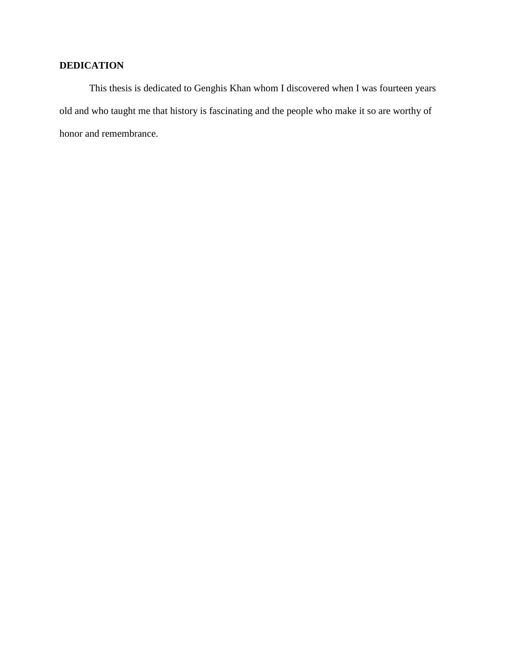## **DEDICATION**

This thesis is dedicated to Genghis Khan whom I discovered when I was fourteen years old and who taught me that history is fascinating and the people who make it so are worthy of honor and remembrance.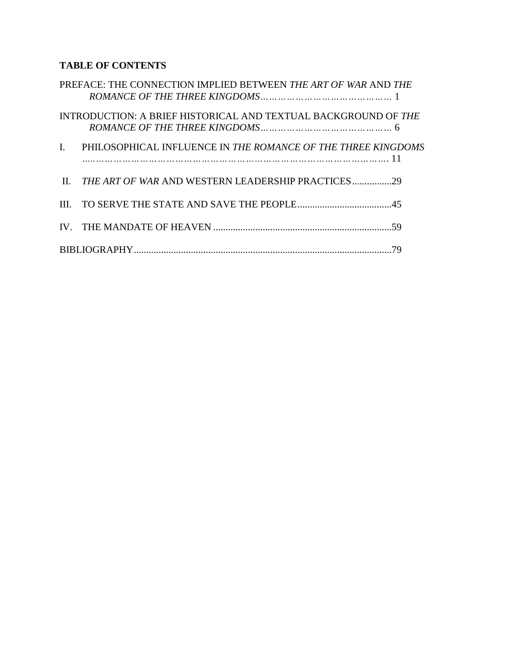# **TABLE OF CONTENTS**

|                | PREFACE: THE CONNECTION IMPLIED BETWEEN THE ART OF WAR AND THE     |  |
|----------------|--------------------------------------------------------------------|--|
|                | INTRODUCTION: A BRIEF HISTORICAL AND TEXTUAL BACKGROUND OF THE     |  |
| $\mathbf{I}$ . | PHILOSOPHICAL INFLUENCE IN THE ROMANCE OF THE THREE KINGDOMS<br>11 |  |
| $\mathbf{H}$   |                                                                    |  |
|                |                                                                    |  |
|                |                                                                    |  |
|                |                                                                    |  |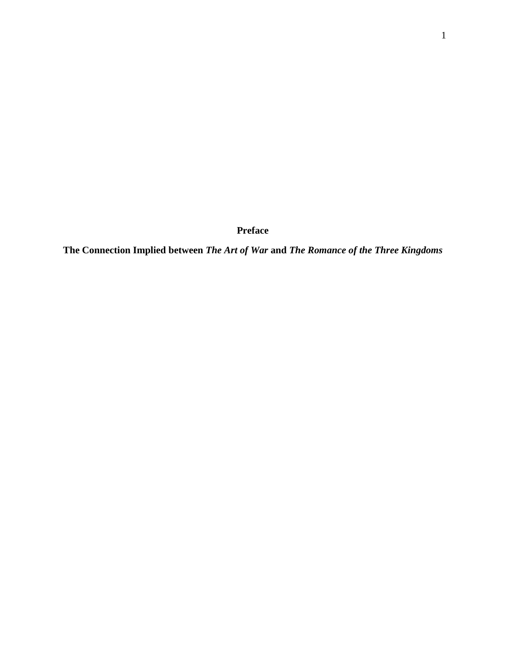**Preface**

**The Connection Implied between** *The Art of War* **and** *The Romance of the Three Kingdoms*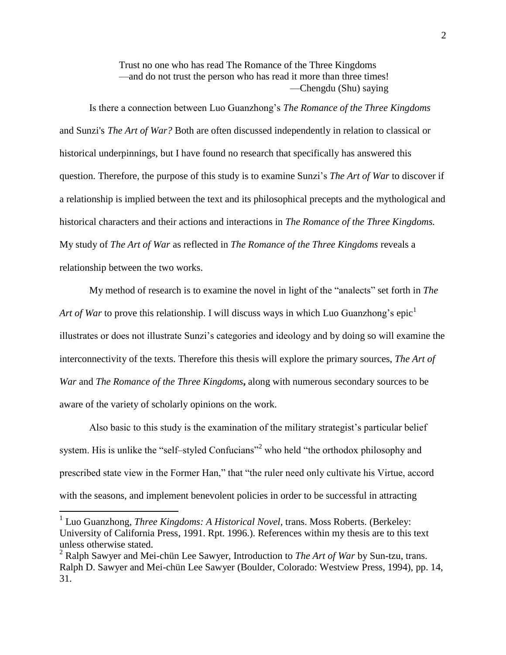Trust no one who has read The Romance of the Three Kingdoms —and do not trust the person who has read it more than three times! —Chengdu (Shu) saying

Is there a connection between Luo Guanzhong's *The Romance of the Three Kingdoms* and Sunzi's *The Art of War?* Both are often discussed independently in relation to classical or historical underpinnings, but I have found no research that specifically has answered this question. Therefore, the purpose of this study is to examine Sunzi's *The Art of War* to discover if a relationship is implied between the text and its philosophical precepts and the mythological and historical characters and their actions and interactions in *The Romance of the Three Kingdoms.* My study of *The Art of War* as reflected in *The Romance of the Three Kingdoms* reveals a relationship between the two works.

My method of research is to examine the novel in light of the "analects" set forth in *The Art of War* to prove this relationship. I will discuss ways in which Luo Guanzhong's epic<sup>1</sup> illustrates or does not illustrate Sunzi's categories and ideology and by doing so will examine the interconnectivity of the texts. Therefore this thesis will explore the primary sources, *The Art of War* and *The Romance of the Three Kingdoms***,** along with numerous secondary sources to be aware of the variety of scholarly opinions on the work.

Also basic to this study is the examination of the military strategist's particular belief system. His is unlike the "self-styled Confucians"<sup>2</sup> who held "the orthodox philosophy and prescribed state view in the Former Han," that "the ruler need only cultivate his Virtue, accord with the seasons, and implement benevolent policies in order to be successful in attracting

<sup>&</sup>lt;sup>1</sup> Luo Guanzhong, *Three Kingdoms: A Historical Novel*, trans. Moss Roberts. (Berkeley: University of California Press, 1991. Rpt. 1996.). References within my thesis are to this text unless otherwise stated.

<sup>2</sup> Ralph Sawyer and Mei-chün Lee Sawyer, Introduction to *The Art of War* by Sun-tzu, trans. Ralph D. Sawyer and Mei-chün Lee Sawyer (Boulder, Colorado: Westview Press, 1994), pp. 14, 31.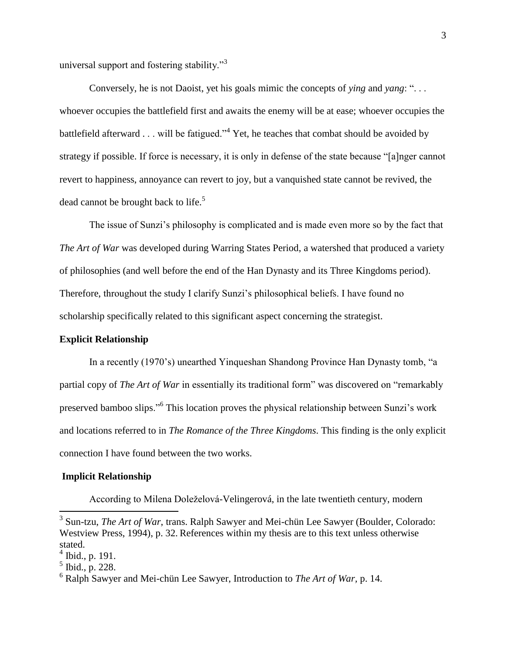universal support and fostering stability."<sup>3</sup>

Conversely, he is not Daoist, yet his goals mimic the concepts of *ying* and *yang*: ". . . whoever occupies the battlefield first and awaits the enemy will be at ease; whoever occupies the battlefield afterward . . . will be fatigued."<sup>4</sup> Yet, he teaches that combat should be avoided by strategy if possible. If force is necessary, it is only in defense of the state because "[a]nger cannot revert to happiness, annoyance can revert to joy, but a vanquished state cannot be revived, the dead cannot be brought back to life.<sup>5</sup>

The issue of Sunzi's philosophy is complicated and is made even more so by the fact that *The Art of War* was developed during Warring States Period, a watershed that produced a variety of philosophies (and well before the end of the Han Dynasty and its Three Kingdoms period). Therefore, throughout the study I clarify Sunzi's philosophical beliefs. I have found no scholarship specifically related to this significant aspect concerning the strategist.

#### **Explicit Relationship**

In a recently (1970's) unearthed Yinqueshan Shandong Province Han Dynasty tomb, "a partial copy of *The Art of War* in essentially its traditional form" was discovered on "remarkably preserved bamboo slips."<sup>6</sup> This location proves the physical relationship between Sunzi's work and locations referred to in *The Romance of the Three Kingdoms*. This finding is the only explicit connection I have found between the two works.

#### **Implicit Relationship**

According to Milena Doleželová-Velingerová, in the late twentieth century, modern

<sup>&</sup>lt;sup>3</sup> Sun-tzu, *The Art of War*, trans. Ralph Sawyer and Mei-chün Lee Sawyer (Boulder, Colorado: Westview Press, 1994), p. 32. References within my thesis are to this text unless otherwise stated.

<sup>4</sup> Ibid., p. 191.

<sup>5</sup> Ibid., p. 228.

<sup>6</sup> Ralph Sawyer and Mei-chün Lee Sawyer, Introduction to *The Art of War,* p. 14.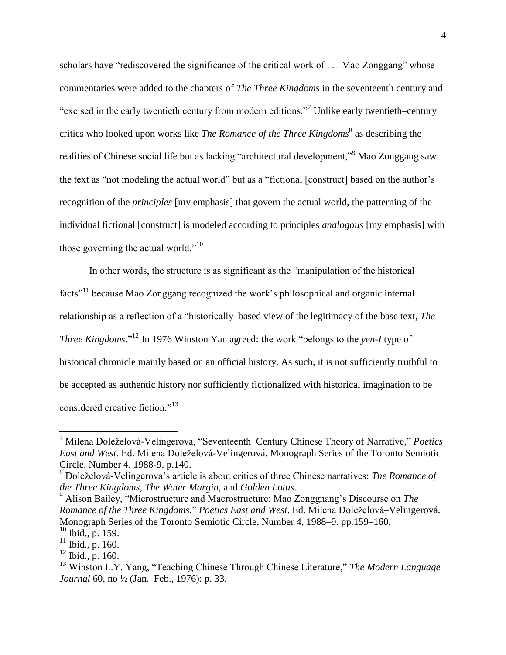scholars have "rediscovered the significance of the critical work of . . . Mao Zonggang" whose commentaries were added to the chapters of *The Three Kingdoms* in the seventeenth century and "excised in the early twentieth century from modern editions."<sup>7</sup> Unlike early twentieth-century critics who looked upon works like *The Romance of the Three Kingdoms*<sup>8</sup> as describing the realities of Chinese social life but as lacking "architectural development,"<sup>9</sup> Mao Zonggang saw the text as "not modeling the actual world" but as a "fictional [construct] based on the author's recognition of the *principles* [my emphasis] that govern the actual world, the patterning of the individual fictional [construct] is modeled according to principles *analogous* [my emphasis] with those governing the actual world."<sup>10</sup>

In other words, the structure is as significant as the "manipulation of the historical facts"<sup>11</sup> because Mao Zonggang recognized the work's philosophical and organic internal relationship as a reflection of a "historically-based view of the legitimacy of the base text, *The Three Kingdoms*."<sup>12</sup> In 1976 Winston Yan agreed: the work "belongs to the *yen-I* type of historical chronicle mainly based on an official history. As such, it is not sufficiently truthful to be accepted as authentic history nor sufficiently fictionalized with historical imagination to be considered creative fiction."<sup>13</sup>

<sup>7</sup> Milena Doleželová-Velingerová, "Seventeenth‒Century Chinese Theory of Narrative," *Poetics East and West*. Ed. Milena Doleželová-Velingerová. Monograph Series of the Toronto Semiotic Circle, Number 4, 1988-9. p.140.

<sup>8</sup> Doleželová-Velingerova's article is about critics of three Chinese narratives: *The Romance of the Three Kingdoms*, *The Water Margin*, and *Golden Lotus*.

<sup>9</sup> Alison Bailey, "Microstructure and Macrostructure: Mao Zonggnang's Discourse on *The Romance of the Three Kingdoms,*" *Poetics East and West*. Ed. Milena Doleželová–Velingerová. Monograph Series of the Toronto Semiotic Circle, Number 4, 1988–9. pp.159–160.

 $10$  Ibid., p. 159.

 $11$  Ibid., p. 160.

 $12$  Ibid., p. 160.

<sup>13</sup> Winston L.Y. Yang, "Teaching Chinese Through Chinese Literature," *The Modern Language Journal* 60, no <sup>1</sup>/<sub>2</sub> (Jan.–Feb., 1976): p. 33.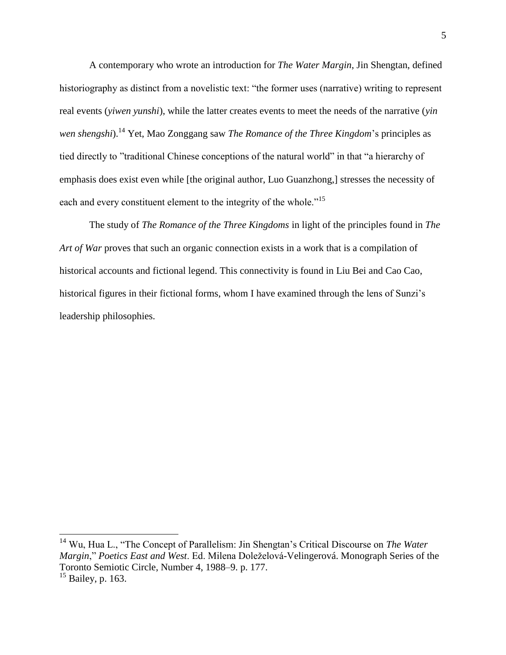A contemporary who wrote an introduction for *The Water Margin*, Jin Shengtan, defined historiography as distinct from a novelistic text: "the former uses (narrative) writing to represent real events (*yiwen yunshi*), while the latter creates events to meet the needs of the narrative (*yin wen shengshi*).<sup>14</sup> Yet, Mao Zonggang saw *The Romance of the Three Kingdom*'s principles as tied directly to "traditional Chinese conceptions of the natural world" in that "a hierarchy of emphasis does exist even while [the original author, Luo Guanzhong,] stresses the necessity of each and every constituent element to the integrity of the whole."<sup>15</sup>

The study of *The Romance of the Three Kingdoms* in light of the principles found in *The Art of War* proves that such an organic connection exists in a work that is a compilation of historical accounts and fictional legend. This connectivity is found in Liu Bei and Cao Cao, historical figures in their fictional forms, whom I have examined through the lens of Sunzi's leadership philosophies.

l

<sup>14</sup> Wu, Hua L., "The Concept of Parallelism: Jin Shengtan's Critical Discourse on *The Water Margin*," *Poetics East and West*. Ed. Milena Doleželová-Velingerová. Monograph Series of the Toronto Semiotic Circle, Number 4, 1988–9. p. 177.

 $15$  Bailey, p. 163.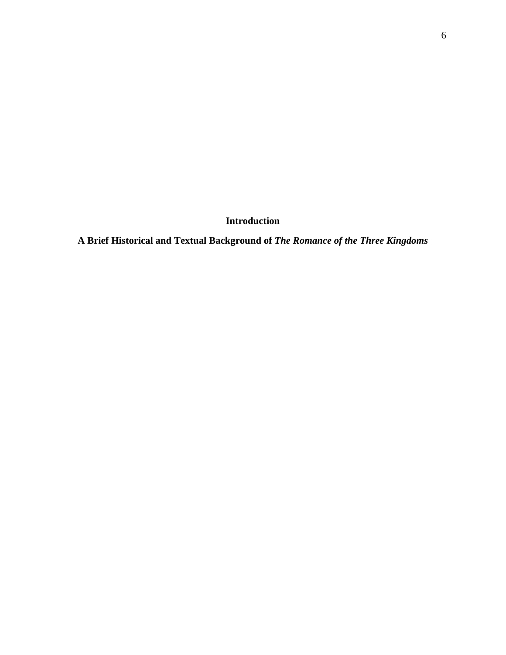**Introduction**

**A Brief Historical and Textual Background of** *The Romance of the Three Kingdoms*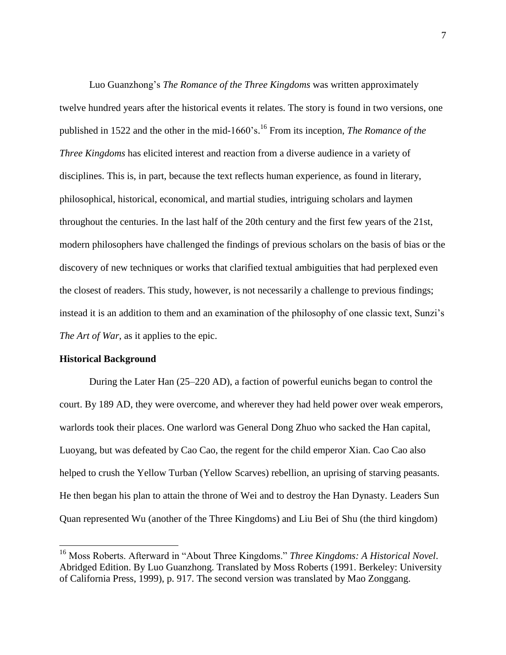Luo Guanzhong's *The Romance of the Three Kingdoms* was written approximately twelve hundred years after the historical events it relates. The story is found in two versions, one published in 1522 and the other in the mid-1660's. <sup>16</sup> From its inception, *The Romance of the Three Kingdoms* has elicited interest and reaction from a diverse audience in a variety of disciplines. This is, in part, because the text reflects human experience, as found in literary, philosophical, historical, economical, and martial studies, intriguing scholars and laymen throughout the centuries. In the last half of the 20th century and the first few years of the 21st, modern philosophers have challenged the findings of previous scholars on the basis of bias or the discovery of new techniques or works that clarified textual ambiguities that had perplexed even the closest of readers. This study, however, is not necessarily a challenge to previous findings; instead it is an addition to them and an examination of the philosophy of one classic text, Sunzi's *The Art of War*, as it applies to the epic.

#### **Historical Background**

 $\overline{a}$ 

During the Later Han (25–220 AD), a faction of powerful eunichs began to control the court. By 189 AD, they were overcome, and wherever they had held power over weak emperors, warlords took their places. One warlord was General Dong Zhuo who sacked the Han capital, Luoyang, but was defeated by Cao Cao, the regent for the child emperor Xian. Cao Cao also helped to crush the Yellow Turban (Yellow Scarves) rebellion, an uprising of starving peasants. He then began his plan to attain the throne of Wei and to destroy the Han Dynasty. Leaders Sun Quan represented Wu (another of the Three Kingdoms) and Liu Bei of Shu (the third kingdom)

<sup>16</sup> Moss Roberts. Afterward in "About Three Kingdoms." *Three Kingdoms: A Historical Novel*. Abridged Edition. By Luo Guanzhong. Translated by Moss Roberts (1991. Berkeley: University of California Press, 1999), p. 917. The second version was translated by Mao Zonggang.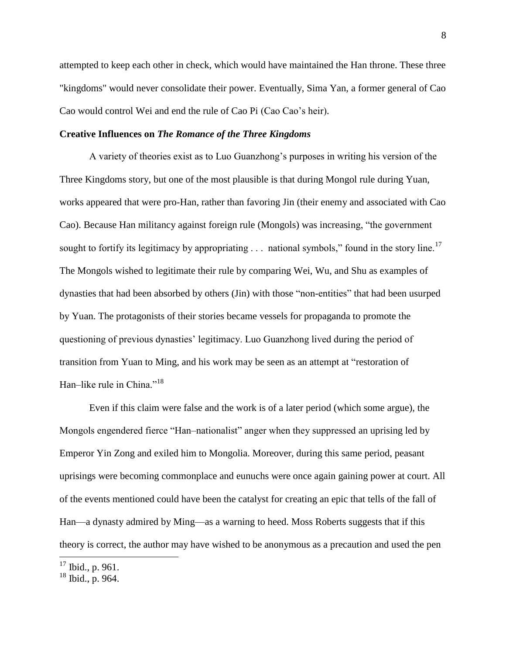attempted to keep each other in check, which would have maintained the Han throne. These three "kingdoms" would never consolidate their power. Eventually, Sima Yan, a former general of Cao Cao would control Wei and end the rule of Cao Pi (Cao Cao's heir).

#### **Creative Influences on** *The Romance of the Three Kingdoms*

A variety of theories exist as to Luo Guanzhong's purposes in writing his version of the Three Kingdoms story, but one of the most plausible is that during Mongol rule during Yuan, works appeared that were pro-Han, rather than favoring Jin (their enemy and associated with Cao Cao). Because Han militancy against foreign rule (Mongols) was increasing, "the government sought to fortify its legitimacy by appropriating  $\ldots$  national symbols," found in the story line.<sup>17</sup> The Mongols wished to legitimate their rule by comparing Wei, Wu, and Shu as examples of dynasties that had been absorbed by others (Jin) with those "non-entities" that had been usurped by Yuan. The protagonists of their stories became vessels for propaganda to promote the questioning of previous dynasties' legitimacy. Luo Guanzhong lived during the period of transition from Yuan to Ming, and his work may be seen as an attempt at "restoration of Han-like rule in China."<sup>18</sup>

Even if this claim were false and the work is of a later period (which some argue), the Mongols engendered fierce "Han-nationalist" anger when they suppressed an uprising led by Emperor Yin Zong and exiled him to Mongolia. Moreover, during this same period, peasant uprisings were becoming commonplace and eunuchs were once again gaining power at court. All of the events mentioned could have been the catalyst for creating an epic that tells of the fall of Han—a dynasty admired by Ming—as a warning to heed. Moss Roberts suggests that if this theory is correct, the author may have wished to be anonymous as a precaution and used the pen

 $17$  Ibid., p. 961.

 $18$  Ibid., p. 964.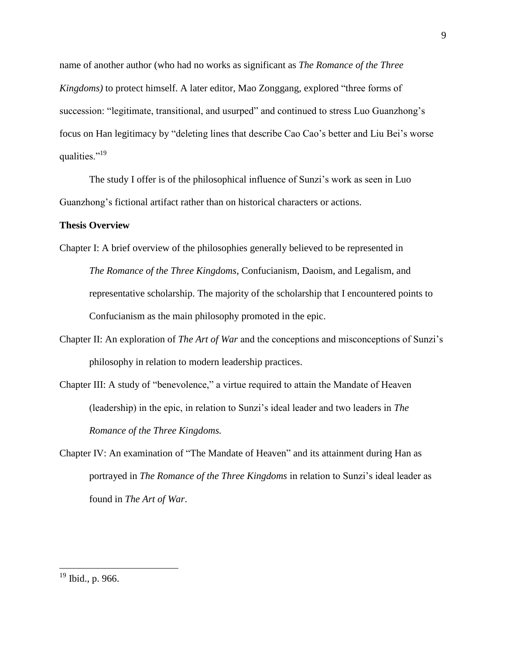name of another author (who had no works as significant as *The Romance of the Three Kingdoms)* to protect himself. A later editor, Mao Zonggang, explored "three forms of succession: "legitimate, transitional, and usurped" and continued to stress Luo Guanzhong's focus on Han legitimacy by "deleting lines that describe Cao Cao's better and Liu Bei's worse qualities."<sup>19</sup>

The study I offer is of the philosophical influence of Sunzi's work as seen in Luo Guanzhong's fictional artifact rather than on historical characters or actions.

#### **Thesis Overview**

- Chapter I: A brief overview of the philosophies generally believed to be represented in *The Romance of the Three Kingdoms*, Confucianism, Daoism, and Legalism, and representative scholarship. The majority of the scholarship that I encountered points to Confucianism as the main philosophy promoted in the epic.
- Chapter II: An exploration of *The Art of War* and the conceptions and misconceptions of Sunzi's philosophy in relation to modern leadership practices.
- Chapter III: A study of "benevolence," a virtue required to attain the Mandate of Heaven (leadership) in the epic, in relation to Sunzi's ideal leader and two leaders in *The Romance of the Three Kingdoms.*
- Chapter IV: An examination of "The Mandate of Heaven" and its attainment during Han as portrayed in *The Romance of the Three Kingdoms* in relation to Sunzi's ideal leader as found in *The Art of War*.

 $19$  Ibid., p. 966.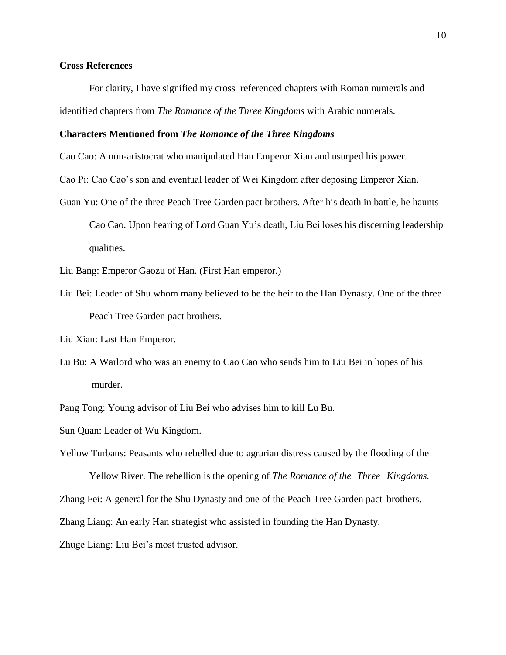#### **Cross References**

For clarity, I have signified my cross–referenced chapters with Roman numerals and identified chapters from *The Romance of the Three Kingdoms* with Arabic numerals.

#### **Characters Mentioned from** *The Romance of the Three Kingdoms*

Cao Cao: A non-aristocrat who manipulated Han Emperor Xian and usurped his power.

Cao Pi: Cao Cao's son and eventual leader of Wei Kingdom after deposing Emperor Xian.

Guan Yu: One of the three Peach Tree Garden pact brothers. After his death in battle, he haunts Cao Cao. Upon hearing of Lord Guan Yu's death, Liu Bei loses his discerning leadership qualities.

Liu Bang: Emperor Gaozu of Han. (First Han emperor.)

Liu Bei: Leader of Shu whom many believed to be the heir to the Han Dynasty. One of the three Peach Tree Garden pact brothers.

Liu Xian: Last Han Emperor.

Lu Bu: A Warlord who was an enemy to Cao Cao who sends him to Liu Bei in hopes of his murder.

Pang Tong: Young advisor of Liu Bei who advises him to kill Lu Bu.

Sun Quan: Leader of Wu Kingdom.

Yellow Turbans: Peasants who rebelled due to agrarian distress caused by the flooding of the

Yellow River. The rebellion is the opening of *The Romance of the Three Kingdoms.*

Zhang Fei: A general for the Shu Dynasty and one of the Peach Tree Garden pact brothers.

Zhang Liang: An early Han strategist who assisted in founding the Han Dynasty.

Zhuge Liang: Liu Bei's most trusted advisor.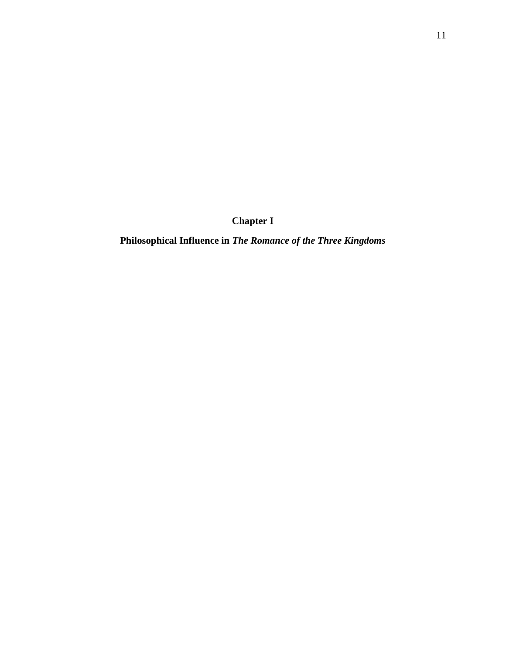**Chapter I**

**Philosophical Influence in** *The Romance of the Three Kingdoms*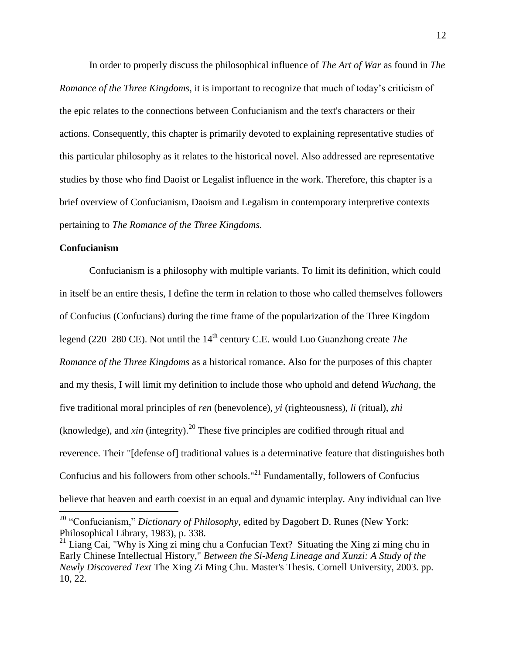In order to properly discuss the philosophical influence of *The Art of War* as found in *The Romance of the Three Kingdoms*, it is important to recognize that much of today's criticism of the epic relates to the connections between Confucianism and the text's characters or their actions. Consequently, this chapter is primarily devoted to explaining representative studies of this particular philosophy as it relates to the historical novel. Also addressed are representative studies by those who find Daoist or Legalist influence in the work. Therefore, this chapter is a brief overview of Confucianism, Daoism and Legalism in contemporary interpretive contexts pertaining to *The Romance of the Three Kingdoms.*

#### **Confucianism**

 $\overline{\phantom{a}}$ 

Confucianism is a philosophy with multiple variants. To limit its definition, which could in itself be an entire thesis, I define the term in relation to those who called themselves followers of Confucius (Confucians) during the time frame of the popularization of the Three Kingdom legend (220–280 CE). Not until the 14<sup>th</sup> century C.E. would Luo Guanzhong create *The Romance of the Three Kingdoms* as a historical romance. Also for the purposes of this chapter and my thesis, I will limit my definition to include those who uphold and defend *Wuchang,* the five traditional moral principles of *ren* (benevolence), *yi* (righteousness), *[li](http://en.wikipedia.org/wiki/Li_%28Confucianism%29)* (ritual), *zhi* (knowledge), and *xin* (integrity).<sup>20</sup> These five principles are codified through ritual and reverence. Their "[defense of] traditional values is a determinative feature that distinguishes both Confucius and his followers from other schools."<sup>21</sup> Fundamentally, followers of Confucius believe that heaven and earth coexist in an equal and dynamic interplay. Any individual can live

<sup>20</sup> "Confucianism," *Dictionary of Philosophy*, edited by Dagobert D. Runes (New York: Philosophical Library, 1983), p. 338.

<sup>&</sup>lt;sup>21</sup> Liang Cai, "Why is Xing zi ming chu a Confucian Text? Situating the Xing zi ming chu in Early Chinese Intellectual History," *Between the Si-Meng Lineage and Xunzi: A Study of the Newly Discovered Text* The Xing Zi Ming Chu. Master's Thesis. Cornell University, 2003. pp. 10, 22.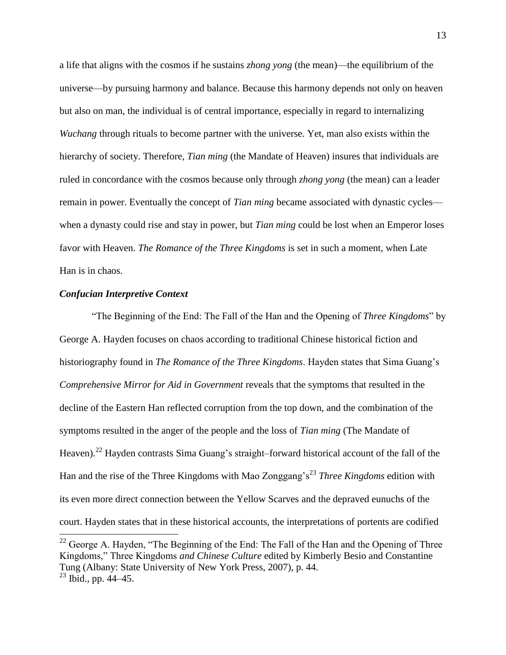a life that aligns with the cosmos if he sustains *zhong yong* (the mean)—the equilibrium of the universe—by pursuing harmony and balance. Because this harmony depends not only on heaven but also on man, the individual is of central importance, especially in regard to internalizing *Wuchang* through rituals to become partner with the universe. Yet, man also exists within the hierarchy of society. Therefore, *Tian ming* (the Mandate of Heaven) insures that individuals are ruled in concordance with the cosmos because only through *zhong yong* (the mean) can a leader remain in power. Eventually the concept of *Tian ming* became associated with dynastic cycles when a dynasty could rise and stay in power, but *Tian ming* could be lost when an Emperor loses favor with Heaven. *The Romance of the Three Kingdoms* is set in such a moment, when Late Han is in chaos.

#### *Confucian Interpretive Context*

"The Beginning of the End: The Fall of the Han and the Opening of *Three Kingdoms*" by George A. Hayden focuses on chaos according to traditional Chinese historical fiction and historiography found in *The Romance of the Three Kingdoms*. Hayden states that Sima Guang's *Comprehensive Mirror for Aid in Government* reveals that the symptoms that resulted in the decline of the Eastern Han reflected corruption from the top down, and the combination of the symptoms resulted in the anger of the people and the loss of *Tian ming* (The Mandate of Heaven).<sup>22</sup> Hayden contrasts Sima Guang's straight–forward historical account of the fall of the Han and the rise of the Three Kingdoms with Mao Zonggang's<sup>23</sup> *Three Kingdoms* edition with its even more direct connection between the Yellow Scarves and the depraved eunuchs of the court. Hayden states that in these historical accounts, the interpretations of portents are codified l

<sup>&</sup>lt;sup>22</sup> George A. Hayden, "The Beginning of the End: The Fall of the Han and the Opening of Three Kingdoms," Three Kingdoms *and Chinese Culture* edited by Kimberly Besio and Constantine Tung (Albany: State University of New York Press, 2007), p. 44.  $^{23}$  Ibid., pp. 44–45.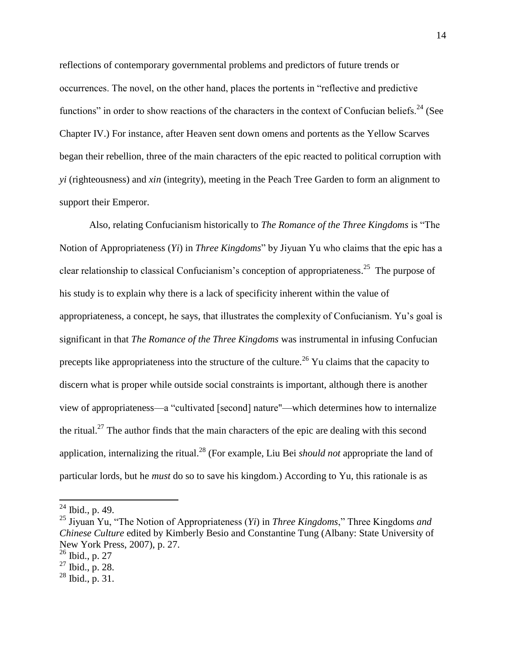reflections of contemporary governmental problems and predictors of future trends or occurrences. The novel, on the other hand, places the portents in "reflective and predictive functions" in order to show reactions of the characters in the context of Confucian beliefs.<sup>24</sup> (See Chapter IV.) For instance, after Heaven sent down omens and portents as the Yellow Scarves began their rebellion, three of the main characters of the epic reacted to political corruption with *yi* (righteousness) and *xin* (integrity), meeting in the Peach Tree Garden to form an alignment to support their Emperor.

Also, relating Confucianism historically to *The Romance of the Three Kingdoms* is "The Notion of Appropriateness (*Yi*) in *Three Kingdoms*" by Jiyuan Yu who claims that the epic has a clear relationship to classical Confucianism's conception of appropriateness.<sup>25</sup> The purpose of his study is to explain why there is a lack of specificity inherent within the value of appropriateness, a concept, he says, that illustrates the complexity of Confucianism. Yu's goal is significant in that *The Romance of the Three Kingdoms* was instrumental in infusing Confucian precepts like appropriateness into the structure of the culture.<sup>26</sup> Yu claims that the capacity to discern what is proper while outside social constraints is important, although there is another view of appropriateness—a "cultivated [second] nature"—which determines how to internalize the ritual.<sup>27</sup> The author finds that the main characters of the epic are dealing with this second application, internalizing the ritual.<sup>28</sup> (For example, Liu Bei *should not* appropriate the land of particular lords, but he *must* do so to save his kingdom.) According to Yu, this rationale is as

 $^{24}$  Ibid., p. 49.

<sup>25</sup> Jiyuan Yu, "The Notion of Appropriateness (*Yi*) in *Three Kingdoms*," Three Kingdoms *and Chinese Culture* edited by Kimberly Besio and Constantine Tung (Albany: State University of New York Press, 2007), p. 27.

<sup>26</sup> Ibid., p. 27

<sup>27</sup> Ibid., p. 28.

 $^{28}$  Ibid., p. 31.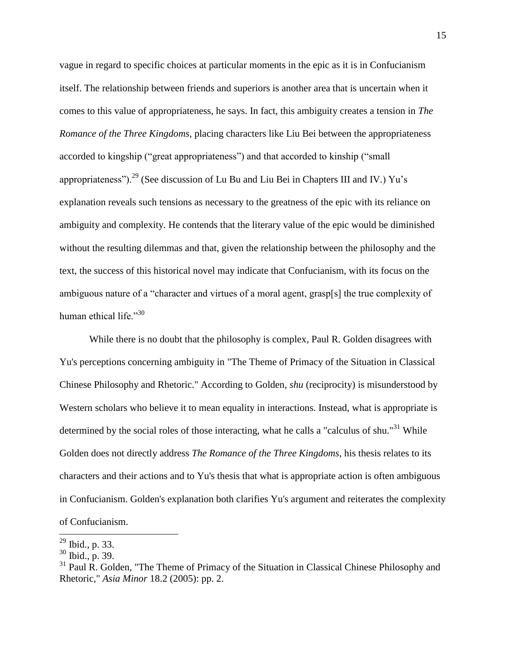vague in regard to specific choices at particular moments in the epic as it is in Confucianism itself. The relationship between friends and superiors is another area that is uncertain when it comes to this value of appropriateness, he says. In fact, this ambiguity creates a tension in *The Romance of the Three Kingdoms*, placing characters like Liu Bei between the appropriateness accorded to kingship ("great appropriateness") and that accorded to kinship ("small appropriateness").<sup>29</sup> (See discussion of Lu Bu and Liu Bei in Chapters III and IV.) Yu's explanation reveals such tensions as necessary to the greatness of the epic with its reliance on ambiguity and complexity. He contends that the literary value of the epic would be diminished without the resulting dilemmas and that, given the relationship between the philosophy and the text, the success of this historical novel may indicate that Confucianism, with its focus on the ambiguous nature of a "character and virtues of a moral agent, grasp[s] the true complexity of human ethical life."<sup>30</sup>

While there is no doubt that the philosophy is complex, Paul R. Golden disagrees with Yu's perceptions concerning ambiguity in "The Theme of Primacy of the Situation in Classical Chinese Philosophy and Rhetoric." According to Golden, *shu* (reciprocity) is misunderstood by Western scholars who believe it to mean equality in interactions. Instead, what is appropriate is determined by the social roles of those interacting, what he calls a "calculus of shu."<sup>31</sup> While Golden does not directly address *The Romance of the Three Kingdoms*, his thesis relates to its characters and their actions and to Yu's thesis that what is appropriate action is often ambiguous in Confucianism. Golden's explanation both clarifies Yu's argument and reiterates the complexity of Confucianism.

l  $^{29}$  Ibid., p. 33.

<sup>30</sup> Ibid., p. 39.

 $31$  Paul R. Golden, "The Theme of Primacy of the Situation in Classical Chinese Philosophy and Rhetoric," *Asia Minor* 18.2 (2005): pp. 2.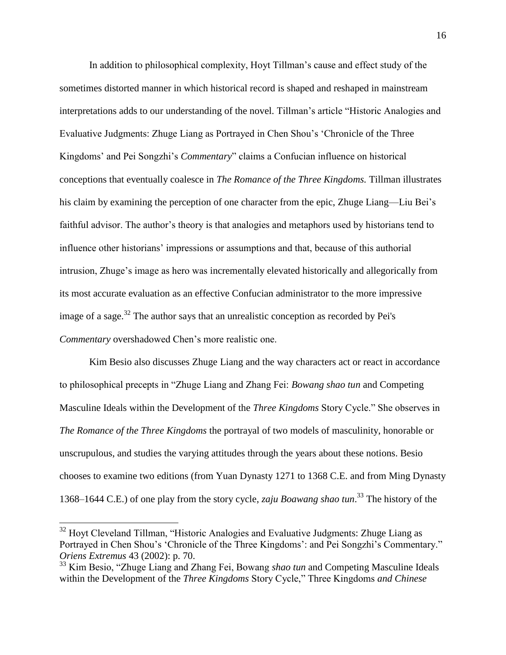In addition to philosophical complexity, Hoyt Tillman's cause and effect study of the sometimes distorted manner in which historical record is shaped and reshaped in mainstream interpretations adds to our understanding of the novel. Tillman's article "Historic Analogies and Evaluative Judgments: Zhuge Liang as Portrayed in Chen Shou's 'Chronicle of the Three Kingdoms' and Pei Songzhi's *Commentary*" claims a Confucian influence on historical conceptions that eventually coalesce in *The Romance of the Three Kingdoms.* Tillman illustrates his claim by examining the perception of one character from the epic, Zhuge Liang—Liu Bei's faithful advisor. The author's theory is that analogies and metaphors used by historians tend to influence other historians' impressions or assumptions and that, because of this authorial intrusion, Zhuge's image as hero was incrementally elevated historically and allegorically from its most accurate evaluation as an effective Confucian administrator to the more impressive image of a sage.<sup>32</sup> The author says that an unrealistic conception as recorded by Pei's *Commentary* overshadowed Chen's more realistic one.

Kim Besio also discusses Zhuge Liang and the way characters act or react in accordance to philosophical precepts in "Zhuge Liang and Zhang Fei: *Bowang shao tun* and Competing Masculine Ideals within the Development of the *Three Kingdoms* Story Cycle." She observes in *The Romance of the Three Kingdoms* the portrayal of two models of masculinity, honorable or unscrupulous, and studies the varying attitudes through the years about these notions. Besio chooses to examine two editions (from Yuan Dynasty 1271 to 1368 C.E. and from Ming Dynasty 1368‒1644 C.E.) of one play from the story cycle, *zaju Boawang shao tun*. <sup>33</sup> The history of the

 $32$  Hoyt Cleveland Tillman, "Historic Analogies and Evaluative Judgments: Zhuge Liang as Portrayed in Chen Shou's 'Chronicle of the Three Kingdoms': and Pei Songzhi's Commentary." *Oriens Extremus* 43 (2002): p. 70.

<sup>33</sup> Kim Besio, "Zhuge Liang and Zhang Fei, Bowang *shao tun* and Competing Masculine Ideals within the Development of the *Three Kingdoms* Story Cycle," Three Kingdoms *and Chinese*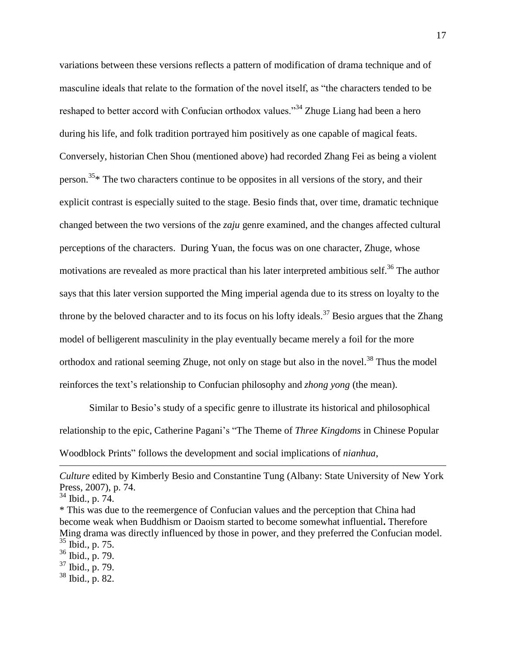variations between these versions reflects a pattern of modification of drama technique and of masculine ideals that relate to the formation of the novel itself, as "the characters tended to be reshaped to better accord with Confucian orthodox values.<sup>34</sup> Zhuge Liang had been a hero during his life, and folk tradition portrayed him positively as one capable of magical feats. Conversely, historian Chen Shou (mentioned above) had recorded Zhang Fei as being a violent person.<sup>35\*</sup> The two characters continue to be opposites in all versions of the story, and their explicit contrast is especially suited to the stage. Besio finds that, over time, dramatic technique changed between the two versions of the *zaju* genre examined, and the changes affected cultural perceptions of the characters. During Yuan, the focus was on one character, Zhuge, whose motivations are revealed as more practical than his later interpreted ambitious self.<sup>36</sup> The author says that this later version supported the Ming imperial agenda due to its stress on loyalty to the throne by the beloved character and to its focus on his lofty ideals.<sup>37</sup> Besio argues that the Zhang model of belligerent masculinity in the play eventually became merely a foil for the more orthodox and rational seeming Zhuge, not only on stage but also in the novel.<sup>38</sup> Thus the model reinforces the text's relationship to Confucian philosophy and *zhong yong* (the mean).

Similar to Besio's study of a specific genre to illustrate its historical and philosophical relationship to the epic, Catherine Pagani's "The Theme of *Three Kingdoms* in Chinese Popular Woodblock Prints" follows the development and social implications of *nianhua*,

l

*Culture* edited by Kimberly Besio and Constantine Tung (Albany: State University of New York Press, 2007), p. 74.

 $34$  Ibid., p. 74.

<sup>\*</sup> This was due to the reemergence of Confucian values and the perception that China had become weak when Buddhism or Daoism started to become somewhat influential**.** Therefore Ming drama was directly influenced by those in power, and they preferred the Confucian model.  $35$  Ibid., p. 75.

 $36$  Ibid., p. 79.

 $37$  Ibid., p. 79.

<sup>38</sup> Ibid., p. 82.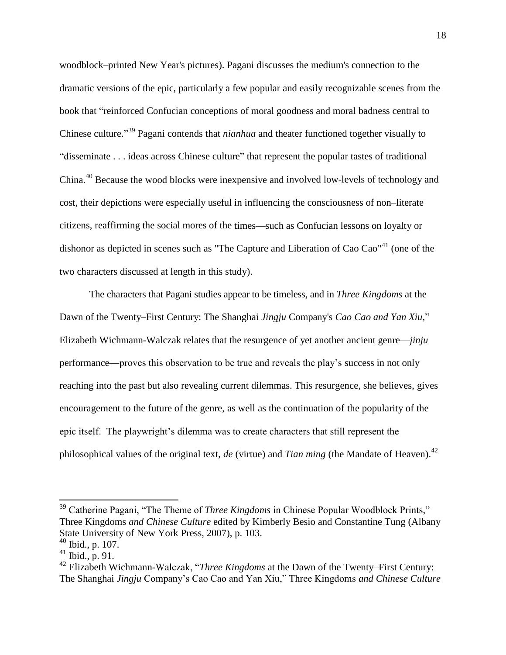woodblock‒printed New Year's pictures). Pagani discusses the medium's connection to the dramatic versions of the epic, particularly a few popular and easily recognizable scenes from the book that "reinforced Confucian conceptions of moral goodness and moral badness central to Chinese culture." <sup>39</sup> Pagani contends that *nianhua* and theater functioned together visually to "disseminate . . . ideas across Chinese culture" that represent the popular tastes of traditional China.<sup>40</sup> Because the wood blocks were inexpensive and involved low-levels of technology and cost, their depictions were especially useful in influencing the consciousness of non-literate citizens, reaffirming the social mores of the times—such as Confucian lessons on loyalty or dishonor as depicted in scenes such as "The Capture and Liberation of Cao Cao"<sup>41</sup> (one of the two characters discussed at length in this study).

The characters that Pagani studies appear to be timeless, and in *Three Kingdoms* at the Dawn of the Twenty‒First Century: The Shanghai *Jingju* Company's *Cao Cao and Yan Xiu,*" Elizabeth Wichmann-Walczak relates that the resurgence of yet another ancient genre—*jinju* performance—proves this observation to be true and reveals the play's success in not only reaching into the past but also revealing current dilemmas. This resurgence, she believes, gives encouragement to the future of the genre, as well as the continuation of the popularity of the epic itself. The playwright's dilemma was to create characters that still represent the philosophical values of the original text, *de* (virtue) and *Tian ming* (the Mandate of Heaven).<sup>42</sup>

<sup>39</sup> Catherine Pagani, "The Theme of *Three Kingdoms* in Chinese Popular Woodblock Prints," Three Kingdoms *and Chinese Culture* edited by Kimberly Besio and Constantine Tung (Albany State University of New York Press, 2007), p. 103.

 $40$  Ibid., p. 107.

 $41$  Ibid., p. 91.

<sup>&</sup>lt;sup>42</sup> Elizabeth Wichmann-Walczak, "*Three Kingdoms* at the Dawn of the Twenty–First Century: The Shanghai *Jingju* Company's Cao Cao and Yan Xiu," Three Kingdoms *and Chinese Culture*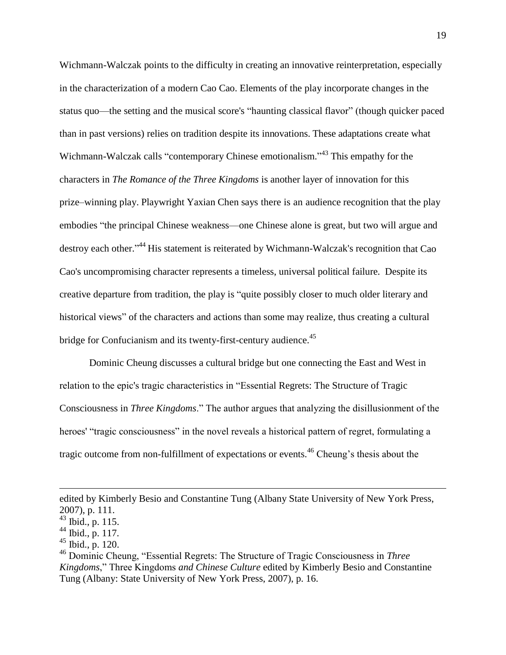Wichmann-Walczak points to the difficulty in creating an innovative reinterpretation, especially in the characterization of a modern Cao Cao. Elements of the play incorporate changes in the status quo—the setting and the musical score's "haunting classical flavor" (though quicker paced than in past versions) relies on tradition despite its innovations. These adaptations create what Wichmann-Walczak calls "contemporary Chinese emotionalism."<sup>43</sup> This empathy for the characters in *The Romance of the Three Kingdoms* is another layer of innovation for this prize–winning play. Playwright Yaxian Chen says there is an audience recognition that the play embodies "the principal Chinese weakness—one Chinese alone is great, but two will argue and destroy each other."<sup>44</sup> His statement is reiterated by Wichmann-Walczak's recognition that Cao Cao's uncompromising character represents a timeless, universal political failure. Despite its creative departure from tradition, the play is "quite possibly closer to much older literary and historical views" of the characters and actions than some may realize, thus creating a cultural bridge for Confucianism and its twenty-first-century audience.<sup>45</sup>

Dominic Cheung discusses a cultural bridge but one connecting the East and West in relation to the epic's tragic characteristics in "Essential Regrets: The Structure of Tragic Consciousness in *Three Kingdoms*." The author argues that analyzing the disillusionment of the heroes' "tragic consciousness" in the novel reveals a historical pattern of regret, formulating a tragic outcome from non-fulfillment of expectations or events.<sup>46</sup> Cheung's thesis about the

edited by Kimberly Besio and Constantine Tung (Albany State University of New York Press, 2007), p. 111.

<sup>43</sup> Ibid., p. 115.

 $44$  Ibid., p. 117.

 $45$  Ibid., p. 120.

<sup>46</sup> Dominic Cheung, "Essential Regrets: The Structure of Tragic Consciousness in *Three Kingdoms*," Three Kingdoms *and Chinese Culture* edited by Kimberly Besio and Constantine Tung (Albany: State University of New York Press, 2007), p. 16.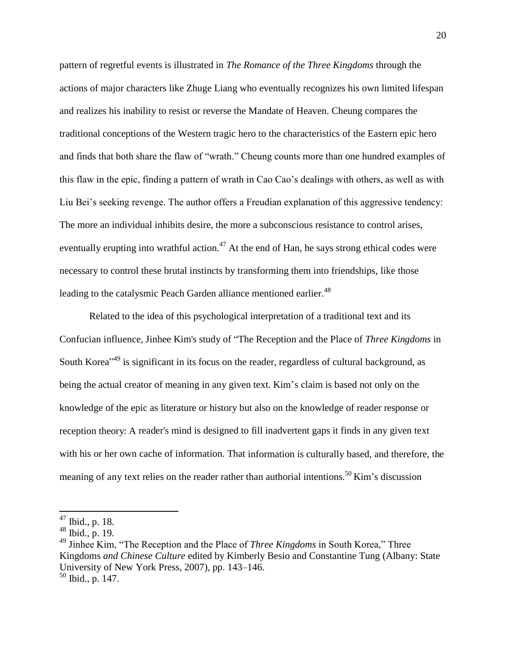pattern of regretful events is illustrated in *The Romance of the Three Kingdoms* through the actions of major characters like Zhuge Liang who eventually recognizes his own limited lifespan and realizes his inability to resist or reverse the Mandate of Heaven. Cheung compares the traditional conceptions of the Western tragic hero to the characteristics of the Eastern epic hero and finds that both share the flaw of "wrath." Cheung counts more than one hundred examples of this flaw in the epic, finding a pattern of wrath in Cao Cao's dealings with others, as well as with Liu Bei's seeking revenge. The author offers a Freudian explanation of this aggressive tendency: The more an individual inhibits desire, the more a subconscious resistance to control arises, eventually erupting into wrathful action.<sup>47</sup> At the end of Han, he says strong ethical codes were necessary to control these brutal instincts by transforming them into friendships, like those leading to the catalysmic Peach Garden alliance mentioned earlier.<sup>48</sup>

Related to the idea of this psychological interpretation of a traditional text and its Confucian influence, Jinhee Kim's study of "The Reception and the Place of *Three Kingdoms* in South Korea<sup>"49</sup> is significant in its focus on the reader, regardless of cultural background, as being the actual creator of meaning in any given text. Kim's claim is based not only on the knowledge of the epic as literature or history but also on the knowledge of reader response or reception theory: A reader's mind is designed to fill inadvertent gaps it finds in any given text with his or her own cache of information. That information is culturally based, and therefore, the meaning of any text relies on the reader rather than authorial intentions.<sup>50</sup> Kim's discussion

 $47$  Ibid., p. 18.

<sup>48</sup> Ibid., p. 19.

<sup>49</sup> Jinhee Kim, "The Reception and the Place of *Three Kingdoms* in South Korea," Three Kingdoms *and Chinese Culture* edited by Kimberly Besio and Constantine Tung (Albany: State University of New York Press, 2007), pp. 143–146.

 $50$  Ibid., p. 147.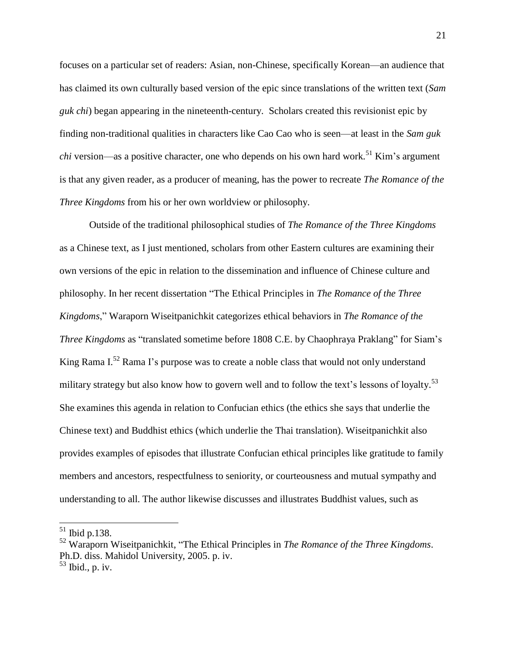focuses on a particular set of readers: Asian, non-Chinese, specifically Korean—an audience that has claimed its own culturally based version of the epic since translations of the written text (*Sam guk chi*) began appearing in the nineteenth-century. Scholars created this revisionist epic by finding non-traditional qualities in characters like Cao Cao who is seen—at least in the *Sam guk chi* version—as a positive character, one who depends on his own hard work. <sup>51</sup> Kim's argument is that any given reader, as a producer of meaning, has the power to recreate *The Romance of the Three Kingdoms* from his or her own worldview or philosophy.

Outside of the traditional philosophical studies of *The Romance of the Three Kingdoms* as a Chinese text, as I just mentioned, scholars from other Eastern cultures are examining their own versions of the epic in relation to the dissemination and influence of Chinese culture and philosophy. In her recent dissertation "The Ethical Principles in *The Romance of the Three Kingdoms*," Waraporn Wiseitpanichkit categorizes ethical behaviors in *The Romance of the Three Kingdoms* as "translated sometime before 1808 C.E. by Chaophraya Praklang" for Siam's King Rama I.<sup>52</sup> Rama I's purpose was to create a noble class that would not only understand military strategy but also know how to govern well and to follow the text's lessons of loyalty.<sup>53</sup> She examines this agenda in relation to Confucian ethics (the ethics she says that underlie the Chinese text) and Buddhist ethics (which underlie the Thai translation). Wiseitpanichkit also provides examples of episodes that illustrate Confucian ethical principles like gratitude to family members and ancestors, respectfulness to seniority, or courteousness and mutual sympathy and understanding to all. The author likewise discusses and illustrates Buddhist values, such as

 $51$  Ibid p.138.

<sup>52</sup> Waraporn Wiseitpanichkit, "The Ethical Principles in *The Romance of the Three Kingdoms*. Ph.D. diss. Mahidol University, 2005. p. iv.  $53$  Ibid., p. iv.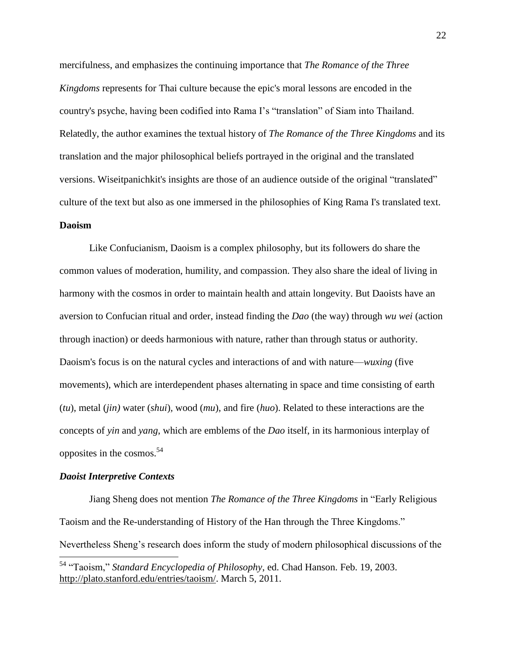mercifulness, and emphasizes the continuing importance that *The Romance of the Three Kingdoms* represents for Thai culture because the epic's moral lessons are encoded in the country's psyche, having been codified into Rama I's "translation" of Siam into Thailand. Relatedly, the author examines the textual history of *The Romance of the Three Kingdoms* and its translation and the major philosophical beliefs portrayed in the original and the translated versions. Wiseitpanichkit's insights are those of an audience outside of the original "translated" culture of the text but also as one immersed in the philosophies of King Rama I's translated text.

#### **Daoism**

Like Confucianism, Daoism is a complex philosophy, but its followers do share the common values of moderation, humility, and compassion. They also share the ideal of living in harmony with the cosmos in order to maintain health and attain longevity. But Daoists have an aversion to Confucian ritual and order, instead finding the *Dao* (the way) through *wu wei* (action through inaction) or deeds harmonious with nature, rather than through status or authority. Daoism's focus is on the natural cycles and interactions of and with nature—*wuxing* (five movements), which are interdependent phases alternating in space and time consisting of earth (*tu*), metal (*jin)* water (*shui*)*,* wood (*mu*), and fire (*huo*). Related to these interactions are the concepts of *yin* and *yang*, which are emblems of the *Dao* itself, in its harmonious interplay of opposites in the cosmos.<sup>54</sup>

#### *Daoist Interpretive Contexts*

Jiang Sheng does not mention *The Romance of the Three Kingdoms* in "Early Religious Taoism and the Re-understanding of History of the Han through the Three Kingdoms." Nevertheless Sheng's research does inform the study of modern philosophical discussions of the  $\overline{\phantom{a}}$ 

<sup>54</sup> "Taoism," *Standard Encyclopedia of Philosophy*, ed. Chad Hanson. Feb. 19, 2003. [http://plato.stanford.edu/entries/taoism/.](http://plato.stanford.edu/entries/taoism/) March 5, 2011.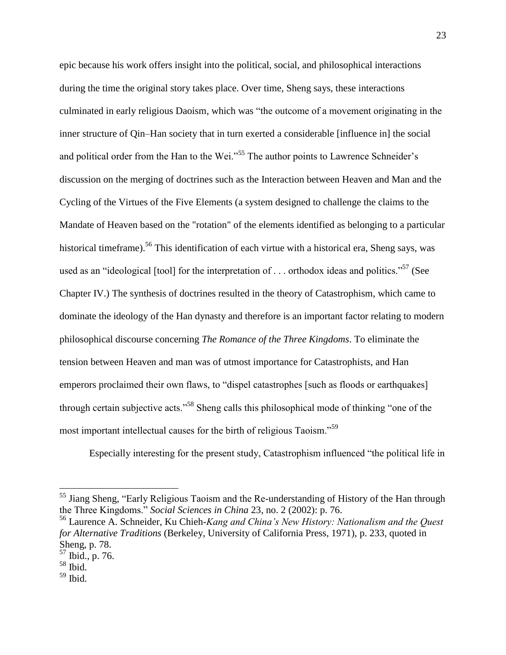epic because his work offers insight into the political, social, and philosophical interactions during the time the original story takes place. Over time, Sheng says, these interactions culminated in early religious Daoism, which was "the outcome of a movement originating in the inner structure of Qin–Han society that in turn exerted a considerable [influence in] the social and political order from the Han to the Wei."<sup>55</sup> The author points to Lawrence Schneider's discussion on the merging of doctrines such as the Interaction between Heaven and Man and the Cycling of the Virtues of the Five Elements (a system designed to challenge the claims to the Mandate of Heaven based on the "rotation" of the elements identified as belonging to a particular historical timeframe).<sup>56</sup> This identification of each virtue with a historical era, Sheng says, was used as an "ideological [tool] for the interpretation of . . . orthodox ideas and politics."<sup>57</sup> (See Chapter IV.) The synthesis of doctrines resulted in the theory of Catastrophism, which came to dominate the ideology of the Han dynasty and therefore is an important factor relating to modern philosophical discourse concerning *The Romance of the Three Kingdoms*. To eliminate the tension between Heaven and man was of utmost importance for Catastrophists, and Han emperors proclaimed their own flaws, to "dispel catastrophes [such as floods or earthquakes] through certain subjective acts."<sup>58</sup> Sheng calls this philosophical mode of thinking "one of the most important intellectual causes for the birth of religious Taoism."<sup>59</sup>

Especially interesting for the present study, Catastrophism influenced "the political life in

<sup>&</sup>lt;sup>55</sup> Jiang Sheng, "Early Religious Taoism and the Re-understanding of History of the Han through the Three Kingdoms." *Social Sciences in China* 23, no. 2 (2002): p. 76.

<sup>56</sup> Laurence A. Schneider, Ku Chieh*-Kang and China's New History: Nationalism and the Quest for Alternative Traditions* (Berkeley, University of California Press, 1971), p. 233, quoted in Sheng, p. 78.

<sup>57</sup> Ibid., p. 76.

<sup>58</sup> Ibid.

 $59$  Ibid.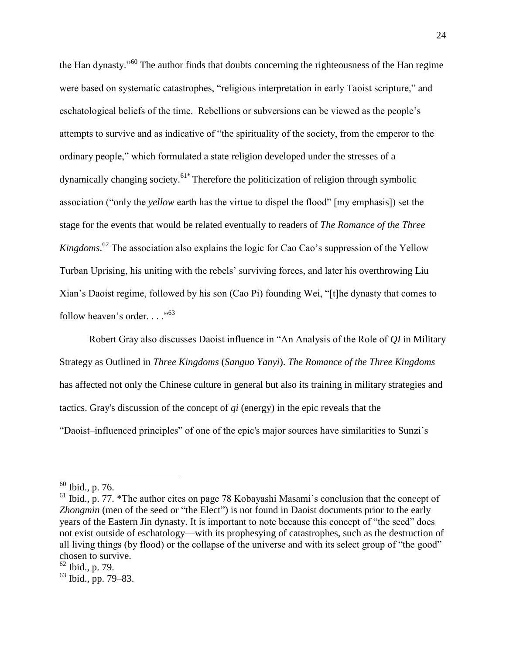the Han dynasty."<sup>60</sup> The author finds that doubts concerning the righteousness of the Han regime were based on systematic catastrophes, "religious interpretation in early Taoist scripture," and eschatological beliefs of the time. Rebellions or subversions can be viewed as the people's attempts to survive and as indicative of "the spirituality of the society, from the emperor to the ordinary people," which formulated a state religion developed under the stresses of a dynamically changing society.<sup>61\*</sup> Therefore the politicization of religion through symbolic association ("only the *yellow* earth has the virtue to dispel the flood" [my emphasis]) set the stage for the events that would be related eventually to readers of *The Romance of the Three Kingdoms*. <sup>62</sup> The association also explains the logic for Cao Cao's suppression of the Yellow Turban Uprising, his uniting with the rebels' surviving forces, and later his overthrowing Liu Xian's Daoist regime, followed by his son (Cao Pi) founding Wei, "[t]he dynasty that comes to follow heaven's order...."<sup>63</sup>

Robert Gray also discusses Daoist influence in "An Analysis of the Role of *QI* in Military Strategy as Outlined in *Three Kingdoms* (*Sanguo Yanyi*). *The Romance of the Three Kingdoms* has affected not only the Chinese culture in general but also its training in military strategies and tactics. Gray's discussion of the concept of *qi* (energy) in the epic reveals that the "Daoist-influenced principles" of one of the epic's major sources have similarities to Sunzi's

 $\overline{a}$ 

 $60$  Ibid., p. 76.

 $<sup>61</sup>$  Ibid., p. 77. \*The author cites on page 78 Kobayashi Masami's conclusion that the concept of</sup> *Zhongmin* (men of the seed or "the Elect") is not found in Daoist documents prior to the early years of the Eastern Jin dynasty. It is important to note because this concept of "the seed" does not exist outside of eschatology—with its prophesying of catastrophes, such as the destruction of all living things (by flood) or the collapse of the universe and with its select group of "the good" chosen to survive.

 $62$  Ibid., p. 79.

 $63$  Ibid., pp. 79–83.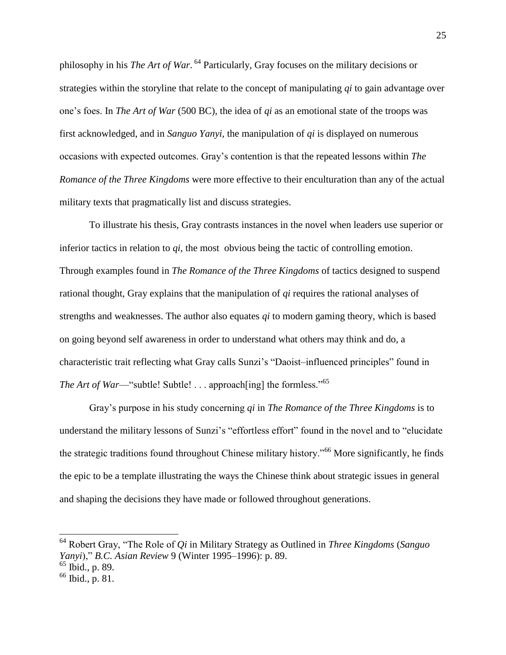philosophy in his *The Art of War*. <sup>64</sup> Particularly, Gray focuses on the military decisions or strategies within the storyline that relate to the concept of manipulating *qi* to gain advantage over one's foes. In *The Art of War* (500 BC), the idea of *qi* as an emotional state of the troops was first acknowledged, and in *Sanguo Yanyi*, the manipulation of *qi* is displayed on numerous occasions with expected outcomes. Gray's contention is that the repeated lessons within *The Romance of the Three Kingdoms* were more effective to their enculturation than any of the actual military texts that pragmatically list and discuss strategies.

To illustrate his thesis, Gray contrasts instances in the novel when leaders use superior or inferior tactics in relation to *qi*, the most obvious being the tactic of controlling emotion. Through examples found in *The Romance of the Three Kingdoms* of tactics designed to suspend rational thought, Gray explains that the manipulation of *qi* requires the rational analyses of strengths and weaknesses. The author also equates *qi* to modern gaming theory, which is based on going beyond self awareness in order to understand what others may think and do, a characteristic trait reflecting what Gray calls Sunzi's "Daoist-influenced principles" found in *The Art of War—*"subtle! Subtle! . . . approach[ing] the formless."<sup>65</sup>

Gray's purpose in his study concerning *qi* in *The Romance of the Three Kingdoms* is to understand the military lessons of Sunzi's "effortless effort" found in the novel and to "elucidate the strategic traditions found throughout Chinese military history.<sup>566</sup> More significantly, he finds the epic to be a template illustrating the ways the Chinese think about strategic issues in general and shaping the decisions they have made or followed throughout generations.

<sup>64</sup> Robert Gray, "The Role of *Qi* in Military Strategy as Outlined in *Three Kingdoms* (*Sanguo Yanyi*)," *B.C. Asian Review* 9 (Winter 1995–1996): p. 89.

 $65$  Ibid., p. 89.

<sup>66</sup> Ibid., p. 81.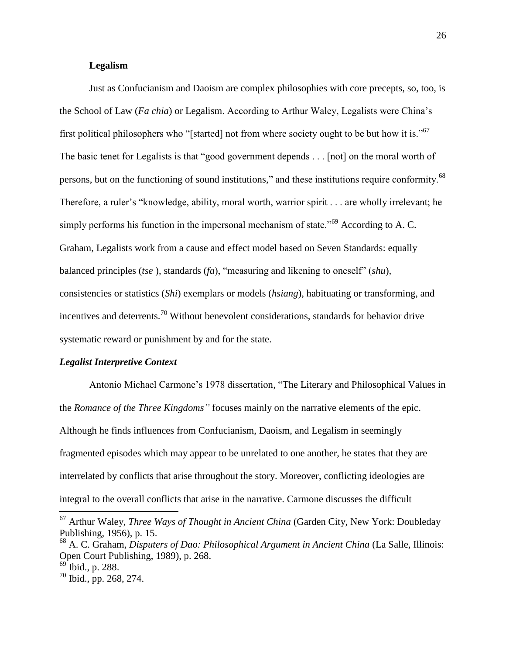# **Legalism**

Just as Confucianism and Daoism are complex philosophies with core precepts, so, too, is the School of Law (*Fa chia*) or Legalism. According to Arthur Waley, Legalists were China's first political philosophers who "[started] not from where society ought to be but how it is."<sup>67</sup> The basic tenet for Legalists is that "good government depends . . . [not] on the moral worth of persons, but on the functioning of sound institutions," and these institutions require conformity.<sup>68</sup> Therefore, a ruler's "knowledge, ability, moral worth, warrior spirit . . . are wholly irrelevant; he simply performs his function in the impersonal mechanism of state.<sup>569</sup> According to A. C. Graham, Legalists work from a cause and effect model based on Seven Standards: equally balanced principles (*tse* ), standards (*fa*), "measuring and likening to oneself" (*shu*), consistencies or statistics (*Shi*) exemplars or models (*hsiang*), habituating or transforming, and incentives and deterrents.<sup>70</sup> Without benevolent considerations, standards for behavior drive systematic reward or punishment by and for the state.

# *Legalist Interpretive Context*

Antonio Michael Carmone's 1978 dissertation, "The Literary and Philosophical Values in the *Romance of the Three Kingdoms"* focuses mainly on the narrative elements of the epic. Although he finds influences from Confucianism, Daoism, and Legalism in seemingly fragmented episodes which may appear to be unrelated to one another, he states that they are interrelated by conflicts that arise throughout the story. Moreover, conflicting ideologies are integral to the overall conflicts that arise in the narrative. Carmone discusses the difficult

<sup>68</sup> A. C. Graham, *Disputers of Dao: Philosophical Argument in Ancient China* (La Salle, Illinois: Open Court Publishing, 1989), p. 268.

<sup>67</sup> Arthur Waley, *Three Ways of Thought in Ancient China* (Garden City, New York: Doubleday Publishing, 1956), p. 15.

 $^{69}$  Ibid., p. 288.

 $70$  Ibid., pp. 268, 274.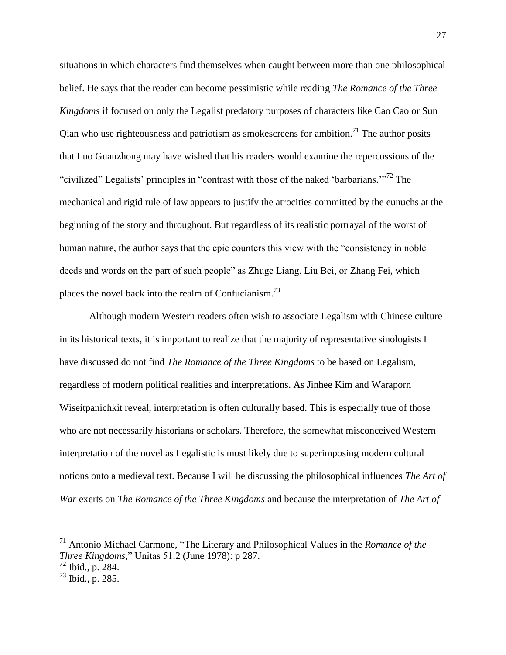situations in which characters find themselves when caught between more than one philosophical belief. He says that the reader can become pessimistic while reading *The Romance of the Three Kingdoms* if focused on only the Legalist predatory purposes of characters like Cao Cao or Sun Qian who use righteousness and patriotism as smokescreens for ambition.<sup>71</sup> The author posits that Luo Guanzhong may have wished that his readers would examine the repercussions of the "civilized" Legalists' principles in "contrast with those of the naked 'barbarians.'"<sup>72</sup> The mechanical and rigid rule of law appears to justify the atrocities committed by the eunuchs at the beginning of the story and throughout. But regardless of its realistic portrayal of the worst of human nature, the author says that the epic counters this view with the "consistency in noble deeds and words on the part of such people" as Zhuge Liang, Liu Bei, or Zhang Fei, which places the novel back into the realm of Confucianism.<sup>73</sup>

Although modern Western readers often wish to associate Legalism with Chinese culture in its historical texts, it is important to realize that the majority of representative sinologists I have discussed do not find *The Romance of the Three Kingdoms* to be based on Legalism, regardless of modern political realities and interpretations. As Jinhee Kim and Waraporn Wiseitpanichkit reveal, interpretation is often culturally based. This is especially true of those who are not necessarily historians or scholars. Therefore, the somewhat misconceived Western interpretation of the novel as Legalistic is most likely due to superimposing modern cultural notions onto a medieval text. Because I will be discussing the philosophical influences *The Art of War* exerts on *The Romance of the Three Kingdoms* and because the interpretation of *The Art of* 

<sup>71</sup> Antonio Michael Carmone, "The Literary and Philosophical Values in the *Romance of the Three Kingdoms,*" Unitas 51.2 (June 1978): p 287.

 $^{72}$  Ibid., p. 284.

 $^{73}$  Ibid., p. 285.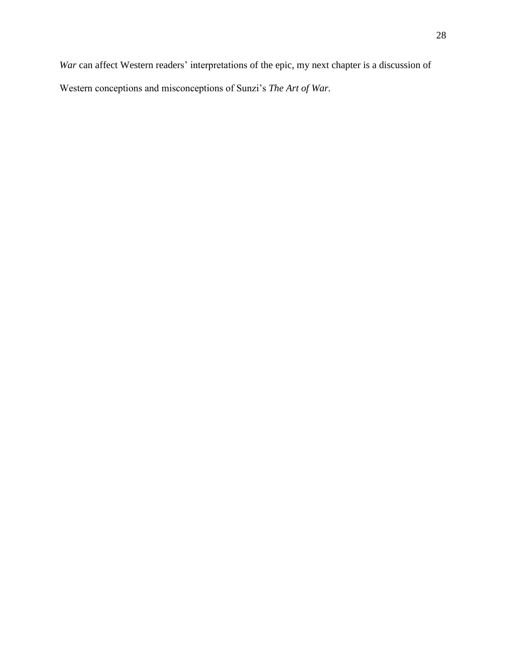*War* can affect Western readers' interpretations of the epic, my next chapter is a discussion of Western conceptions and misconceptions of Sunzi's *The Art of War.*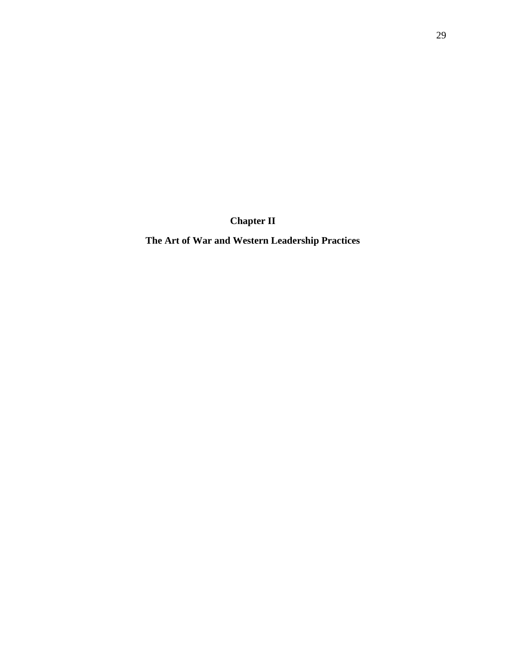**Chapter II**

**The Art of War and Western Leadership Practices**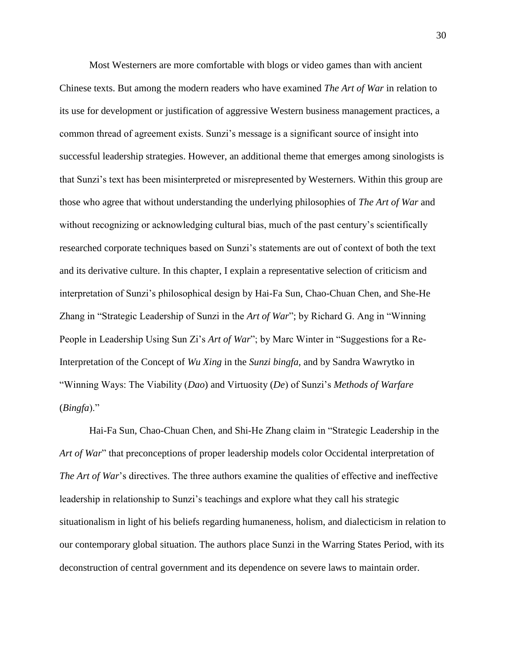Most Westerners are more comfortable with blogs or video games than with ancient Chinese texts. But among the modern readers who have examined *The Art of War* in relation to its use for development or justification of aggressive Western business management practices, a common thread of agreement exists. Sunzi's message is a significant source of insight into successful leadership strategies. However, an additional theme that emerges among sinologists is that Sunzi's text has been misinterpreted or misrepresented by Westerners. Within this group are those who agree that without understanding the underlying philosophies of *The Art of War* and without recognizing or acknowledging cultural bias, much of the past century's scientifically researched corporate techniques based on Sunzi's statements are out of context of both the text and its derivative culture. In this chapter, I explain a representative selection of criticism and interpretation of Sunzi's philosophical design by Hai-Fa Sun, Chao-Chuan Chen, and She-He Zhang in "Strategic Leadership of Sunzi in the *Art of War*"; by Richard G. Ang in "Winning People in Leadership Using Sun Zi's *Art of War*"; by Marc Winter in "Suggestions for a Re-Interpretation of the Concept of *Wu Xing* in the *Sunzi bingfa,* and by Sandra Wawrytko in "Winning Ways: The Viability (*Dao*) and Virtuosity (*De*) of Sunzi's *Methods of Warfare* (*Bingfa*)."

Hai-Fa Sun, Chao-Chuan Chen, and Shi-He Zhang claim in "Strategic Leadership in the *Art of War*" that preconceptions of proper leadership models color Occidental interpretation of *The Art of War*'s directives. The three authors examine the qualities of effective and ineffective leadership in relationship to Sunzi's teachings and explore what they call his strategic situationalism in light of his beliefs regarding humaneness, holism, and dialecticism in relation to our contemporary global situation. The authors place Sunzi in the Warring States Period, with its deconstruction of central government and its dependence on severe laws to maintain order.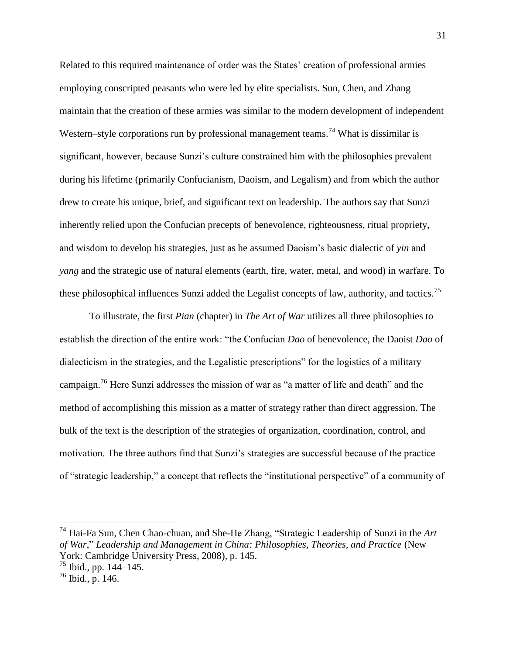Related to this required maintenance of order was the States' creation of professional armies employing conscripted peasants who were led by elite specialists. Sun, Chen, and Zhang maintain that the creation of these armies was similar to the modern development of independent Western–style corporations run by professional management teams.<sup>74</sup> What is dissimilar is significant, however, because Sunzi's culture constrained him with the philosophies prevalent during his lifetime (primarily Confucianism, Daoism, and Legalism) and from which the author drew to create his unique, brief, and significant text on leadership. The authors say that Sunzi inherently relied upon the Confucian precepts of benevolence, righteousness, ritual propriety, and wisdom to develop his strategies, just as he assumed Daoism's basic dialectic of *yin* and *yang* and the strategic use of natural elements (earth, fire, water, metal, and wood) in warfare. To these philosophical influences Sunzi added the Legalist concepts of law, authority, and tactics.<sup>75</sup>

To illustrate, the first *Pian* (chapter) in *The Art of War* utilizes all three philosophies to establish the direction of the entire work: "the Confucian *Dao* of benevolence, the Daoist *Dao* of dialecticism in the strategies, and the Legalistic prescriptions" for the logistics of a military campaign.<sup>76</sup> Here Sunzi addresses the mission of war as "a matter of life and death" and the method of accomplishing this mission as a matter of strategy rather than direct aggression. The bulk of the text is the description of the strategies of organization, coordination, control, and motivation. The three authors find that Sunzi's strategies are successful because of the practice of "strategic leadership," a concept that reflects the "institutional perspective" of a community of

<sup>74</sup> Hai-Fa Sun, Chen Chao-chuan, and She-He Zhang, "Strategic Leadership of Sunzi in the *Art of War*," *Leadership and Management in China: Philosophies, Theories, and Practice* (New York: Cambridge University Press, 2008), p. 145.

 $75$  Ibid., pp. 144–145.

 $^{76}$  Ibid., p. 146.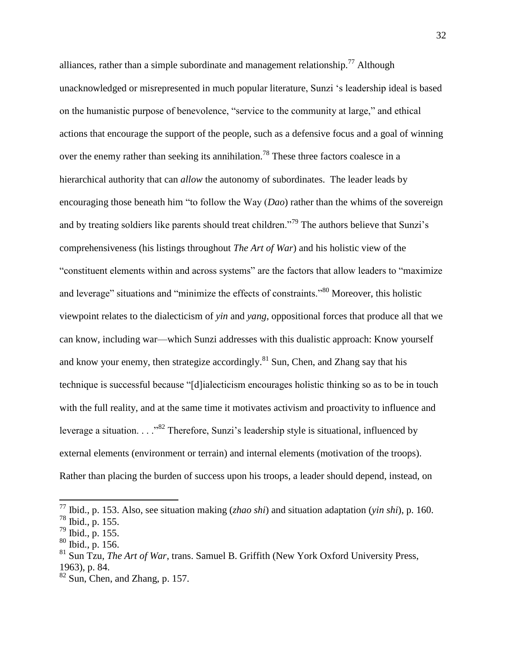alliances, rather than a simple subordinate and management relationship.<sup>77</sup> Although unacknowledged or misrepresented in much popular literature, Sunzi 's leadership ideal is based on the humanistic purpose of benevolence, "service to the community at large," and ethical actions that encourage the support of the people, such as a defensive focus and a goal of winning over the enemy rather than seeking its annihilation.<sup>78</sup> These three factors coalesce in a hierarchical authority that can *allow* the autonomy of subordinates. The leader leads by encouraging those beneath him "to follow the Way (*Dao*) rather than the whims of the sovereign and by treating soldiers like parents should treat children.<sup>79</sup> The authors believe that Sunzi's comprehensiveness (his listings throughout *The Art of War*) and his holistic view of the "constituent elements within and across systems" are the factors that allow leaders to "maximize and leverage" situations and "minimize the effects of constraints."<sup>80</sup> Moreover, this holistic viewpoint relates to the dialecticism of *yin* and *yang*, oppositional forces that produce all that we can know, including war—which Sunzi addresses with this dualistic approach: Know yourself and know your enemy, then strategize accordingly.<sup>81</sup> Sun, Chen, and Zhang say that his technique is successful because "[d]ialecticism encourages holistic thinking so as to be in touch with the full reality, and at the same time it motivates activism and proactivity to influence and leverage a situation. . . ."<sup>82</sup> Therefore, Sunzi's leadership style is situational, influenced by external elements (environment or terrain) and internal elements (motivation of the troops). Rather than placing the burden of success upon his troops, a leader should depend, instead, on

<sup>77</sup> Ibid., p. 153. Also, see situation making (*zhao shi*) and situation adaptation (*yin shi*), p. 160. <sup>78</sup> Ibid., p. 155.

<sup>79</sup> Ibid., p. 155.

 $80$  Ibid., p. 156.

<sup>81</sup> Sun Tzu, *The Art of War*, trans. Samuel B. Griffith (New York Oxford University Press, 1963), p. 84.

 $82$  Sun, Chen, and Zhang, p. 157.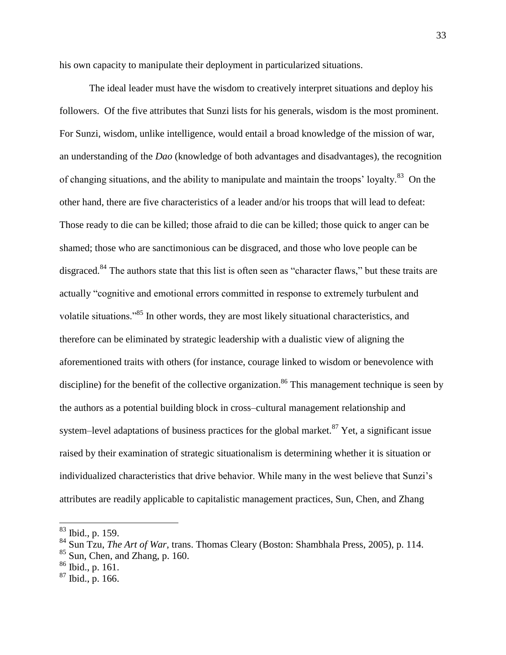his own capacity to manipulate their deployment in particularized situations.

The ideal leader must have the wisdom to creatively interpret situations and deploy his followers. Of the five attributes that Sunzi lists for his generals, wisdom is the most prominent. For Sunzi, wisdom, unlike intelligence, would entail a broad knowledge of the mission of war, an understanding of the *Dao* (knowledge of both advantages and disadvantages), the recognition of changing situations, and the ability to manipulate and maintain the troops' loyalty.<sup>83</sup> On the other hand, there are five characteristics of a leader and/or his troops that will lead to defeat: Those ready to die can be killed; those afraid to die can be killed; those quick to anger can be shamed; those who are sanctimonious can be disgraced, and those who love people can be disgraced.<sup>84</sup> The authors state that this list is often seen as "character flaws," but these traits are actually "cognitive and emotional errors committed in response to extremely turbulent and volatile situations."<sup>85</sup> In other words, they are most likely situational characteristics, and therefore can be eliminated by strategic leadership with a dualistic view of aligning the aforementioned traits with others (for instance, courage linked to wisdom or benevolence with discipline) for the benefit of the collective organization.<sup>86</sup> This management technique is seen by the authors as a potential building block in cross-cultural management relationship and system–level adaptations of business practices for the global market. $87$  Yet, a significant issue raised by their examination of strategic situationalism is determining whether it is situation or individualized characteristics that drive behavior. While many in the west believe that Sunzi's attributes are readily applicable to capitalistic management practices, Sun, Chen, and Zhang

<sup>83</sup> Ibid., p. 159.

<sup>84</sup> Sun Tzu, *The Art of War,* trans. Thomas Cleary (Boston: Shambhala Press, 2005), p. 114.

 $85$  Sun, Chen, and Zhang, p. 160.

 $86$  Ibid., p. 161.

 $87$  Ibid., p. 166.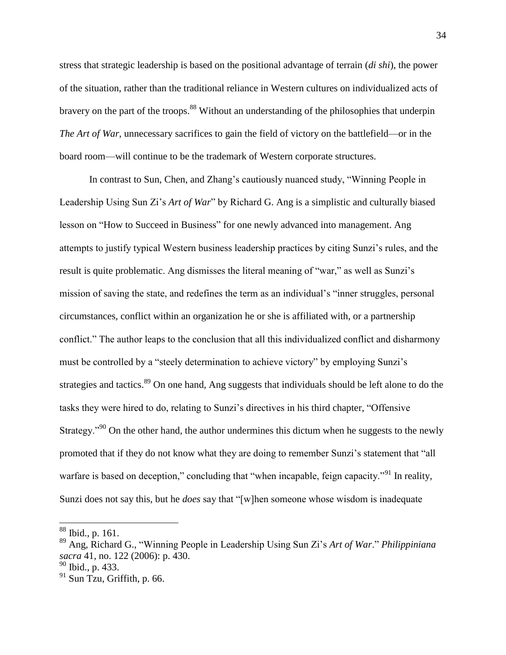stress that strategic leadership is based on the positional advantage of terrain (*di shi*), the power of the situation, rather than the traditional reliance in Western cultures on individualized acts of bravery on the part of the troops.<sup>88</sup> Without an understanding of the philosophies that underpin *The Art of War*, unnecessary sacrifices to gain the field of victory on the battlefield—or in the board room—will continue to be the trademark of Western corporate structures.

In contrast to Sun, Chen, and Zhang's cautiously nuanced study, "Winning People in Leadership Using Sun Zi's *Art of War*" by Richard G. Ang is a simplistic and culturally biased lesson on "How to Succeed in Business" for one newly advanced into management. Ang attempts to justify typical Western business leadership practices by citing Sunzi's rules, and the result is quite problematic. Ang dismisses the literal meaning of "war," as well as Sunzi's mission of saving the state, and redefines the term as an individual's "inner struggles, personal circumstances, conflict within an organization he or she is affiliated with, or a partnership conflict." The author leaps to the conclusion that all this individualized conflict and disharmony must be controlled by a "steely determination to achieve victory" by employing Sunzi's strategies and tactics.<sup>89</sup> On one hand, Ang suggests that individuals should be left alone to do the tasks they were hired to do, relating to Sunzi's directives in his third chapter, "Offensive Strategy."<sup>90</sup> On the other hand, the author undermines this dictum when he suggests to the newly promoted that if they do not know what they are doing to remember Sunzi's statement that "all warfare is based on deception," concluding that "when incapable, feign capacity."<sup>91</sup> In reality, Sunzi does not say this, but he *does* say that "[w]hen someone whose wisdom is inadequate

<sup>88</sup> Ibid., p. 161.

<sup>89</sup> Ang, Richard G., "Winning People in Leadership Using Sun Zi's *Art of War*." *Philippiniana sacra* 41, no. 122 (2006): p. 430.

 $90$  Ibid., p. 433.

 $91$  Sun Tzu, Griffith, p. 66.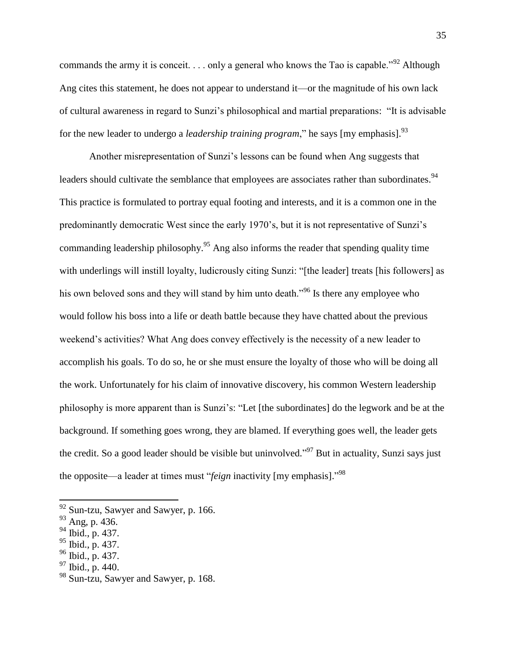commands the army it is conceit.  $\ldots$  only a general who knows the Tao is capable.<sup>"92</sup> Although Ang cites this statement, he does not appear to understand it—or the magnitude of his own lack of cultural awareness in regard to Sunzi's philosophical and martial preparations: "It is advisable for the new leader to undergo a *leadership training program*," he says [my emphasis].<sup>93</sup>

Another misrepresentation of Sunzi's lessons can be found when Ang suggests that leaders should cultivate the semblance that employees are associates rather than subordinates.<sup>94</sup> This practice is formulated to portray equal footing and interests, and it is a common one in the predominantly democratic West since the early 1970's, but it is not representative of Sunzi's commanding leadership philosophy.<sup>95</sup> Ang also informs the reader that spending quality time with underlings will instill loyalty, ludicrously citing Sunzi: "[the leader] treats [his followers] as his own beloved sons and they will stand by him unto death."<sup>96</sup> Is there any employee who would follow his boss into a life or death battle because they have chatted about the previous weekend's activities? What Ang does convey effectively is the necessity of a new leader to accomplish his goals. To do so, he or she must ensure the loyalty of those who will be doing all the work. Unfortunately for his claim of innovative discovery, his common Western leadership philosophy is more apparent than is Sunzi's: "Let [the subordinates] do the legwork and be at the background. If something goes wrong, they are blamed. If everything goes well, the leader gets the credit. So a good leader should be visible but uninvolved."<sup>97</sup> But in actuality, Sunzi says just the opposite—a leader at times must "*feign* inactivity [my emphasis]." 98

- $96$  Ibid., p. 437.
- $97$  Ibid., p. 440.

 $92$  Sun-tzu, Sawyer and Sawyer, p. 166.

<sup>93</sup> Ang, p. 436.

<sup>94</sup> Ibid., p. 437.

 $^{95}$  Ibid., p. 437.

<sup>&</sup>lt;sup>98</sup> Sun-tzu, Sawyer and Sawyer, p. 168.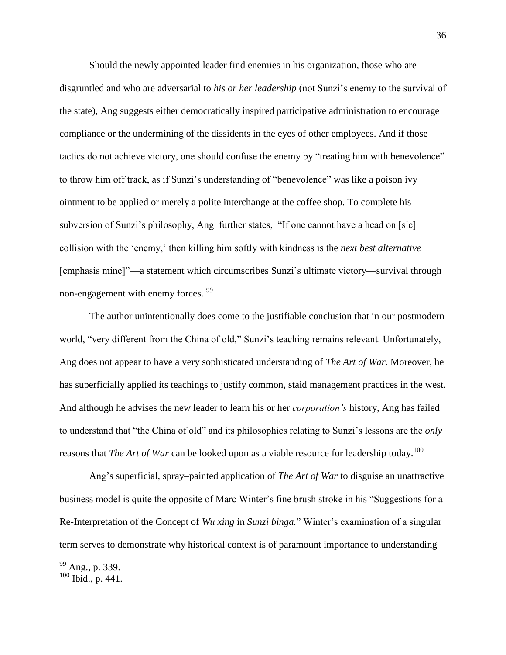Should the newly appointed leader find enemies in his organization, those who are disgruntled and who are adversarial to *his or her leadership* (not Sunzi's enemy to the survival of the state), Ang suggests either democratically inspired participative administration to encourage compliance or the undermining of the dissidents in the eyes of other employees. And if those tactics do not achieve victory, one should confuse the enemy by "treating him with benevolence" to throw him off track, as if Sunzi's understanding of "benevolence" was like a poison ivy ointment to be applied or merely a polite interchange at the coffee shop. To complete his subversion of Sunzi's philosophy, Ang further states, "If one cannot have a head on [sic] collision with the 'enemy,' then killing him softly with kindness is the *next best alternative* [emphasis mine]"—a statement which circumscribes Sunzi's ultimate victory—survival through non-engagement with enemy forces. <sup>99</sup>

The author unintentionally does come to the justifiable conclusion that in our postmodern world, "very different from the China of old," Sunzi's teaching remains relevant. Unfortunately, Ang does not appear to have a very sophisticated understanding of *The Art of War.* Moreover, he has superficially applied its teachings to justify common, staid management practices in the west. And although he advises the new leader to learn his or her *corporation's* history, Ang has failed to understand that "the China of old" and its philosophies relating to Sunzi's lessons are the *only* reasons that *The Art of War* can be looked upon as a viable resource for leadership today.<sup>100</sup>

Ang's superficial, spray-painted application of *The Art of War* to disguise an unattractive business model is quite the opposite of Marc Winter's fine brush stroke in his "Suggestions for a Re-Interpretation of the Concept of *Wu xing* in *Sunzi binga.*" Winter's examination of a singular term serves to demonstrate why historical context is of paramount importance to understanding

<sup>&</sup>lt;sup>99</sup> Ang., p. 339.

 $100$  Ibid., p. 441.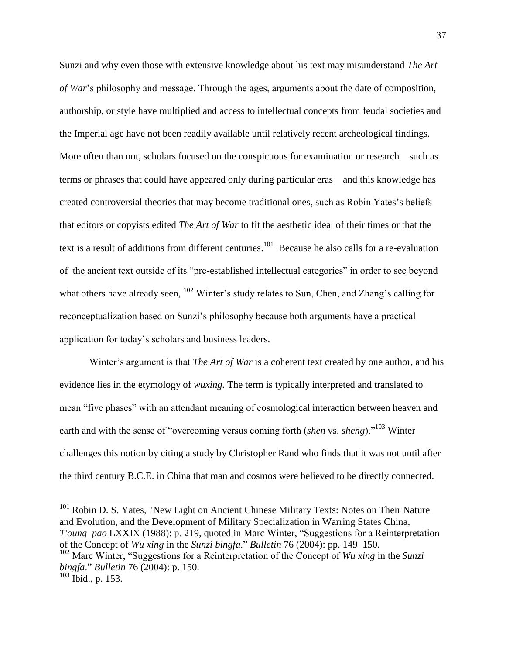Sunzi and why even those with extensive knowledge about his text may misunderstand *The Art of War*'s philosophy and message. Through the ages, arguments about the date of composition, authorship, or style have multiplied and access to intellectual concepts from feudal societies and the Imperial age have not been readily available until relatively recent archeological findings. More often than not, scholars focused on the conspicuous for examination or research—such as terms or phrases that could have appeared only during particular eras—and this knowledge has created controversial theories that may become traditional ones, such as Robin Yates's beliefs that editors or copyists edited *The Art of War* to fit the aesthetic ideal of their times or that the text is a result of additions from different centuries.<sup>101</sup> Because he also calls for a re-evaluation of the ancient text outside of its "pre-established intellectual categories" in order to see beyond what others have already seen, <sup>102</sup> Winter's study relates to Sun, Chen, and Zhang's calling for reconceptualization based on Sunzi's philosophy because both arguments have a practical application for today's scholars and business leaders.

Winter's argument is that *The Art of War* is a coherent text created by one author, and his evidence lies in the etymology of *wuxing.* The term is typically interpreted and translated to mean "five phases" with an attendant meaning of cosmological interaction between heaven and earth and with the sense of "overcoming versus coming forth (*shen* vs. *sheng*)."<sup>103</sup> Winter challenges this notion by citing a study by Christopher Rand who finds that it was not until after the third century B.C.E. in China that man and cosmos were believed to be directly connected.

<sup>101</sup> Robin D. S. Yates, "New Light on Ancient Chinese Military Texts: Notes on Their Nature and Evolution, and the Development of Military Specialization in Warring States China, *T'oung‒pao* LXXIX (1988): p. 219, quoted in Marc Winter, "Suggestions for a Reinterpretation of the Concept of *Wu xing* in the *Sunzi bingfa.*" *Bulletin* 76 (2004): pp. 149–150. <sup>102</sup> Marc Winter, "Suggestions for a Reinterpretation of the Concept of *Wu xing* in the *Sunzi bingfa*." *Bulletin* 76 (2004): p. 150.

 $103$  Ibid., p. 153.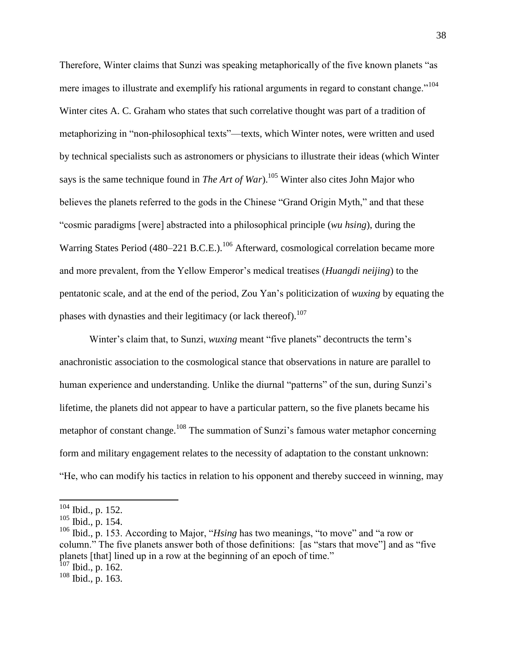Therefore, Winter claims that Sunzi was speaking metaphorically of the five known planets "as mere images to illustrate and exemplify his rational arguments in regard to constant change."<sup>104</sup> Winter cites A. C. Graham who states that such correlative thought was part of a tradition of metaphorizing in "non-philosophical texts"—texts, which Winter notes, were written and used by technical specialists such as astronomers or physicians to illustrate their ideas (which Winter says is the same technique found in *The Art of War*).<sup>105</sup> Winter also cites John Major who believes the planets referred to the gods in the Chinese "Grand Origin Myth," and that these "cosmic paradigms [were] abstracted into a philosophical principle (*wu hsing*), during the Warring States Period (480–221 B.C.E.).<sup>106</sup> Afterward, cosmological correlation became more and more prevalent, from the Yellow Emperor's medical treatises (*Huangdi neijing*) to the pentatonic scale, and at the end of the period, Zou Yan's politicization of *wuxing* by equating the phases with dynasties and their legitimacy (or lack thereof).<sup>107</sup>

Winter's claim that, to Sunzi, *wuxing* meant "five planets" decontructs the term's anachronistic association to the cosmological stance that observations in nature are parallel to human experience and understanding. Unlike the diurnal "patterns" of the sun, during Sunzi's lifetime, the planets did not appear to have a particular pattern, so the five planets became his metaphor of constant change.<sup>108</sup> The summation of Sunzi's famous water metaphor concerning form and military engagement relates to the necessity of adaptation to the constant unknown: "He, who can modify his tactics in relation to his opponent and thereby succeed in winning, may

 $104$  Ibid., p. 152.

 $105$  Ibid., p. 154.

<sup>106</sup> Ibid., p. 153. According to Major, "*Hsing* has two meanings, "to move" and "a row or column." The five planets answer both of those definitions: [as "stars that move"] and as "five planets [that] lined up in a row at the beginning of an epoch of time."  $107$  Ibid., p. 162.

<sup>108</sup> Ibid., p. 163.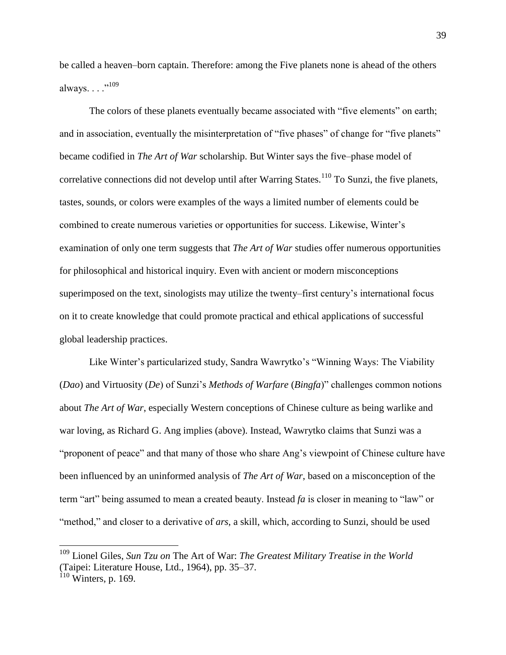be called a heaven–born captain. Therefore: among the Five planets none is ahead of the others always. . . . "<sup>109</sup>

The colors of these planets eventually became associated with "five elements" on earth; and in association, eventually the misinterpretation of "five phases" of change for "five planets" became codified in *The Art of War* scholarship. But Winter says the five-phase model of correlative connections did not develop until after Warring States.<sup>110</sup> To Sunzi, the five planets, tastes, sounds, or colors were examples of the ways a limited number of elements could be combined to create numerous varieties or opportunities for success. Likewise, Winter's examination of only one term suggests that *The Art of War* studies offer numerous opportunities for philosophical and historical inquiry. Even with ancient or modern misconceptions superimposed on the text, sinologists may utilize the twenty–first century's international focus on it to create knowledge that could promote practical and ethical applications of successful global leadership practices.

Like Winter's particularized study, Sandra Wawrytko's "Winning Ways: The Viability (*Dao*) and Virtuosity (*De*) of Sunzi's *Methods of Warfare* (*Bingfa*)" challenges common notions about *The Art of War*, especially Western conceptions of Chinese culture as being warlike and war loving, as Richard G. Ang implies (above). Instead, Wawrytko claims that Sunzi was a "proponent of peace" and that many of those who share Ang's viewpoint of Chinese culture have been influenced by an uninformed analysis of *The Art of War*, based on a misconception of the term "art" being assumed to mean a created beauty. Instead *fa* is closer in meaning to "law" or "method," and closer to a derivative of *ars*, a skill, which, according to Sunzi, should be used

 $\overline{a}$ 

<sup>109</sup> Lionel Giles, *Sun Tzu on* The Art of War: *The Greatest Military Treatise in the World* (Taipei: Literature House, Ltd., 1964), pp. 35‒37.  $110$  Winters, p. 169.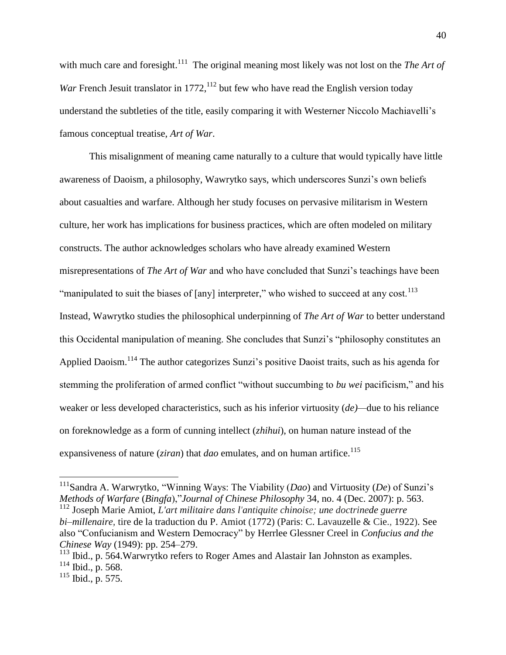with much care and foresight.<sup>111</sup> The original meaning most likely was not lost on the *The Art of War* French Jesuit translator in 1772,  $^{112}$  but few who have read the English version today understand the subtleties of the title, easily comparing it with Westerner Niccolo Machiavelli's famous conceptual treatise, *Art of War*.

This misalignment of meaning came naturally to a culture that would typically have little awareness of Daoism, a philosophy, Wawrytko says, which underscores Sunzi's own beliefs about casualties and warfare. Although her study focuses on pervasive militarism in Western culture, her work has implications for business practices, which are often modeled on military constructs. The author acknowledges scholars who have already examined Western misrepresentations of *The Art of War* and who have concluded that Sunzi's teachings have been "manipulated to suit the biases of [any] interpreter," who wished to succeed at any cost.<sup>113</sup> Instead, Wawrytko studies the philosophical underpinning of *The Art of War* to better understand this Occidental manipulation of meaning. She concludes that Sunzi's "philosophy constitutes an Applied Daoism.<sup>114</sup> The author categorizes Sunzi's positive Daoist traits, such as his agenda for stemming the proliferation of armed conflict "without succumbing to *bu wei* pacificism," and his weaker or less developed characteristics, such as his inferior virtuosity (*de)—*due to his reliance on foreknowledge as a form of cunning intellect (*zhihui*), on human nature instead of the expansiveness of nature (*ziran*) that *dao* emulates, and on human artifice.<sup>115</sup>

 $\overline{a}$ 

<sup>&</sup>lt;sup>111</sup>Sandra A. Warwrytko, "Winning Ways: The Viability (*Dao*) and Virtuosity (*De*) of Sunzi's *Methods of Warfare* (*Bingfa*),"*Journal of Chinese Philosophy* 34, no. 4 (Dec. 2007): p. 563. <sup>112</sup> Joseph Marie Amiot, *L'art militaire dans l'antiquite chinoise; une doctrinede guerre bi‒millenaire,* tire de la traduction du P. Amiot (1772) (Paris: C. Lavauzelle & Cie., 1922). See also "Confucianism and Western Democracy" by Herrlee Glessner Creel in *Confucius and the Chinese Way* (1949): pp. 254–279.

 $113$  Ibid., p. 564. Warwrytko refers to Roger Ames and Alastair Ian Johnston as examples.

<sup>114</sup> Ibid., p. 568.

 $115$  Ibid., p. 575.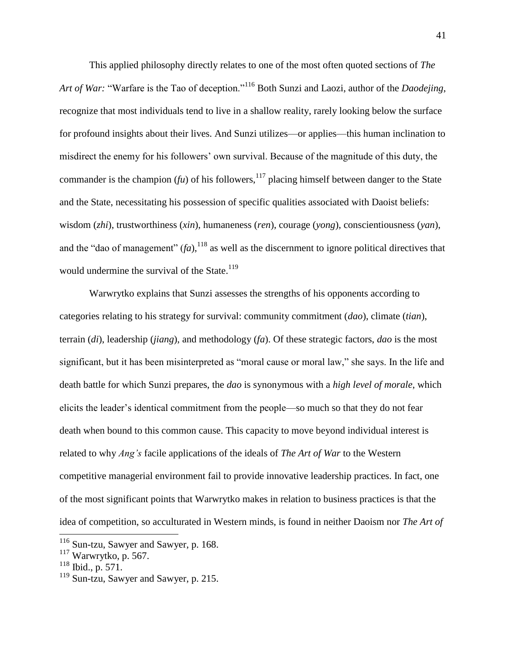This applied philosophy directly relates to one of the most often quoted sections of *The Art of War:* "Warfare is the Tao of deception."<sup>116</sup> Both Sunzi and Laozi, author of the *Daodejing*, recognize that most individuals tend to live in a shallow reality, rarely looking below the surface for profound insights about their lives. And Sunzi utilizes—or applies—this human inclination to misdirect the enemy for his followers' own survival. Because of the magnitude of this duty, the commander is the champion ( $f\omega$ ) of his followers,<sup>117</sup> placing himself between danger to the State and the State, necessitating his possession of specific qualities associated with Daoist beliefs: wisdom (*zhi*), trustworthiness (*xin*), humaneness (*ren*), courage (*yong*), conscientiousness (*yan*), and the "dao of management"  $(fa)$ , <sup>118</sup> as well as the discernment to ignore political directives that would undermine the survival of the State.<sup>119</sup>

Warwrytko explains that Sunzi assesses the strengths of his opponents according to categories relating to his strategy for survival: community commitment (*dao*), climate (*tian*), terrain (*di*), leadership (*jiang*), and methodology (*fa*). Of these strategic factors, *dao* is the most significant, but it has been misinterpreted as "moral cause or moral law," she says. In the life and death battle for which Sunzi prepares, the *dao* is synonymous with a *high level of morale*, which elicits the leader's identical commitment from the people—so much so that they do not fear death when bound to this common cause. This capacity to move beyond individual interest is related to why *Ang's* facile applications of the ideals of *The Art of War* to the Western competitive managerial environment fail to provide innovative leadership practices. In fact, one of the most significant points that Warwrytko makes in relation to business practices is that the idea of competition, so acculturated in Western minds, is found in neither Daoism nor *The Art of* 

<sup>&</sup>lt;sup>116</sup> Sun-tzu, Sawyer and Sawyer, p. 168.

<sup>117</sup> Warwrytko, p. 567.

<sup>118</sup> Ibid., p. 571.

<sup>&</sup>lt;sup>119</sup> Sun-tzu, Sawyer and Sawyer, p. 215.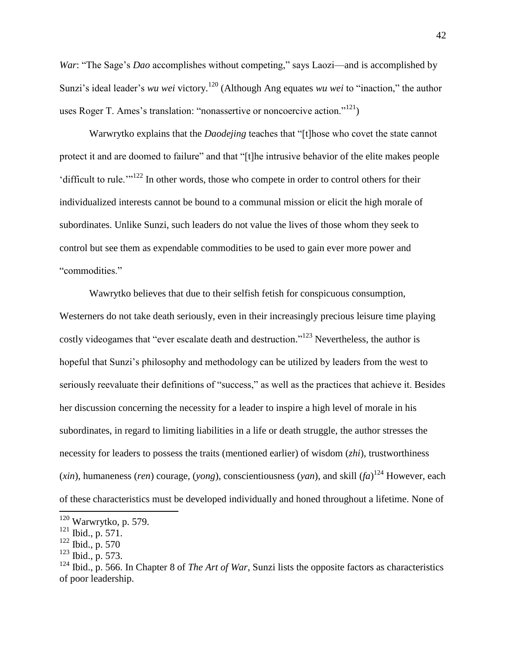*War*: "The Sage's *Dao* accomplishes without competing," says Laozi—and is accomplished by Sunzi's ideal leader's *wu wei* victory.<sup>120</sup> (Although Ang equates *wu wei* to "inaction," the author uses Roger T. Ames's translation: "nonassertive or noncoercive action."<sup>121</sup>)

Warwrytko explains that the *Daodejing* teaches that "[t]hose who covet the state cannot protect it and are doomed to failure" and that "[t]he intrusive behavior of the elite makes people 'difficult to rule.'"<sup>122</sup> In other words, those who compete in order to control others for their individualized interests cannot be bound to a communal mission or elicit the high morale of subordinates. Unlike Sunzi, such leaders do not value the lives of those whom they seek to control but see them as expendable commodities to be used to gain ever more power and "commodities."

Wawrytko believes that due to their selfish fetish for conspicuous consumption, Westerners do not take death seriously, even in their increasingly precious leisure time playing costly videogames that "ever escalate death and destruction."<sup>123</sup> Nevertheless, the author is hopeful that Sunzi's philosophy and methodology can be utilized by leaders from the west to seriously reevaluate their definitions of "success," as well as the practices that achieve it. Besides her discussion concerning the necessity for a leader to inspire a high level of morale in his subordinates, in regard to limiting liabilities in a life or death struggle, the author stresses the necessity for leaders to possess the traits (mentioned earlier) of wisdom (*zhi*), trustworthiness (*xin*), humaneness (*ren*) courage, (*yong*), conscientiousness (*yan*), and skill (*fa*) <sup>124</sup> However, each of these characteristics must be developed individually and honed throughout a lifetime. None of

 $120$  Warwrytko, p. 579.

<sup>121</sup> Ibid., p. 571.

<sup>122</sup> Ibid., p. 570

 $123$  Ibid., p. 573.

<sup>124</sup> Ibid., p. 566. In Chapter 8 of *The Art of War*, Sunzi lists the opposite factors as characteristics of poor leadership.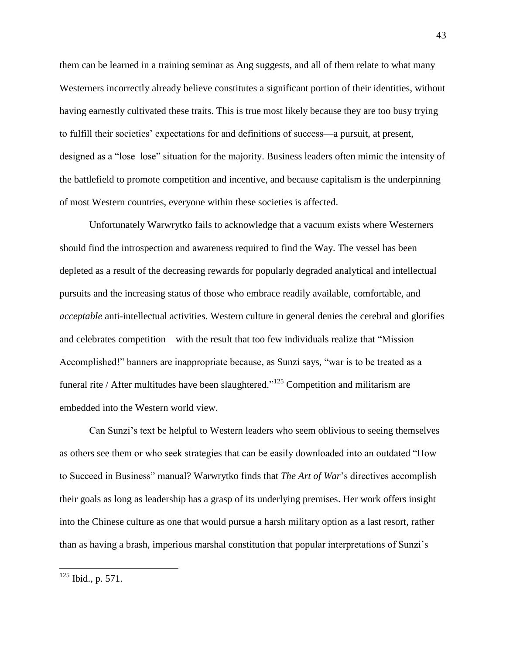them can be learned in a training seminar as Ang suggests, and all of them relate to what many Westerners incorrectly already believe constitutes a significant portion of their identities, without having earnestly cultivated these traits. This is true most likely because they are too busy trying to fulfill their societies' expectations for and definitions of success—a pursuit, at present, designed as a "lose-lose" situation for the majority. Business leaders often mimic the intensity of the battlefield to promote competition and incentive, and because capitalism is the underpinning of most Western countries, everyone within these societies is affected.

Unfortunately Warwrytko fails to acknowledge that a vacuum exists where Westerners should find the introspection and awareness required to find the Way. The vessel has been depleted as a result of the decreasing rewards for popularly degraded analytical and intellectual pursuits and the increasing status of those who embrace readily available, comfortable, and *acceptable* anti-intellectual activities. Western culture in general denies the cerebral and glorifies and celebrates competition—with the result that too few individuals realize that "Mission Accomplished!" banners are inappropriate because, as Sunzi says, "war is to be treated as a funeral rite / After multitudes have been slaughtered."<sup>125</sup> Competition and militarism are embedded into the Western world view.

Can Sunzi's text be helpful to Western leaders who seem oblivious to seeing themselves as others see them or who seek strategies that can be easily downloaded into an outdated "How to Succeed in Business" manual? Warwrytko finds that *The Art of War*'s directives accomplish their goals as long as leadership has a grasp of its underlying premises. Her work offers insight into the Chinese culture as one that would pursue a harsh military option as a last resort, rather than as having a brash, imperious marshal constitution that popular interpretations of Sunzi's

 $125$  Ibid., p. 571.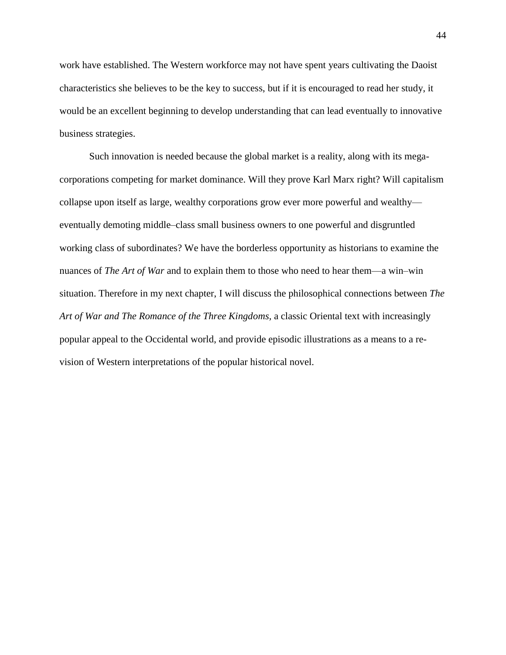work have established. The Western workforce may not have spent years cultivating the Daoist characteristics she believes to be the key to success, but if it is encouraged to read her study, it would be an excellent beginning to develop understanding that can lead eventually to innovative business strategies.

Such innovation is needed because the global market is a reality, along with its megacorporations competing for market dominance. Will they prove Karl Marx right? Will capitalism collapse upon itself as large, wealthy corporations grow ever more powerful and wealthy eventually demoting middle–class small business owners to one powerful and disgruntled working class of subordinates? We have the borderless opportunity as historians to examine the nuances of *The Art of War* and to explain them to those who need to hear them—a win—win situation. Therefore in my next chapter, I will discuss the philosophical connections between *The Art of War and The Romance of the Three Kingdoms,* a classic Oriental text with increasingly popular appeal to the Occidental world, and provide episodic illustrations as a means to a revision of Western interpretations of the popular historical novel.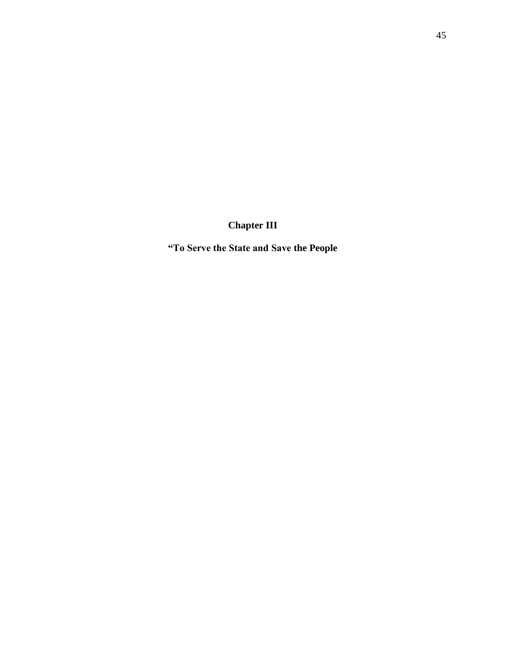**Chapter III**

**"To Serve the State and Save the People**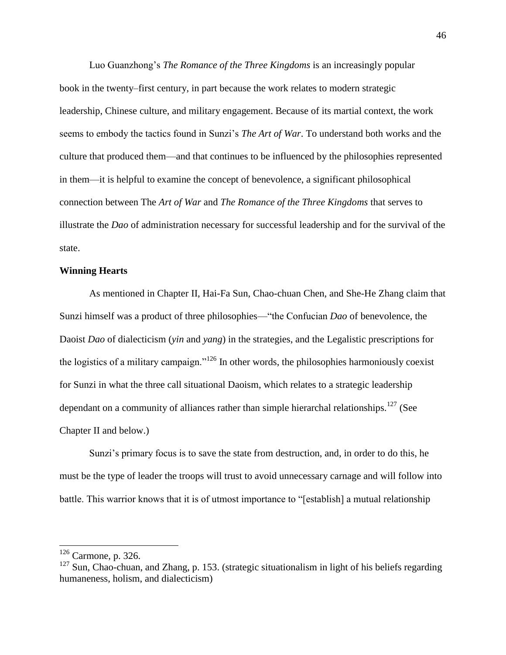Luo Guanzhong's *The Romance of the Three Kingdoms* is an increasingly popular book in the twenty‒first century, in part because the work relates to modern strategic leadership, Chinese culture, and military engagement. Because of its martial context, the work seems to embody the tactics found in Sunzi's *The Art of War*. To understand both works and the culture that produced them—and that continues to be influenced by the philosophies represented in them—it is helpful to examine the concept of benevolence, a significant philosophical connection between The *Art of War* and *The Romance of the Three Kingdoms* that serves to illustrate the *Dao* of administration necessary for successful leadership and for the survival of the state.

# **Winning Hearts**

As mentioned in Chapter II, Hai-Fa Sun, Chao-chuan Chen, and She-He Zhang claim that Sunzi himself was a product of three philosophies—"the Confucian *Dao* of benevolence, the Daoist *Dao* of dialecticism (*yin* and *yang*) in the strategies, and the Legalistic prescriptions for the logistics of a military campaign."<sup>126</sup> In other words, the philosophies harmoniously coexist for Sunzi in what the three call situational Daoism, which relates to a strategic leadership dependant on a community of alliances rather than simple hierarchal relationships.<sup>127</sup> (See Chapter II and below.)

Sunzi's primary focus is to save the state from destruction, and, in order to do this, he must be the type of leader the troops will trust to avoid unnecessary carnage and will follow into battle. This warrior knows that it is of utmost importance to "[establish] a mutual relationship

 $\overline{a}$ 

 $126$  Carmone, p. 326.

 $127$  Sun, Chao-chuan, and Zhang, p. 153. (strategic situationalism in light of his beliefs regarding humaneness, holism, and dialecticism)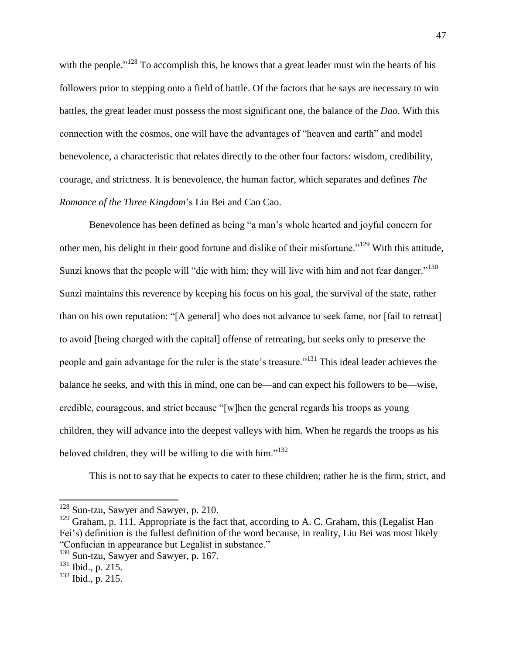with the people."<sup>128</sup> To accomplish this, he knows that a great leader must win the hearts of his followers prior to stepping onto a field of battle. Of the factors that he says are necessary to win battles, the great leader must possess the most significant one, the balance of the *Dao*. With this connection with the cosmos, one will have the advantages of "heaven and earth" and model benevolence, a characteristic that relates directly to the other four factors: wisdom, credibility, courage, and strictness. It is benevolence, the human factor, which separates and defines *The Romance of the Three Kingdom*'s Liu Bei and Cao Cao.

Benevolence has been defined as being "a man's whole hearted and joyful concern for other men, his delight in their good fortune and dislike of their misfortune."<sup>129</sup> With this attitude, Sunzi knows that the people will "die with him; they will live with him and not fear danger."<sup>130</sup> Sunzi maintains this reverence by keeping his focus on his goal, the survival of the state, rather than on his own reputation: "[A general] who does not advance to seek fame, nor [fail to retreat] to avoid [being charged with the capital] offense of retreating, but seeks only to preserve the people and gain advantage for the ruler is the state's treasure."<sup>131</sup> This ideal leader achieves the balance he seeks, and with this in mind, one can be—and can expect his followers to be—wise, credible, courageous, and strict because "[w]hen the general regards his troops as young children, they will advance into the deepest valleys with him. When he regards the troops as his beloved children, they will be willing to die with him." $132$ 

This is not to say that he expects to cater to these children; rather he is the firm, strict, and

<sup>&</sup>lt;sup>128</sup> Sun-tzu, Sawyer and Sawyer, p. 210.

<sup>&</sup>lt;sup>129</sup> Graham, p. 111. Appropriate is the fact that, according to A. C. Graham, this (Legalist Han Fei's) definition is the fullest definition of the word because, in reality, Liu Bei was most likely "Confucian in appearance but Legalist in substance."

<sup>&</sup>lt;sup>130</sup> Sun-tzu, Sawyer and Sawyer, p. 167.

<sup>131</sup> Ibid., p. 215.

 $132$  Ibid., p. 215.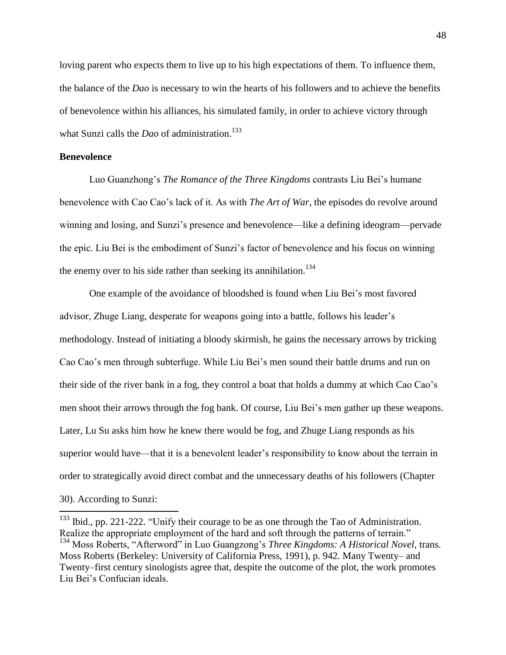loving parent who expects them to live up to his high expectations of them. To influence them, the balance of the *Dao* is necessary to win the hearts of his followers and to achieve the benefits of benevolence within his alliances, his simulated family, in order to achieve victory through what Sunzi calls the *Dao* of administration. 133

# **Benevolence**

 $\overline{\phantom{a}}$ 

Luo Guanzhong's *The Romance of the Three Kingdoms* contrasts Liu Bei's humane benevolence with Cao Cao's lack of it. As with *The Art of War*, the episodes do revolve around winning and losing, and Sunzi's presence and benevolence—like a defining ideogram—pervade the epic. Liu Bei is the embodiment of Sunzi's factor of benevolence and his focus on winning the enemy over to his side rather than seeking its annihilation.<sup>134</sup>

One example of the avoidance of bloodshed is found when Liu Bei's most favored advisor, Zhuge Liang, desperate for weapons going into a battle, follows his leader's methodology. Instead of initiating a bloody skirmish, he gains the necessary arrows by tricking Cao Cao's men through subterfuge. While Liu Bei's men sound their battle drums and run on their side of the river bank in a fog, they control a boat that holds a dummy at which Cao Cao's men shoot their arrows through the fog bank. Of course, Liu Bei's men gather up these weapons. Later, Lu Su asks him how he knew there would be fog, and Zhuge Liang responds as his superior would have—that it is a benevolent leader's responsibility to know about the terrain in order to strategically avoid direct combat and the unnecessary deaths of his followers (Chapter 30). According to Sunzi:

 $133$  Ibid., pp. 221-222. "Unify their courage to be as one through the Tao of Administration. Realize the appropriate employment of the hard and soft through the patterns of terrain." <sup>134</sup> Moss Roberts, "Afterword" in Luo Guangzong's *Three Kingdoms: A Historical Novel*, trans. Moss Roberts (Berkeley: University of California Press, 1991), p. 942. Many Twenty– and Twenty–first century sinologists agree that, despite the outcome of the plot, the work promotes Liu Bei's Confucian ideals.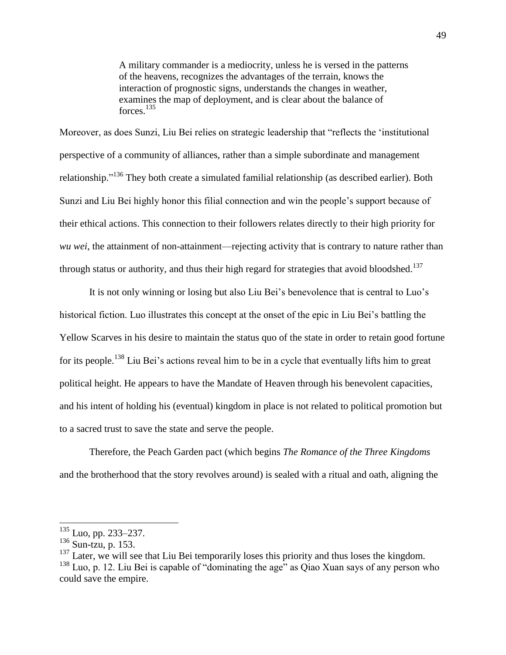A military commander is a mediocrity, unless he is versed in the patterns of the heavens, recognizes the advantages of the terrain, knows the interaction of prognostic signs, understands the changes in weather, examines the map of deployment, and is clear about the balance of forces. 135

Moreover, as does Sunzi, Liu Bei relies on strategic leadership that "reflects the 'institutional perspective of a community of alliances, rather than a simple subordinate and management relationship."<sup>136</sup> They both create a simulated familial relationship (as described earlier). Both Sunzi and Liu Bei highly honor this filial connection and win the people's support because of their ethical actions. This connection to their followers relates directly to their high priority for *wu wei*, the attainment of non-attainment—rejecting activity that is contrary to nature rather than through status or authority, and thus their high regard for strategies that avoid bloodshed.<sup>137</sup>

It is not only winning or losing but also Liu Bei's benevolence that is central to Luo's historical fiction. Luo illustrates this concept at the onset of the epic in Liu Bei's battling the Yellow Scarves in his desire to maintain the status quo of the state in order to retain good fortune for its people.<sup>138</sup> Liu Bei's actions reveal him to be in a cycle that eventually lifts him to great political height. He appears to have the Mandate of Heaven through his benevolent capacities, and his intent of holding his (eventual) kingdom in place is not related to political promotion but to a sacred trust to save the state and serve the people.

Therefore, the Peach Garden pact (which begins *The Romance of the Three Kingdoms* and the brotherhood that the story revolves around) is sealed with a ritual and oath, aligning the

 $135$  Luo, pp. 233–237.

 $136$  Sun-tzu, p. 153.

 $137$  Later, we will see that Liu Bei temporarily loses this priority and thus loses the kingdom.  $138$  Luo, p. 12. Liu Bei is capable of "dominating the age" as Qiao Xuan says of any person who could save the empire.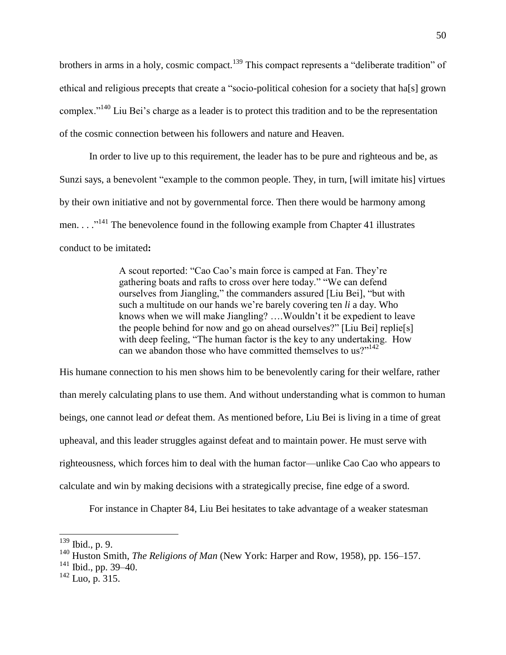brothers in arms in a holy, cosmic compact.<sup>139</sup> This compact represents a "deliberate tradition" of ethical and religious precepts that create a "socio-political cohesion for a society that ha[s] grown complex."<sup>140</sup> Liu Bei's charge as a leader is to protect this tradition and to be the representation of the cosmic connection between his followers and nature and Heaven.

In order to live up to this requirement, the leader has to be pure and righteous and be, as Sunzi says, a benevolent "example to the common people. They, in turn, [will imitate his] virtues by their own initiative and not by governmental force. Then there would be harmony among men.  $\ldots$ <sup>141</sup> The benevolence found in the following example from Chapter 41 illustrates conduct to be imitated**:**

> A scout reported: "Cao Cao's main force is camped at Fan. They're gathering boats and rafts to cross over here today." "We can defend ourselves from Jiangling," the commanders assured [Liu Bei], "but with such a multitude on our hands we're barely covering ten *li* a day. Who knows when we will make Jiangling? ….Wouldn't it be expedient to leave the people behind for now and go on ahead ourselves?" [Liu Bei] replie[s] with deep feeling, "The human factor is the key to any undertaking. How can we abandon those who have committed themselves to us?"<sup>142</sup>

His humane connection to his men shows him to be benevolently caring for their welfare, rather than merely calculating plans to use them. And without understanding what is common to human beings, one cannot lead *or* defeat them. As mentioned before, Liu Bei is living in a time of great upheaval, and this leader struggles against defeat and to maintain power. He must serve with righteousness, which forces him to deal with the human factor—unlike Cao Cao who appears to calculate and win by making decisions with a strategically precise, fine edge of a sword.

For instance in Chapter 84, Liu Bei hesitates to take advantage of a weaker statesman

l

 $141$  Ibid., pp. 39–40.

 $139$  Ibid., p. 9.

<sup>&</sup>lt;sup>140</sup> Huston Smith, *The Religions of Man* (New York: Harper and Row, 1958), pp. 156–157.

 $142$  Luo, p. 315.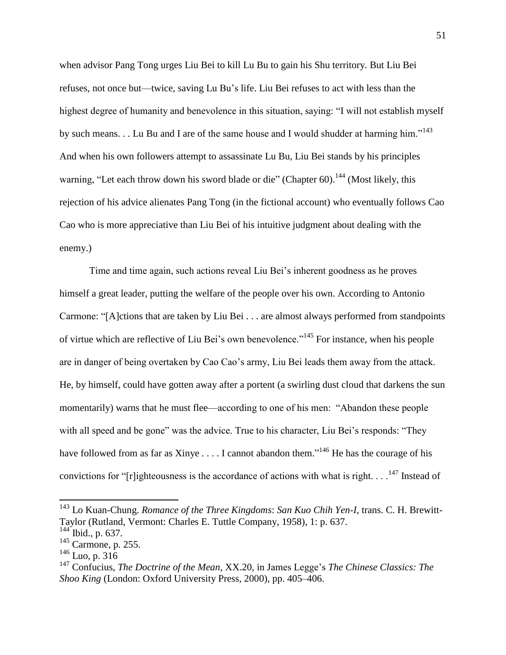when advisor Pang Tong urges Liu Bei to kill Lu Bu to gain his Shu territory. But Liu Bei refuses, not once but—twice, saving Lu Bu's life. Liu Bei refuses to act with less than the highest degree of humanity and benevolence in this situation, saying: "I will not establish myself by such means. . . Lu Bu and I are of the same house and I would shudder at harming him."<sup>143</sup> And when his own followers attempt to assassinate Lu Bu, Liu Bei stands by his principles warning, "Let each throw down his sword blade or die" (Chapter 60).<sup>144</sup> (Most likely, this rejection of his advice alienates Pang Tong (in the fictional account) who eventually follows Cao Cao who is more appreciative than Liu Bei of his intuitive judgment about dealing with the enemy.)

Time and time again, such actions reveal Liu Bei's inherent goodness as he proves himself a great leader, putting the welfare of the people over his own. According to Antonio Carmone: "[A]ctions that are taken by Liu Bei . . . are almost always performed from standpoints of virtue which are reflective of Liu Bei's own benevolence."<sup>145</sup> For instance, when his people are in danger of being overtaken by Cao Cao's army, Liu Bei leads them away from the attack. He, by himself, could have gotten away after a portent (a swirling dust cloud that darkens the sun momentarily) warns that he must flee—according to one of his men: "Abandon these people with all speed and be gone" was the advice. True to his character, Liu Bei's responds: "They have followed from as far as Xinye . . . . I cannot abandon them.<sup> $146$ </sup> He has the courage of his convictions for "[r]ighteousness is the accordance of actions with what is right.  $\ldots$ <sup>147</sup> Instead of

<sup>143</sup> Lo Kuan-Chung. *Romance of the Three Kingdoms*: *San Kuo Chih Yen-I*, trans. C. H. Brewitt-Taylor (Rutland, Vermont: Charles E. Tuttle Company, 1958), 1: p. 637.

<sup>&</sup>lt;sup>144</sup> Ibid., p. 637.

 $145$  Carmone, p. 255.

 $146$  Luo, p. 316

<sup>147</sup> Confucius, *The Doctrine of the Mean*, XX.20, in James Legge's *The Chinese Classics: The Shoo King* (London: Oxford University Press, 2000), pp. 405–406.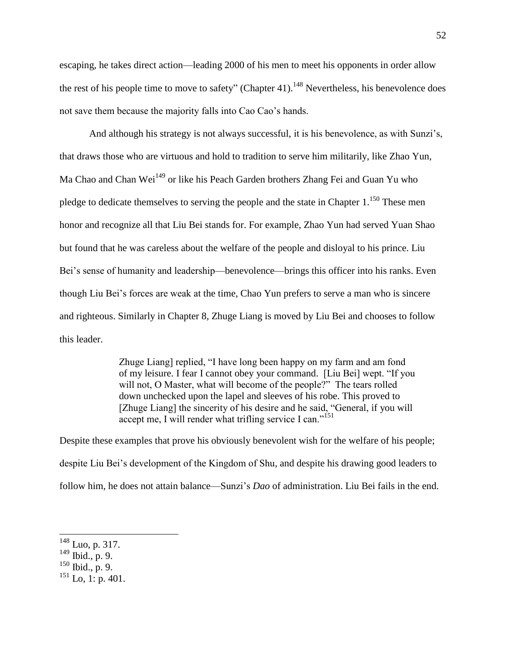escaping, he takes direct action—leading 2000 of his men to meet his opponents in order allow the rest of his people time to move to safety" (Chapter 41).<sup>148</sup> Nevertheless, his benevolence does not save them because the majority falls into Cao Cao's hands.

And although his strategy is not always successful, it is his benevolence, as with Sunzi's, that draws those who are virtuous and hold to tradition to serve him militarily, like Zhao Yun, Ma Chao and Chan Wei<sup>149</sup> or like his Peach Garden brothers Zhang Fei and Guan Yu who pledge to dedicate themselves to serving the people and the state in Chapter  $1.^{150}$  These men honor and recognize all that Liu Bei stands for. For example, Zhao Yun had served Yuan Shao but found that he was careless about the welfare of the people and disloyal to his prince. Liu Bei's sense of humanity and leadership—benevolence—brings this officer into his ranks. Even though Liu Bei's forces are weak at the time, Chao Yun prefers to serve a man who is sincere and righteous. Similarly in Chapter 8, Zhuge Liang is moved by Liu Bei and chooses to follow this leader.

> Zhuge Liang] replied, "I have long been happy on my farm and am fond of my leisure. I fear I cannot obey your command. [Liu Bei] wept. "If you will not, O Master, what will become of the people?" The tears rolled down unchecked upon the lapel and sleeves of his robe. This proved to [Zhuge Liang] the sincerity of his desire and he said, "General, if you will accept me, I will render what trifling service I can."<sup>151</sup>

Despite these examples that prove his obviously benevolent wish for the welfare of his people; despite Liu Bei's development of the Kingdom of Shu, and despite his drawing good leaders to follow him, he does not attain balance—Sunzi's *Dao* of administration. Liu Bei fails in the end.

 $148$  Luo, p. 317.

 $149$  Ibid., p. 9.

 $150$  Ibid., p. 9.

 $^{151}$  Lo, 1: p. 401.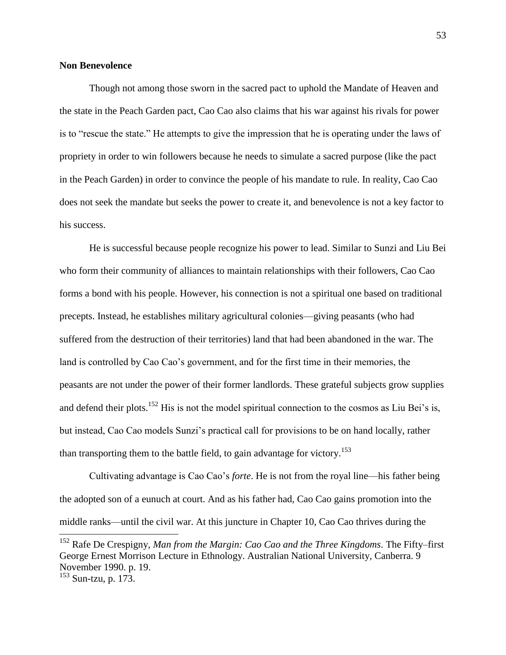# **Non Benevolence**

Though not among those sworn in the sacred pact to uphold the Mandate of Heaven and the state in the Peach Garden pact, Cao Cao also claims that his war against his rivals for power is to "rescue the state." He attempts to give the impression that he is operating under the laws of propriety in order to win followers because he needs to simulate a sacred purpose (like the pact in the Peach Garden) in order to convince the people of his mandate to rule. In reality, Cao Cao does not seek the mandate but seeks the power to create it, and benevolence is not a key factor to his success.

He is successful because people recognize his power to lead. Similar to Sunzi and Liu Bei who form their community of alliances to maintain relationships with their followers, Cao Cao forms a bond with his people. However, his connection is not a spiritual one based on traditional precepts. Instead, he establishes military agricultural colonies—giving peasants (who had suffered from the destruction of their territories) land that had been abandoned in the war. The land is controlled by Cao Cao's government, and for the first time in their memories, the peasants are not under the power of their former landlords. These grateful subjects grow supplies and defend their plots.<sup>152</sup> His is not the model spiritual connection to the cosmos as Liu Bei's is, but instead, Cao Cao models Sunzi's practical call for provisions to be on hand locally, rather than transporting them to the battle field, to gain advantage for victory.<sup>153</sup>

Cultivating advantage is Cao Cao's *forte*. He is not from the royal line—his father being the adopted son of a eunuch at court. And as his father had, Cao Cao gains promotion into the middle ranks—until the civil war. At this juncture in Chapter 10, Cao Cao thrives during the

<sup>&</sup>lt;sup>152</sup> Rafe De Crespigny, *Man from the Margin: Cao Cao and the Three Kingdoms*. The Fifty–first George Ernest Morrison Lecture in Ethnology. Australian National University, Canberra. 9 November 1990. p. 19.

 $153$  Sun-tzu, p. 173.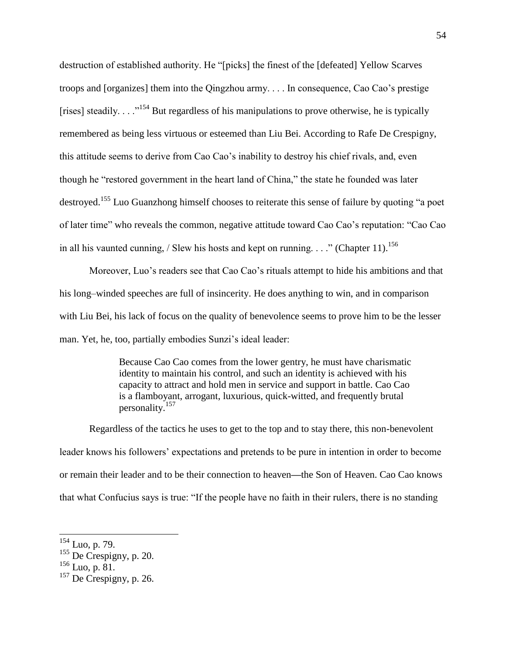destruction of established authority. He "[picks] the finest of the [defeated] Yellow Scarves troops and [organizes] them into the Qingzhou army. . . . In consequence, Cao Cao's prestige [rises] steadily. . . .  $\cdot$  .<sup>154</sup> But regardless of his manipulations to prove otherwise, he is typically remembered as being less virtuous or esteemed than Liu Bei. According to Rafe De Crespigny, this attitude seems to derive from Cao Cao's inability to destroy his chief rivals, and, even though he "restored government in the heart land of China," the state he founded was later destroyed.<sup>155</sup> Luo Guanzhong himself chooses to reiterate this sense of failure by quoting "a poet of later time" who reveals the common, negative attitude toward Cao Cao's reputation: "Cao Cao in all his vaunted cunning, / Slew his hosts and kept on running.  $\ldots$  " (Chapter 11).<sup>156</sup>

Moreover, Luo's readers see that Cao Cao's rituals attempt to hide his ambitions and that his long–winded speeches are full of insincerity. He does anything to win, and in comparison with Liu Bei, his lack of focus on the quality of benevolence seems to prove him to be the lesser man. Yet, he, too, partially embodies Sunzi's ideal leader:

> Because Cao Cao comes from the lower gentry, he must have charismatic identity to maintain his control, and such an identity is achieved with his capacity to attract and hold men in service and support in battle. Cao Cao is a flamboyant, arrogant, luxurious, quick-witted, and frequently brutal personality.<sup>157</sup>

Regardless of the tactics he uses to get to the top and to stay there, this non-benevolent leader knows his followers' expectations and pretends to be pure in intention in order to become or remain their leader and to be their connection to heaven**—**the Son of Heaven. Cao Cao knows that what Confucius says is true: "If the people have no faith in their rulers, there is no standing

 $154$  Luo, p. 79.

 $155$  De Crespigny, p. 20.

 $^{156}$  Luo, p. 81.

 $157$  De Crespigny, p. 26.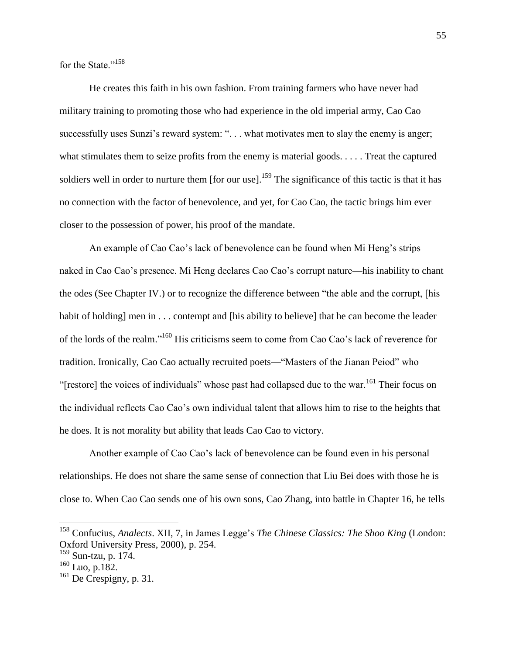for the State."<sup>158</sup>

He creates this faith in his own fashion. From training farmers who have never had military training to promoting those who had experience in the old imperial army, Cao Cao successfully uses Sunzi's reward system: "... what motivates men to slay the enemy is anger; what stimulates them to seize profits from the enemy is material goods. . . . . Treat the captured soldiers well in order to nurture them [for our use].<sup>159</sup> The significance of this tactic is that it has no connection with the factor of benevolence, and yet, for Cao Cao, the tactic brings him ever closer to the possession of power, his proof of the mandate.

An example of Cao Cao's lack of benevolence can be found when Mi Heng's strips naked in Cao Cao's presence. Mi Heng declares Cao Cao's corrupt nature—his inability to chant the odes (See Chapter IV.) or to recognize the difference between "the able and the corrupt, [his habit of holding] men in . . . contempt and [his ability to believe] that he can become the leader of the lords of the realm."<sup>160</sup> His criticisms seem to come from Cao Cao's lack of reverence for tradition. Ironically, Cao Cao actually recruited poets—"Masters of the Jianan Peiod" who "[restore] the voices of individuals" whose past had collapsed due to the war.<sup>161</sup> Their focus on the individual reflects Cao Cao's own individual talent that allows him to rise to the heights that he does. It is not morality but ability that leads Cao Cao to victory.

Another example of Cao Cao's lack of benevolence can be found even in his personal relationships. He does not share the same sense of connection that Liu Bei does with those he is close to. When Cao Cao sends one of his own sons, Cao Zhang, into battle in Chapter 16, he tells

<sup>158</sup> Confucius, *Analects*. XII, 7, in James Legge's *The Chinese Classics: The Shoo King* (London: Oxford University Press, 2000), p. 254.

<sup>159</sup> Sun-tzu, p. 174.

<sup>160</sup> Luo, p.182.

 $161$  De Crespigny, p. 31.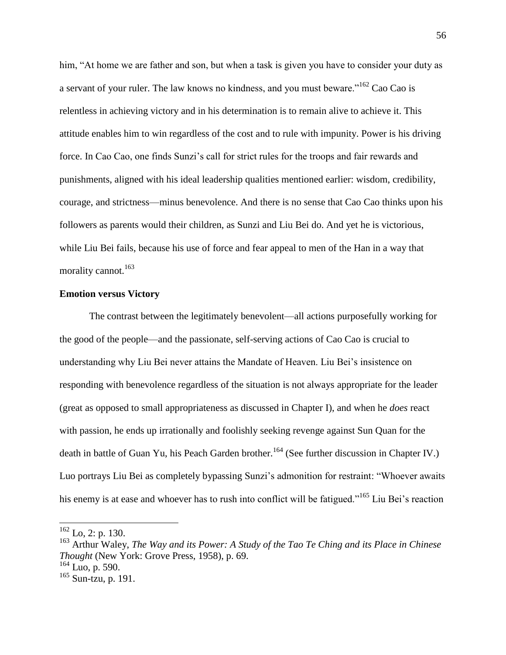him, "At home we are father and son, but when a task is given you have to consider your duty as a servant of your ruler. The law knows no kindness, and you must beware."<sup>162</sup> Cao Cao is relentless in achieving victory and in his determination is to remain alive to achieve it. This attitude enables him to win regardless of the cost and to rule with impunity. Power is his driving force. In Cao Cao, one finds Sunzi's call for strict rules for the troops and fair rewards and punishments, aligned with his ideal leadership qualities mentioned earlier: wisdom, credibility, courage, and strictness—minus benevolence. And there is no sense that Cao Cao thinks upon his followers as parents would their children, as Sunzi and Liu Bei do. And yet he is victorious, while Liu Bei fails, because his use of force and fear appeal to men of the Han in a way that morality cannot.<sup>163</sup>

#### **Emotion versus Victory**

The contrast between the legitimately benevolent—all actions purposefully working for the good of the people—and the passionate, self-serving actions of Cao Cao is crucial to understanding why Liu Bei never attains the Mandate of Heaven. Liu Bei's insistence on responding with benevolence regardless of the situation is not always appropriate for the leader (great as opposed to small appropriateness as discussed in Chapter I), and when he *does* react with passion, he ends up irrationally and foolishly seeking revenge against Sun Quan for the death in battle of Guan Yu, his Peach Garden brother.<sup>164</sup> (See further discussion in Chapter IV.) Luo portrays Liu Bei as completely bypassing Sunzi's admonition for restraint: "Whoever awaits his enemy is at ease and whoever has to rush into conflict will be fatigued."<sup>165</sup> Liu Bei's reaction

 $162$  Lo, 2: p. 130.

<sup>163</sup> Arthur Waley, *The Way and its Power: A Study of the Tao Te Ching and its Place in Chinese Thought* (New York: Grove Press, 1958), p. 69.

<sup>164</sup> Luo, p. 590.

 $165$  Sun-tzu, p. 191.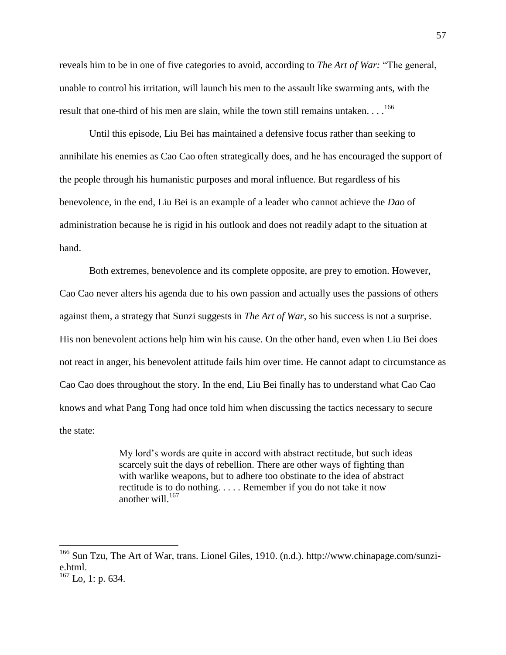reveals him to be in one of five categories to avoid, according to *The Art of War:* "The general, unable to control his irritation, will launch his men to the assault like swarming ants, with the result that one-third of his men are slain, while the town still remains untaken.  $\ldots$ <sup>166</sup>

Until this episode, Liu Bei has maintained a defensive focus rather than seeking to annihilate his enemies as Cao Cao often strategically does, and he has encouraged the support of the people through his humanistic purposes and moral influence. But regardless of his benevolence, in the end, Liu Bei is an example of a leader who cannot achieve the *Dao* of administration because he is rigid in his outlook and does not readily adapt to the situation at hand.

Both extremes, benevolence and its complete opposite, are prey to emotion. However, Cao Cao never alters his agenda due to his own passion and actually uses the passions of others against them, a strategy that Sunzi suggests in *The Art of War*, so his success is not a surprise. His non benevolent actions help him win his cause. On the other hand, even when Liu Bei does not react in anger, his benevolent attitude fails him over time. He cannot adapt to circumstance as Cao Cao does throughout the story. In the end, Liu Bei finally has to understand what Cao Cao knows and what Pang Tong had once told him when discussing the tactics necessary to secure the state:

> My lord's words are quite in accord with abstract rectitude, but such ideas scarcely suit the days of rebellion. There are other ways of fighting than with warlike weapons, but to adhere too obstinate to the idea of abstract rectitude is to do nothing. . . . . Remember if you do not take it now another will. 167

 $\overline{a}$ 

<sup>&</sup>lt;sup>166</sup> Sun Tzu, The Art of War, trans. Lionel Giles, 1910. (n.d.). http://www.chinapage.com/sunzie.html.

 $167$  Lo, 1: p. 634.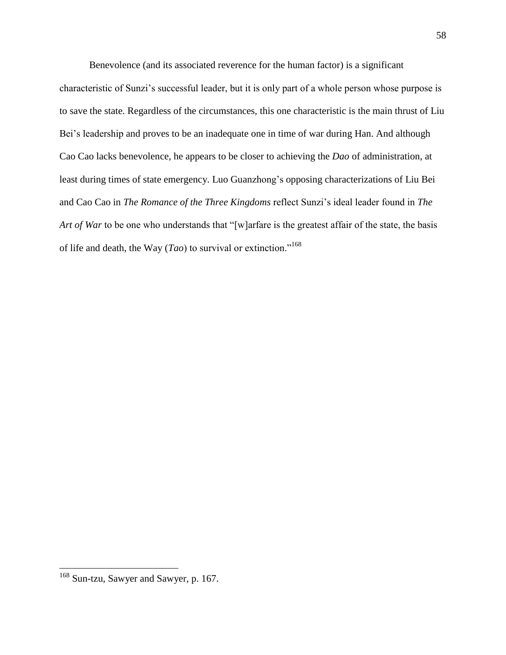Benevolence (and its associated reverence for the human factor) is a significant characteristic of Sunzi's successful leader, but it is only part of a whole person whose purpose is to save the state. Regardless of the circumstances, this one characteristic is the main thrust of Liu Bei's leadership and proves to be an inadequate one in time of war during Han. And although Cao Cao lacks benevolence, he appears to be closer to achieving the *Dao* of administration, at least during times of state emergency. Luo Guanzhong's opposing characterizations of Liu Bei and Cao Cao in *The Romance of the Three Kingdoms* reflect Sunzi's ideal leader found in *The Art of War* to be one who understands that "[w]arfare is the greatest affair of the state, the basis of life and death, the Way ( $Tao$ ) to survival or extinction."<sup>168</sup>

<sup>&</sup>lt;sup>168</sup> Sun-tzu, Sawyer and Sawyer, p. 167.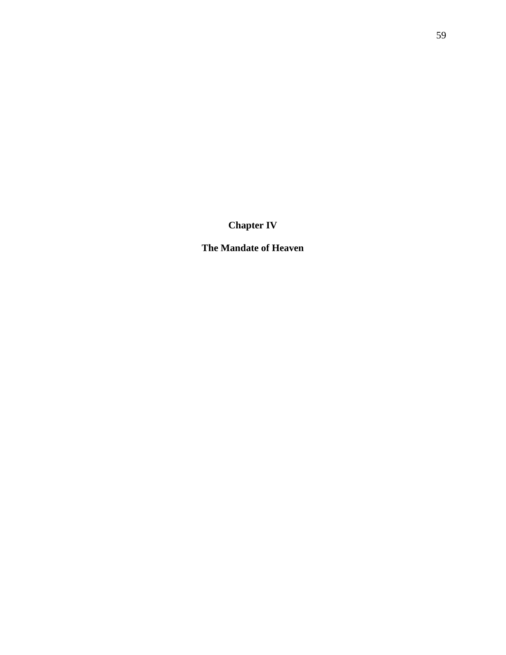**Chapter IV**

**The Mandate of Heaven**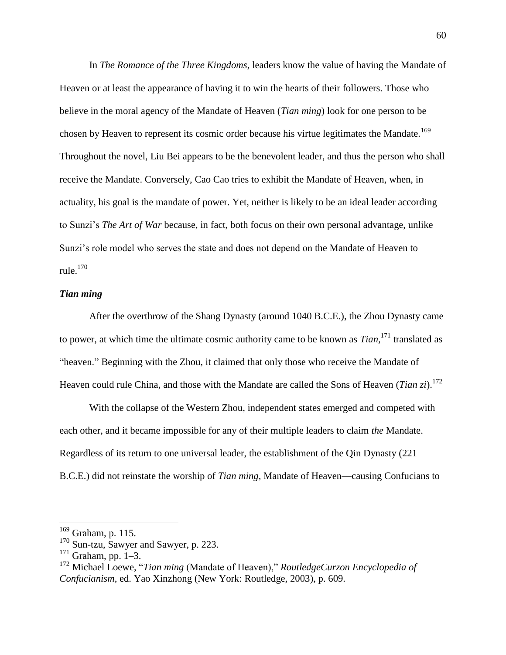In *The Romance of the Three Kingdoms*, leaders know the value of having the Mandate of Heaven or at least the appearance of having it to win the hearts of their followers. Those who believe in the moral agency of the Mandate of Heaven (*Tian ming*) look for one person to be chosen by Heaven to represent its cosmic order because his virtue legitimates the Mandate.<sup>169</sup> Throughout the novel, Liu Bei appears to be the benevolent leader, and thus the person who shall receive the Mandate. Conversely, Cao Cao tries to exhibit the Mandate of Heaven, when, in actuality, his goal is the mandate of power. Yet, neither is likely to be an ideal leader according to Sunzi's *The Art of War* because, in fact, both focus on their own personal advantage, unlike Sunzi's role model who serves the state and does not depend on the Mandate of Heaven to rule. $170$ 

#### *Tian ming*

After the overthrow of the Shang Dynasty (around 1040 B.C.E.), the Zhou Dynasty came to power, at which time the ultimate cosmic authority came to be known as *Tian,*<sup>171</sup> translated as "heaven." Beginning with the Zhou, it claimed that only those who receive the Mandate of Heaven could rule China, and those with the Mandate are called the Sons of Heaven (*Tian zi*).<sup>172</sup>

With the collapse of the Western Zhou, independent states emerged and competed with each other, and it became impossible for any of their multiple leaders to claim *the* Mandate. Regardless of its return to one universal leader, the establishment of the Qin Dynasty (221 B.C.E.) did not reinstate the worship of *Tian ming,* Mandate of Heaven—causing Confucians to

 $169$  Graham, p. 115.

<sup>170</sup> Sun-tzu, Sawyer and Sawyer, p. 223.

 $171$  Graham, pp. 1–3.

<sup>172</sup> Michael Loewe, "*Tian ming* (Mandate of Heaven)," *RoutledgeCurzon Encyclopedia of Confucianism*, ed. Yao Xinzhong (New York: Routledge, 2003), p. 609.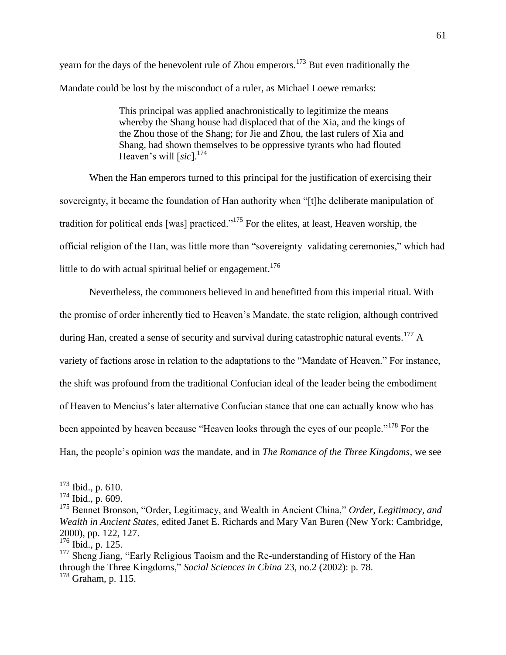yearn for the days of the benevolent rule of Zhou emperors.<sup>173</sup> But even traditionally the Mandate could be lost by the misconduct of a ruler, as Michael Loewe remarks:

> This principal was applied anachronistically to legitimize the means whereby the Shang house had displaced that of the Xia, and the kings of the Zhou those of the Shang; for Jie and Zhou, the last rulers of Xia and Shang, had shown themselves to be oppressive tyrants who had flouted Heaven's will [sic].<sup>174</sup>

When the Han emperors turned to this principal for the justification of exercising their sovereignty, it became the foundation of Han authority when "[t]he deliberate manipulation of tradition for political ends [was] practiced."<sup>175</sup> For the elites, at least, Heaven worship, the official religion of the Han, was little more than "sovereignty-validating ceremonies," which had little to do with actual spiritual belief or engagement.<sup>176</sup>

Nevertheless, the commoners believed in and benefitted from this imperial ritual. With the promise of order inherently tied to Heaven's Mandate, the state religion, although contrived during Han, created a sense of security and survival during catastrophic natural events.<sup>177</sup> A variety of factions arose in relation to the adaptations to the "Mandate of Heaven." For instance, the shift was profound from the traditional Confucian ideal of the leader being the embodiment of Heaven to Mencius's later alternative Confucian stance that one can actually know who has been appointed by heaven because "Heaven looks through the eyes of our people."<sup>178</sup> For the Han, the people's opinion *was* the mandate, and in *The Romance of the Three Kingdoms*, we see

 $\overline{a}$ 

 $173$  Ibid., p. 610.

<sup>174</sup> Ibid., p. 609.

<sup>175</sup> Bennet Bronson, "Order, Legitimacy, and Wealth in Ancient China," *Order, Legitimacy, and Wealth in Ancient States,* edited Janet E. Richards and Mary Van Buren (New York: Cambridge, 2000), pp. 122, 127.

 $176$  Ibid., p. 125.

<sup>&</sup>lt;sup>177</sup> Sheng Jiang, "Early Religious Taoism and the Re-understanding of History of the Han through the Three Kingdoms," *Social Sciences in China* 23, no.2 (2002): p. 78.

<sup>&</sup>lt;sup>178</sup> Graham, p. 115.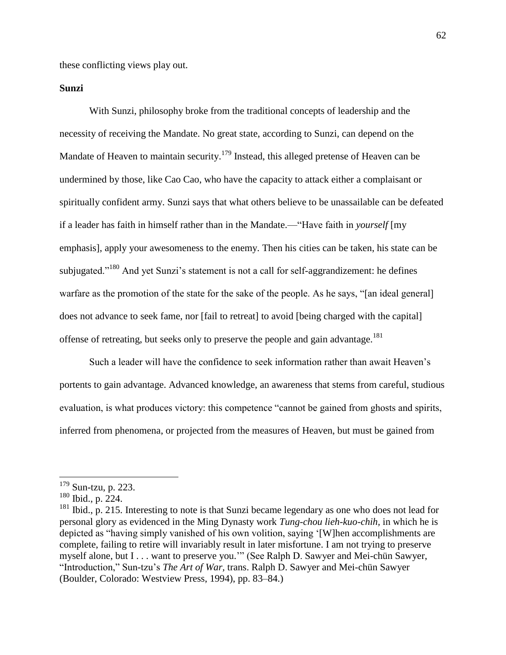these conflicting views play out.

## **Sunzi**

With Sunzi, philosophy broke from the traditional concepts of leadership and the necessity of receiving the Mandate. No great state, according to Sunzi, can depend on the Mandate of Heaven to maintain security.<sup>179</sup> Instead, this alleged pretense of Heaven can be undermined by those, like Cao Cao, who have the capacity to attack either a complaisant or spiritually confident army. Sunzi says that what others believe to be unassailable can be defeated if a leader has faith in himself rather than in the Mandate.—"Have faith in *yourself* [my emphasis], apply your awesomeness to the enemy. Then his cities can be taken, his state can be subjugated."<sup>180</sup> And yet Sunzi's statement is not a call for self-aggrandizement: he defines warfare as the promotion of the state for the sake of the people. As he says, "[an ideal general] does not advance to seek fame, nor [fail to retreat] to avoid [being charged with the capital] offense of retreating, but seeks only to preserve the people and gain advantage.<sup>181</sup>

Such a leader will have the confidence to seek information rather than await Heaven's portents to gain advantage. Advanced knowledge, an awareness that stems from careful, studious evaluation, is what produces victory: this competence "cannot be gained from ghosts and spirits, inferred from phenomena, or projected from the measures of Heaven, but must be gained from

 $\overline{a}$ 

 $179$  Sun-tzu, p. 223.

<sup>180</sup> Ibid., p. 224.

<sup>&</sup>lt;sup>181</sup> Ibid., p. 215. Interesting to note is that Sunzi became legendary as one who does not lead for personal glory as evidenced in the Ming Dynasty work *Tung-chou lieh-kuo-chih,* in which he is depicted as "having simply vanished of his own volition, saying '[W]hen accomplishments are complete, failing to retire will invariably result in later misfortune. I am not trying to preserve myself alone, but I . . . want to preserve you.'" (See Ralph D. Sawyer and Mei-chün Sawyer, "Introduction," Sun-tzu's *The Art of War,* trans. Ralph D. Sawyer and Mei-chün Sawyer (Boulder, Colorado: Westview Press, 1994), pp. 83‒84.)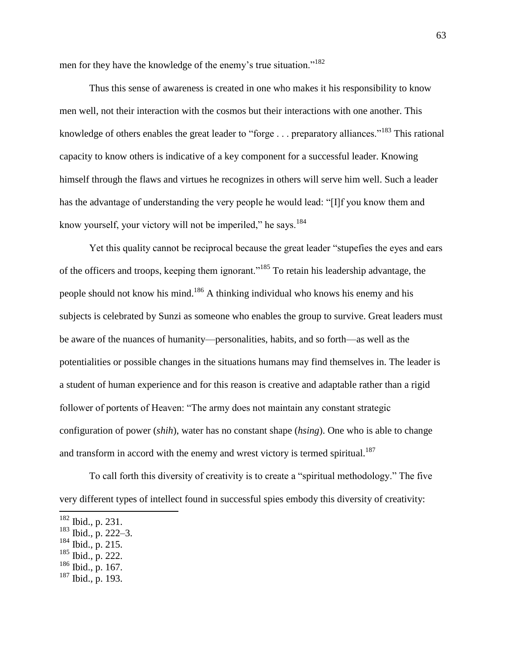men for they have the knowledge of the enemy's true situation."<sup>182</sup>

Thus this sense of awareness is created in one who makes it his responsibility to know men well, not their interaction with the cosmos but their interactions with one another. This knowledge of others enables the great leader to "forge . . . preparatory alliances."<sup>183</sup> This rational capacity to know others is indicative of a key component for a successful leader. Knowing himself through the flaws and virtues he recognizes in others will serve him well. Such a leader has the advantage of understanding the very people he would lead: "[I]f you know them and know yourself, your victory will not be imperiled," he says.<sup>184</sup>

Yet this quality cannot be reciprocal because the great leader "stupefies the eyes and ears of the officers and troops, keeping them ignorant."<sup>185</sup> To retain his leadership advantage, the people should not know his mind.<sup>186</sup> A thinking individual who knows his enemy and his subjects is celebrated by Sunzi as someone who enables the group to survive. Great leaders must be aware of the nuances of humanity—personalities, habits, and so forth—as well as the potentialities or possible changes in the situations humans may find themselves in. The leader is a student of human experience and for this reason is creative and adaptable rather than a rigid follower of portents of Heaven: "The army does not maintain any constant strategic configuration of power (*shih*), water has no constant shape (*hsing*). One who is able to change and transform in accord with the enemy and wrest victory is termed spiritual.<sup>187</sup>

To call forth this diversity of creativity is to create a "spiritual methodology." The five very different types of intellect found in successful spies embody this diversity of creativity:

 $182$  Ibid., p. 231.

<sup>&</sup>lt;sup>183</sup> Ibid., p. 222–3.

 $184$  Ibid., p. 215.

 $185$  Ibid., p. 222.

 $186$  Ibid., p. 167.

 $187$  Ibid., p. 193.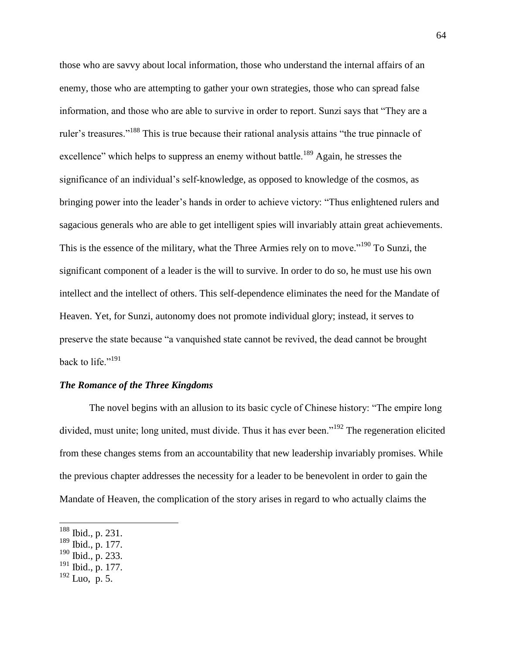those who are savvy about local information, those who understand the internal affairs of an enemy, those who are attempting to gather your own strategies, those who can spread false information, and those who are able to survive in order to report. Sunzi says that "They are a ruler's treasures."<sup>188</sup> This is true because their rational analysis attains "the true pinnacle of excellence" which helps to suppress an enemy without battle.<sup>189</sup> Again, he stresses the significance of an individual's self-knowledge, as opposed to knowledge of the cosmos, as bringing power into the leader's hands in order to achieve victory: "Thus enlightened rulers and sagacious generals who are able to get intelligent spies will invariably attain great achievements. This is the essence of the military, what the Three Armies rely on to move."<sup>190</sup> To Sunzi, the significant component of a leader is the will to survive. In order to do so, he must use his own intellect and the intellect of others. This self-dependence eliminates the need for the Mandate of Heaven. Yet, for Sunzi, autonomy does not promote individual glory; instead, it serves to preserve the state because "a vanquished state cannot be revived, the dead cannot be brought back to life."<sup>191</sup>

#### *The Romance of the Three Kingdoms*

The novel begins with an allusion to its basic cycle of Chinese history: "The empire long divided, must unite; long united, must divide. Thus it has ever been.<sup>192</sup> The regeneration elicited from these changes stems from an accountability that new leadership invariably promises. While the previous chapter addresses the necessity for a leader to be benevolent in order to gain the Mandate of Heaven, the complication of the story arises in regard to who actually claims the

<sup>188</sup> Ibid., p. 231.

<sup>189</sup> Ibid., p. 177.

 $190$  Ibid., p. 233.

 $191$  Ibid., p. 177.

 $192$  Luo, p. 5.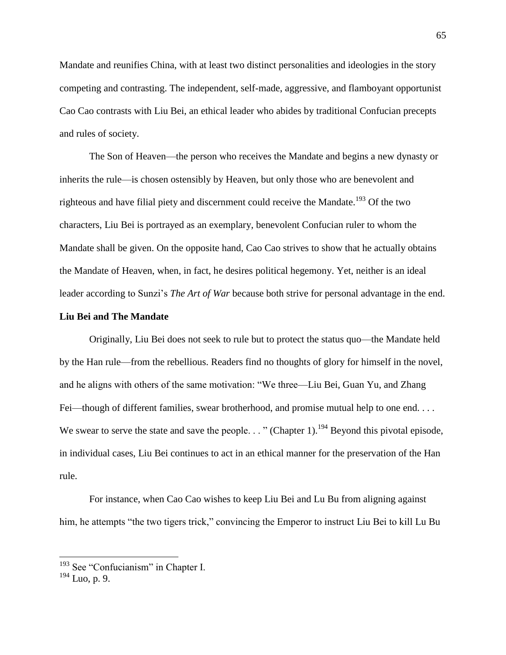Mandate and reunifies China, with at least two distinct personalities and ideologies in the story competing and contrasting. The independent, self-made, aggressive, and flamboyant opportunist Cao Cao contrasts with Liu Bei, an ethical leader who abides by traditional Confucian precepts and rules of society.

The Son of Heaven—the person who receives the Mandate and begins a new dynasty or inherits the rule—is chosen ostensibly by Heaven, but only those who are benevolent and righteous and have filial piety and discernment could receive the Mandate.<sup>193</sup> Of the two characters, Liu Bei is portrayed as an exemplary, benevolent Confucian ruler to whom the Mandate shall be given. On the opposite hand, Cao Cao strives to show that he actually obtains the Mandate of Heaven, when, in fact, he desires political hegemony. Yet, neither is an ideal leader according to Sunzi's *The Art of War* because both strive for personal advantage in the end.

#### **Liu Bei and The Mandate**

Originally, Liu Bei does not seek to rule but to protect the status quo—the Mandate held by the Han rule—from the rebellious. Readers find no thoughts of glory for himself in the novel, and he aligns with others of the same motivation: "We three—Liu Bei, Guan Yu, and Zhang Fei—though of different families, swear brotherhood, and promise mutual help to one end. . . . We swear to serve the state and save the people. . . " (Chapter 1).<sup>194</sup> Beyond this pivotal episode, in individual cases, Liu Bei continues to act in an ethical manner for the preservation of the Han rule.

For instance, when Cao Cao wishes to keep Liu Bei and Lu Bu from aligning against him, he attempts "the two tigers trick," convincing the Emperor to instruct Liu Bei to kill Lu Bu

<sup>&</sup>lt;sup>193</sup> See "Confucianism" in Chapter I.

 $194$  Luo, p. 9.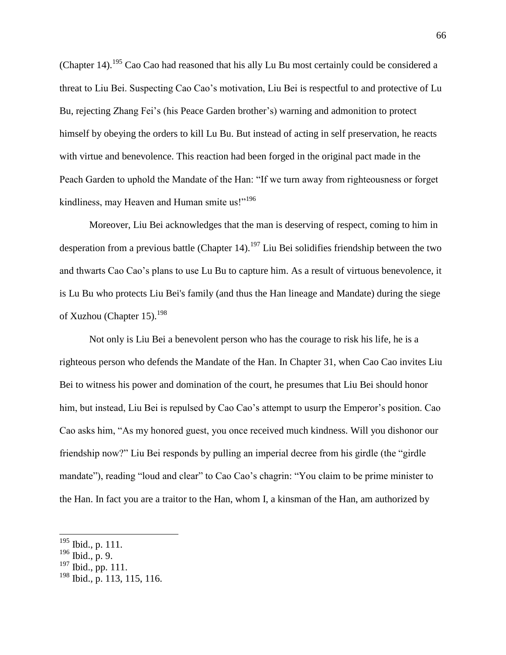(Chapter 14).<sup>195</sup> Cao Cao had reasoned that his ally Lu Bu most certainly could be considered a threat to Liu Bei. Suspecting Cao Cao's motivation, Liu Bei is respectful to and protective of Lu Bu, rejecting Zhang Fei's (his Peace Garden brother's) warning and admonition to protect himself by obeying the orders to kill Lu Bu. But instead of acting in self preservation, he reacts with virtue and benevolence. This reaction had been forged in the original pact made in the Peach Garden to uphold the Mandate of the Han: "If we turn away from righteousness or forget kindliness, may Heaven and Human smite us!"<sup>196</sup>

Moreover, Liu Bei acknowledges that the man is deserving of respect, coming to him in desperation from a previous battle (Chapter 14).<sup>197</sup> Liu Bei solidifies friendship between the two and thwarts Cao Cao's plans to use Lu Bu to capture him. As a result of virtuous benevolence, it is Lu Bu who protects Liu Bei's family (and thus the Han lineage and Mandate) during the siege of Xuzhou (Chapter 15).<sup>198</sup>

Not only is Liu Bei a benevolent person who has the courage to risk his life, he is a righteous person who defends the Mandate of the Han. In Chapter 31, when Cao Cao invites Liu Bei to witness his power and domination of the court, he presumes that Liu Bei should honor him, but instead, Liu Bei is repulsed by Cao Cao's attempt to usurp the Emperor's position. Cao Cao asks him, "As my honored guest, you once received much kindness. Will you dishonor our friendship now?" Liu Bei responds by pulling an imperial decree from his girdle (the "girdle mandate"), reading "loud and clear" to Cao Cao's chagrin: "You claim to be prime minister to the Han. In fact you are a traitor to the Han, whom I, a kinsman of the Han, am authorized by

l

 $195$  Ibid., p. 111.

 $196$  Ibid., p. 9.

<sup>197</sup> Ibid., pp. 111.

<sup>198</sup> Ibid., p. 113, 115, 116.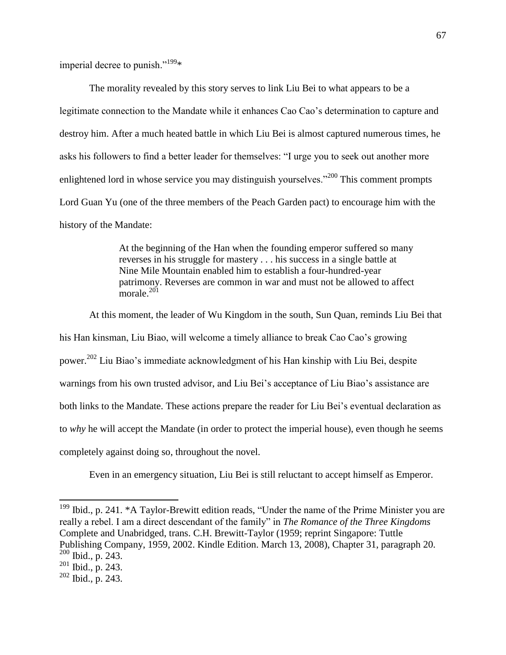imperial decree to punish." $199*$ 

The morality revealed by this story serves to link Liu Bei to what appears to be a legitimate connection to the Mandate while it enhances Cao Cao's determination to capture and destroy him. After a much heated battle in which Liu Bei is almost captured numerous times, he asks his followers to find a better leader for themselves: "I urge you to seek out another more enlightened lord in whose service you may distinguish yourselves."<sup>200</sup> This comment prompts Lord Guan Yu (one of the three members of the Peach Garden pact) to encourage him with the history of the Mandate:

> At the beginning of the Han when the founding emperor suffered so many reverses in his struggle for mastery . . . his success in a single battle at Nine Mile Mountain enabled him to establish a four-hundred-year patrimony. Reverses are common in war and must not be allowed to affect morale. $201$

At this moment, the leader of Wu Kingdom in the south, Sun Quan, reminds Liu Bei that his Han kinsman, Liu Biao, will welcome a timely alliance to break Cao Cao's growing power.<sup>202</sup> Liu Biao's immediate acknowledgment of his Han kinship with Liu Bei, despite warnings from his own trusted advisor, and Liu Bei's acceptance of Liu Biao's assistance are both links to the Mandate. These actions prepare the reader for Liu Bei's eventual declaration as to *why* he will accept the Mandate (in order to protect the imperial house), even though he seems completely against doing so, throughout the novel.

Even in an emergency situation, Liu Bei is still reluctant to accept himself as Emperor.

 $199$  Ibid., p. 241. \*A Taylor-Brewitt edition reads, "Under the name of the Prime Minister you are really a rebel. I am a direct descendant of the family" in *The Romance of the Three Kingdoms* Complete and Unabridged, trans. C.H. Brewitt-Taylor (1959; reprint Singapore: Tuttle Publishing Company, 1959, 2002. Kindle Edition. March 13, 2008), Chapter 31, paragraph 20.  $200$  Ibid., p. 243.

 $201$  Ibid., p. 243.

 $202$  Ibid., p. 243.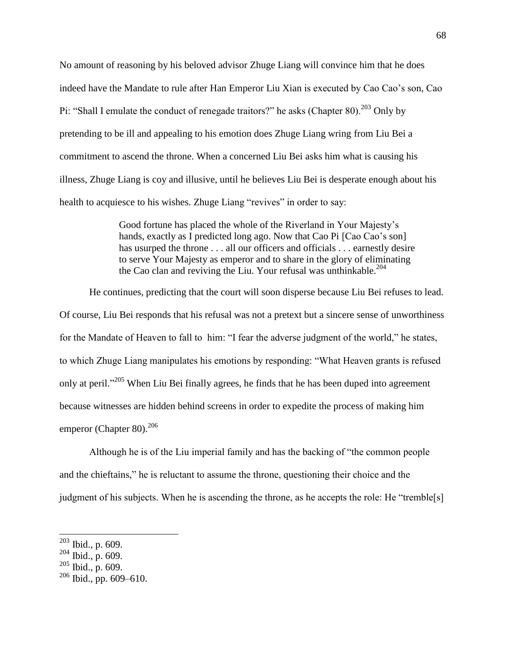No amount of reasoning by his beloved advisor Zhuge Liang will convince him that he does indeed have the Mandate to rule after Han Emperor Liu Xian is executed by Cao Cao's son, Cao Pi: "Shall I emulate the conduct of renegade traitors?" he asks (Chapter 80). $^{203}$  Only by pretending to be ill and appealing to his emotion does Zhuge Liang wring from Liu Bei a commitment to ascend the throne. When a concerned Liu Bei asks him what is causing his illness, Zhuge Liang is coy and illusive, until he believes Liu Bei is desperate enough about his health to acquiesce to his wishes. Zhuge Liang "revives" in order to say:

> Good fortune has placed the whole of the Riverland in Your Majesty's hands, exactly as I predicted long ago. Now that Cao Pi [Cao Cao's son] has usurped the throne . . . all our officers and officials . . . earnestly desire to serve Your Majesty as emperor and to share in the glory of eliminating the Cao clan and reviving the Liu. Your refusal was unthinkable.<sup>204</sup>

He continues, predicting that the court will soon disperse because Liu Bei refuses to lead. Of course, Liu Bei responds that his refusal was not a pretext but a sincere sense of unworthiness for the Mandate of Heaven to fall to him: "I fear the adverse judgment of the world," he states, to which Zhuge Liang manipulates his emotions by responding: "What Heaven grants is refused only at peril."<sup>205</sup> When Liu Bei finally agrees, he finds that he has been duped into agreement because witnesses are hidden behind screens in order to expedite the process of making him emperor (Chapter 80). $^{206}$ 

Although he is of the Liu imperial family and has the backing of "the common people and the chieftains," he is reluctant to assume the throne, questioning their choice and the judgment of his subjects. When he is ascending the throne, as he accepts the role: He "tremble[s]

l

 $203$  Ibid., p. 609.

 $204$  Ibid., p. 609.

 $205$  Ibid., p. 609.

 $206$  Ibid., pp. 609–610.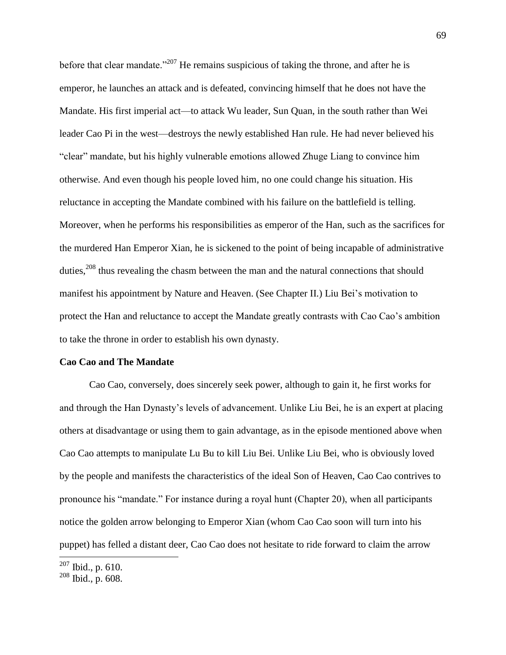before that clear mandate."<sup>207</sup> He remains suspicious of taking the throne, and after he is emperor, he launches an attack and is defeated, convincing himself that he does not have the Mandate. His first imperial act—to attack Wu leader, Sun Quan, in the south rather than Wei leader Cao Pi in the west—destroys the newly established Han rule. He had never believed his "clear" mandate, but his highly vulnerable emotions allowed Zhuge Liang to convince him otherwise. And even though his people loved him, no one could change his situation. His reluctance in accepting the Mandate combined with his failure on the battlefield is telling. Moreover, when he performs his responsibilities as emperor of the Han, such as the sacrifices for the murdered Han Emperor Xian, he is sickened to the point of being incapable of administrative duties,<sup>208</sup> thus revealing the chasm between the man and the natural connections that should manifest his appointment by Nature and Heaven. (See Chapter II.) Liu Bei's motivation to protect the Han and reluctance to accept the Mandate greatly contrasts with Cao Cao's ambition to take the throne in order to establish his own dynasty.

## **Cao Cao and The Mandate**

Cao Cao, conversely, does sincerely seek power, although to gain it, he first works for and through the Han Dynasty's levels of advancement. Unlike Liu Bei, he is an expert at placing others at disadvantage or using them to gain advantage, as in the episode mentioned above when Cao Cao attempts to manipulate Lu Bu to kill Liu Bei. Unlike Liu Bei, who is obviously loved by the people and manifests the characteristics of the ideal Son of Heaven, Cao Cao contrives to pronounce his "mandate." For instance during a royal hunt (Chapter 20), when all participants notice the golden arrow belonging to Emperor Xian (whom Cao Cao soon will turn into his puppet) has felled a distant deer, Cao Cao does not hesitate to ride forward to claim the arrow

 $207$  Ibid., p. 610.

<sup>208</sup> Ibid., p. 608.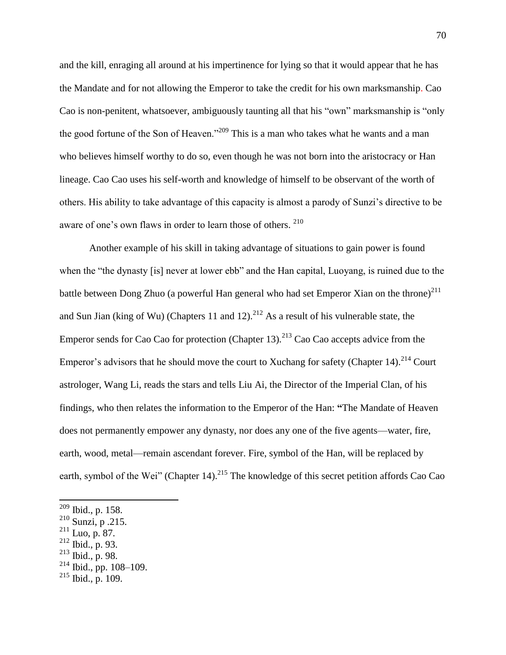and the kill, enraging all around at his impertinence for lying so that it would appear that he has the Mandate and for not allowing the Emperor to take the credit for his own marksmanship. Cao Cao is non-penitent, whatsoever, ambiguously taunting all that his "own" marksmanship is "only the good fortune of the Son of Heaven."<sup>209</sup> This is a man who takes what he wants and a man who believes himself worthy to do so, even though he was not born into the aristocracy or Han lineage. Cao Cao uses his self-worth and knowledge of himself to be observant of the worth of others. His ability to take advantage of this capacity is almost a parody of Sunzi's directive to be aware of one's own flaws in order to learn those of others. <sup>210</sup>

Another example of his skill in taking advantage of situations to gain power is found when the "the dynasty [is] never at lower ebb" and the Han capital, Luoyang, is ruined due to the battle between Dong Zhuo (a powerful Han general who had set Emperor Xian on the throne)<sup>211</sup> and Sun Jian (king of Wu) (Chapters 11 and 12).<sup>212</sup> As a result of his vulnerable state, the Emperor sends for Cao Cao for protection (Chapter 13).<sup>213</sup> Cao Cao accepts advice from the Emperor's advisors that he should move the court to Xuchang for safety (Chapter 14).<sup>214</sup> Court astrologer, Wang Li, reads the stars and tells Liu Ai, the Director of the Imperial Clan, of his findings, who then relates the information to the Emperor of the Han: **"**The Mandate of Heaven does not permanently empower any dynasty, nor does any one of the five agents—water, fire, earth, wood, metal—remain ascendant forever. Fire, symbol of the Han, will be replaced by earth, symbol of the Wei" (Chapter 14).<sup>215</sup> The knowledge of this secret petition affords Cao Cao

- $213$  Ibid., p. 98.
- $214$  Ibid., pp. 108-109.

 $209$  Ibid., p. 158.

<sup>210</sup> Sunzi, p .215.

 $211$  Luo, p. 87.

<sup>212</sup> Ibid., p. 93.

 $215$  Ibid., p. 109.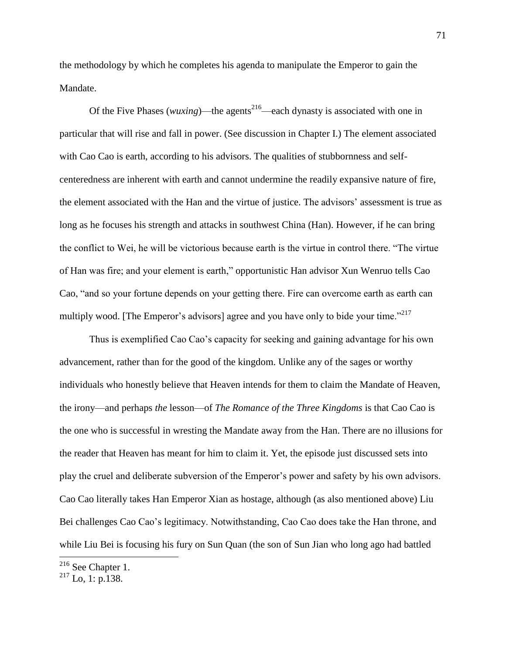the methodology by which he completes his agenda to manipulate the Emperor to gain the Mandate.

Of the Five Phases (*wuxing*)—the agents<sup>216</sup>—each dynasty is associated with one in particular that will rise and fall in power. (See discussion in Chapter I.) The element associated with Cao Cao is earth, according to his advisors. The qualities of stubbornness and selfcenteredness are inherent with earth and cannot undermine the readily expansive nature of fire, the element associated with the Han and the virtue of justice. The advisors' assessment is true as long as he focuses his strength and attacks in southwest China (Han). However, if he can bring the conflict to Wei, he will be victorious because earth is the virtue in control there. "The virtue of Han was fire; and your element is earth," opportunistic Han advisor Xun Wenruo tells Cao Cao, "and so your fortune depends on your getting there. Fire can overcome earth as earth can multiply wood. [The Emperor's advisors] agree and you have only to bide your time."<sup>217</sup>

Thus is exemplified Cao Cao's capacity for seeking and gaining advantage for his own advancement, rather than for the good of the kingdom. Unlike any of the sages or worthy individuals who honestly believe that Heaven intends for them to claim the Mandate of Heaven, the irony—and perhaps *the* lesson—of *The Romance of the Three Kingdoms* is that Cao Cao is the one who is successful in wresting the Mandate away from the Han. There are no illusions for the reader that Heaven has meant for him to claim it. Yet, the episode just discussed sets into play the cruel and deliberate subversion of the Emperor's power and safety by his own advisors. Cao Cao literally takes Han Emperor Xian as hostage, although (as also mentioned above) Liu Bei challenges Cao Cao's legitimacy. Notwithstanding, Cao Cao does take the Han throne, and while Liu Bei is focusing his fury on Sun Quan (the son of Sun Jian who long ago had battled

 $216$  See Chapter 1.

 $2^{17}$  Lo, 1: p.138.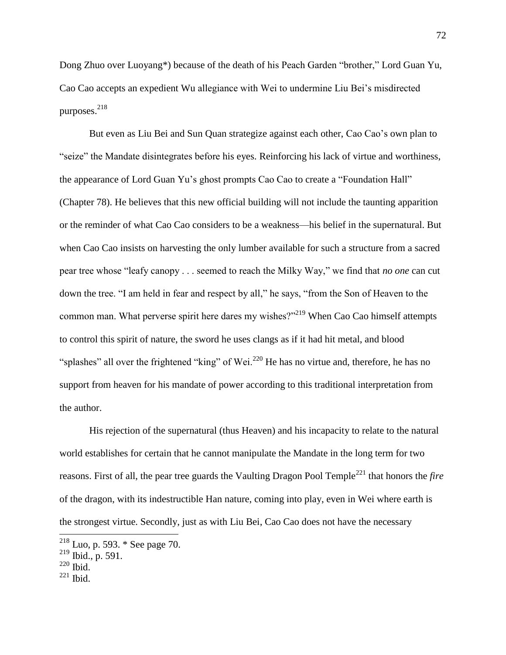Dong Zhuo over Luoyang\*) because of the death of his Peach Garden "brother," Lord Guan Yu, Cao Cao accepts an expedient Wu allegiance with Wei to undermine Liu Bei's misdirected purposes. $^{218}$ 

But even as Liu Bei and Sun Quan strategize against each other, Cao Cao's own plan to "seize" the Mandate disintegrates before his eyes. Reinforcing his lack of virtue and worthiness, the appearance of Lord Guan Yu's ghost prompts Cao Cao to create a "Foundation Hall" (Chapter 78). He believes that this new official building will not include the taunting apparition or the reminder of what Cao Cao considers to be a weakness—his belief in the supernatural. But when Cao Cao insists on harvesting the only lumber available for such a structure from a sacred pear tree whose "leafy canopy . . . seemed to reach the Milky Way," we find that *no one* can cut down the tree. "I am held in fear and respect by all," he says, "from the Son of Heaven to the common man. What perverse spirit here dares my wishes?"<sup>219</sup> When Cao Cao himself attempts to control this spirit of nature, the sword he uses clangs as if it had hit metal, and blood "splashes" all over the frightened "king" of Wei.<sup>220</sup> He has no virtue and, therefore, he has no support from heaven for his mandate of power according to this traditional interpretation from the author.

His rejection of the supernatural (thus Heaven) and his incapacity to relate to the natural world establishes for certain that he cannot manipulate the Mandate in the long term for two reasons. First of all, the pear tree guards the Vaulting Dragon Pool Temple<sup>221</sup> that honors the *fire* of the dragon, with its indestructible Han nature, coming into play, even in Wei where earth is the strongest virtue. Secondly, just as with Liu Bei, Cao Cao does not have the necessary

l

 $^{218}$  Luo, p. 593.  $*$  See page 70.

 $^{219}$  Ibid., p. 591.

 $220$  Ibid.

 $221$  Ibid.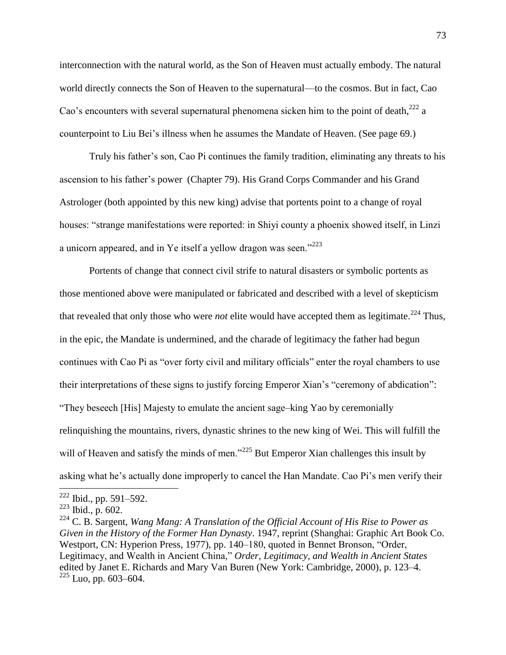interconnection with the natural world, as the Son of Heaven must actually embody. The natural world directly connects the Son of Heaven to the supernatural—to the cosmos. But in fact, Cao Cao's encounters with several supernatural phenomena sicken him to the point of death, $^{222}$  a counterpoint to Liu Bei's illness when he assumes the Mandate of Heaven. (See page 69.)

Truly his father's son, Cao Pi continues the family tradition, eliminating any threats to his ascension to his father's power (Chapter 79). His Grand Corps Commander and his Grand Astrologer (both appointed by this new king) advise that portents point to a change of royal houses: "strange manifestations were reported: in Shiyi county a phoenix showed itself, in Linzi a unicorn appeared, and in Ye itself a yellow dragon was seen."<sup>223</sup>

Portents of change that connect civil strife to natural disasters or symbolic portents as those mentioned above were manipulated or fabricated and described with a level of skepticism that revealed that only those who were *not* elite would have accepted them as legitimate.<sup>224</sup> Thus, in the epic, the Mandate is undermined, and the charade of legitimacy the father had begun continues with Cao Pi as "over forty civil and military officials" enter the royal chambers to use their interpretations of these signs to justify forcing Emperor Xian's "ceremony of abdication": "They beseech [His] Majesty to emulate the ancient sage-king Yao by ceremonially relinquishing the mountains, rivers, dynastic shrines to the new king of Wei. This will fulfill the will of Heaven and satisfy the minds of men."<sup>225</sup> But Emperor Xian challenges this insult by asking what he's actually done improperly to cancel the Han Mandate. Cao Pi's men verify their

 $222$  Ibid., pp. 591–592.

 $223$  Ibid., p. 602.

<sup>224</sup> C. B. Sargent, *Wang Mang: A Translation of the Official Account of His Rise to Power as Given in the History of the Former Han Dynasty*. 1947, reprint (Shanghai: Graphic Art Book Co. Westport, CN: Hyperion Press, 1977), pp. 140–180, quoted in Bennet Bronson, "Order, Legitimacy, and Wealth in Ancient China," *Order, Legitimacy, and Wealth in Ancient States* edited by Janet E. Richards and Mary Van Buren (New York: Cambridge, 2000), p. 123–4.  $225$  Luo, pp. 603–604.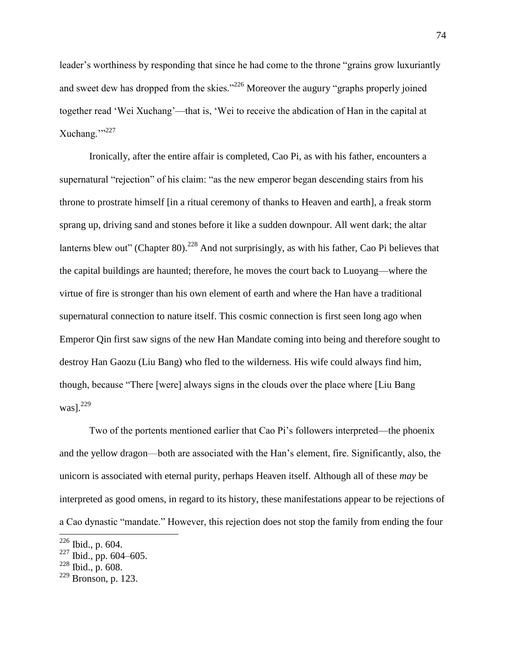leader's worthiness by responding that since he had come to the throne "grains grow luxuriantly and sweet dew has dropped from the skies."<sup>226</sup> Moreover the augury "graphs properly joined together read 'Wei Xuchang'—that is, 'Wei to receive the abdication of Han in the capital at Xuchang."<sup>227</sup>

Ironically, after the entire affair is completed, Cao Pi, as with his father, encounters a supernatural "rejection" of his claim: "as the new emperor began descending stairs from his throne to prostrate himself [in a ritual ceremony of thanks to Heaven and earth], a freak storm sprang up, driving sand and stones before it like a sudden downpour. All went dark; the altar lanterns blew out" (Chapter 80).<sup>228</sup> And not surprisingly, as with his father, Cao Pi believes that the capital buildings are haunted; therefore, he moves the court back to Luoyang—where the virtue of fire is stronger than his own element of earth and where the Han have a traditional supernatural connection to nature itself. This cosmic connection is first seen long ago when Emperor Qin first saw signs of the new Han Mandate coming into being and therefore sought to destroy Han Gaozu (Liu Bang) who fled to the wilderness. His wife could always find him, though, because "There [were] always signs in the clouds over the place where [Liu Bang was $l.^{229}$ 

Two of the portents mentioned earlier that Cao Pi's followers interpreted—the phoenix and the yellow dragon—both are associated with the Han's element, fire. Significantly, also, the unicorn is associated with eternal purity, perhaps Heaven itself. Although all of these *may* be interpreted as good omens, in regard to its history, these manifestations appear to be rejections of a Cao dynastic "mandate." However, this rejection does not stop the family from ending the four

l

 $226$  Ibid., p. 604.

 $^{227}$  Ibid., pp. 604–605.

 $228$  Ibid., p. 608.

 $229$  Bronson, p. 123.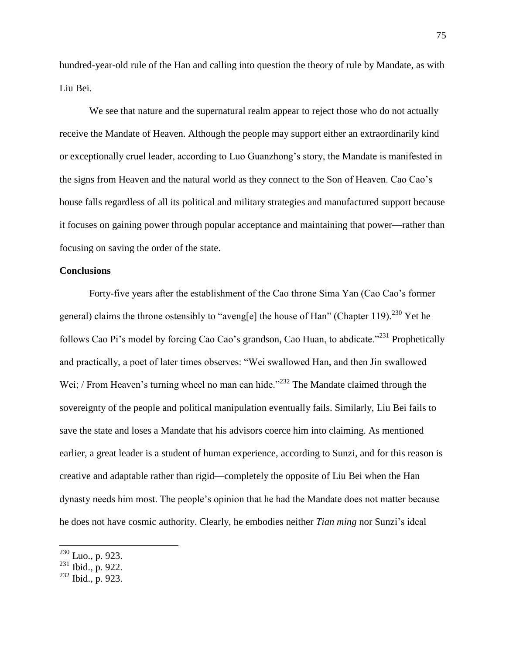hundred-year-old rule of the Han and calling into question the theory of rule by Mandate, as with Liu Bei.

We see that nature and the supernatural realm appear to reject those who do not actually receive the Mandate of Heaven. Although the people may support either an extraordinarily kind or exceptionally cruel leader, according to Luo Guanzhong's story, the Mandate is manifested in the signs from Heaven and the natural world as they connect to the Son of Heaven. Cao Cao's house falls regardless of all its political and military strategies and manufactured support because it focuses on gaining power through popular acceptance and maintaining that power—rather than focusing on saving the order of the state.

## **Conclusions**

Forty-five years after the establishment of the Cao throne Sima Yan (Cao Cao's former general) claims the throne ostensibly to "aveng[e] the house of Han" (Chapter 119).<sup>230</sup> Yet he follows Cao Pi's model by forcing Cao Cao's grandson, Cao Huan, to abdicate."<sup>231</sup> Prophetically and practically, a poet of later times observes: "Wei swallowed Han, and then Jin swallowed Wei; / From Heaven's turning wheel no man can hide."<sup>232</sup> The Mandate claimed through the sovereignty of the people and political manipulation eventually fails. Similarly, Liu Bei fails to save the state and loses a Mandate that his advisors coerce him into claiming. As mentioned earlier, a great leader is a student of human experience, according to Sunzi, and for this reason is creative and adaptable rather than rigid—completely the opposite of Liu Bei when the Han dynasty needs him most. The people's opinion that he had the Mandate does not matter because he does not have cosmic authority. Clearly, he embodies neither *Tian ming* nor Sunzi's ideal

 $\overline{a}$ 

 $^{230}$  Luo., p. 923.

 $^{231}$  Ibid., p. 922.

 $232$  Ibid., p. 923.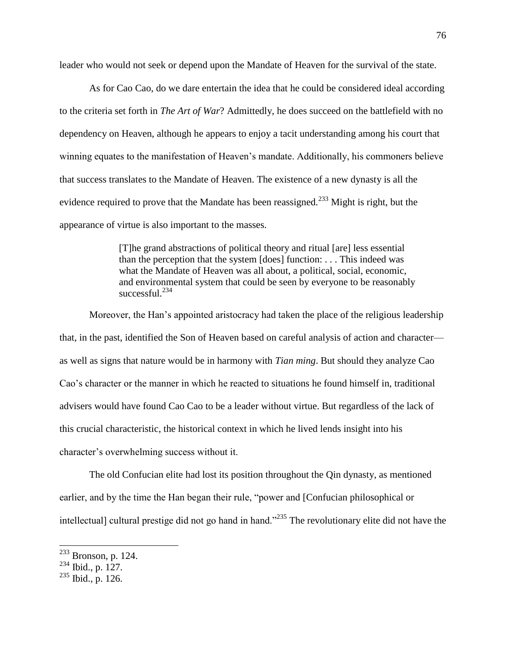leader who would not seek or depend upon the Mandate of Heaven for the survival of the state.

As for Cao Cao, do we dare entertain the idea that he could be considered ideal according to the criteria set forth in *The Art of War*? Admittedly, he does succeed on the battlefield with no dependency on Heaven, although he appears to enjoy a tacit understanding among his court that winning equates to the manifestation of Heaven's mandate. Additionally, his commoners believe that success translates to the Mandate of Heaven. The existence of a new dynasty is all the evidence required to prove that the Mandate has been reassigned.<sup>233</sup> Might is right, but the appearance of virtue is also important to the masses.

> [T]he grand abstractions of political theory and ritual [are] less essential than the perception that the system [does] function: . . . This indeed was what the Mandate of Heaven was all about, a political, social, economic, and environmental system that could be seen by everyone to be reasonably  $\frac{\text{successful}}{234}$

Moreover, the Han's appointed aristocracy had taken the place of the religious leadership that, in the past, identified the Son of Heaven based on careful analysis of action and character as well as signs that nature would be in harmony with *Tian ming*. But should they analyze Cao Cao's character or the manner in which he reacted to situations he found himself in, traditional advisers would have found Cao Cao to be a leader without virtue. But regardless of the lack of this crucial characteristic, the historical context in which he lived lends insight into his character's overwhelming success without it.

The old Confucian elite had lost its position throughout the Qin dynasty, as mentioned earlier, and by the time the Han began their rule, "power and [Confucian philosophical or intellectual] cultural prestige did not go hand in hand."<sup>235</sup> The revolutionary elite did not have the

 $\overline{a}$ 

 $233$  Bronson, p. 124.

 $^{234}$  Ibid., p. 127.

 $235$  Ibid., p. 126.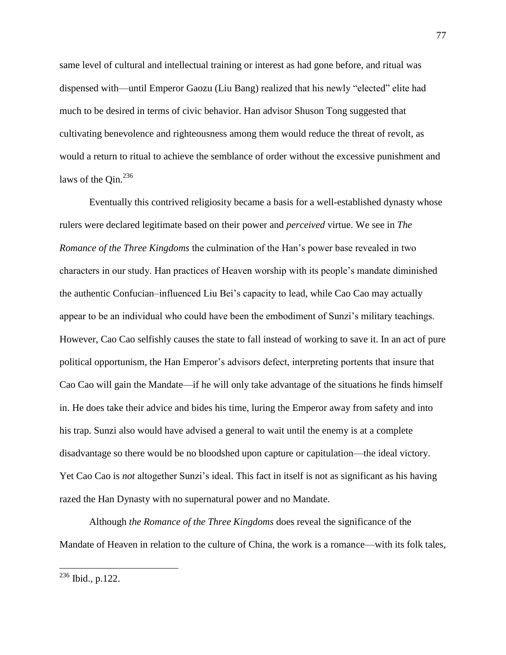same level of cultural and intellectual training or interest as had gone before, and ritual was dispensed with—until Emperor Gaozu (Liu Bang) realized that his newly "elected" elite had much to be desired in terms of civic behavior. Han advisor Shuson Tong suggested that cultivating benevolence and righteousness among them would reduce the threat of revolt, as would a return to ritual to achieve the semblance of order without the excessive punishment and laws of the Oin.<sup>236</sup>

Eventually this contrived religiosity became a basis for a well-established dynasty whose rulers were declared legitimate based on their power and *perceived* virtue. We see in *The Romance of the Three Kingdoms* the culmination of the Han's power base revealed in two characters in our study. Han practices of Heaven worship with its people's mandate diminished the authentic Confucian–influenced Liu Bei's capacity to lead, while Cao Cao may actually appear to be an individual who could have been the embodiment of Sunzi's military teachings. However, Cao Cao selfishly causes the state to fall instead of working to save it. In an act of pure political opportunism, the Han Emperor's advisors defect, interpreting portents that insure that Cao Cao will gain the Mandate—if he will only take advantage of the situations he finds himself in. He does take their advice and bides his time, luring the Emperor away from safety and into his trap. Sunzi also would have advised a general to wait until the enemy is at a complete disadvantage so there would be no bloodshed upon capture or capitulation—the ideal victory. Yet Cao Cao is *not* altogether Sunzi's ideal. This fact in itself is not as significant as his having razed the Han Dynasty with no supernatural power and no Mandate.

Although *the Romance of the Three Kingdoms* does reveal the significance of the Mandate of Heaven in relation to the culture of China, the work is a romance—with its folk tales,

 $236$  Ibid., p.122.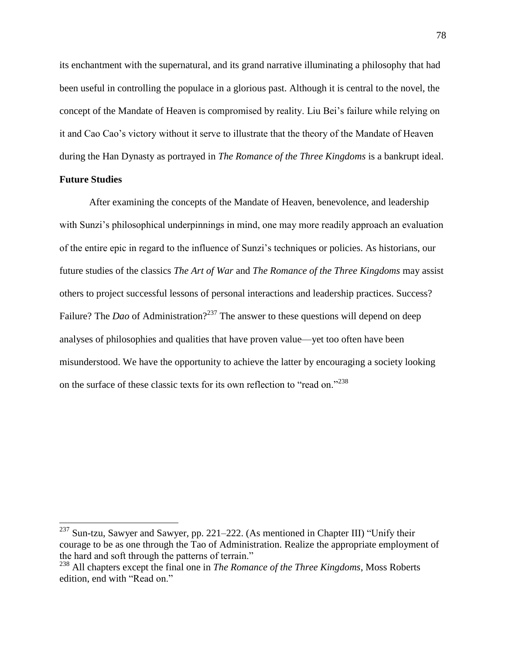its enchantment with the supernatural, and its grand narrative illuminating a philosophy that had been useful in controlling the populace in a glorious past. Although it is central to the novel, the concept of the Mandate of Heaven is compromised by reality. Liu Bei's failure while relying on it and Cao Cao's victory without it serve to illustrate that the theory of the Mandate of Heaven during the Han Dynasty as portrayed in *The Romance of the Three Kingdoms* is a bankrupt ideal.

# **Future Studies**

 $\overline{\phantom{a}}$ 

After examining the concepts of the Mandate of Heaven, benevolence, and leadership with Sunzi's philosophical underpinnings in mind, one may more readily approach an evaluation of the entire epic in regard to the influence of Sunzi's techniques or policies. As historians, our future studies of the classics *The Art of War* and *The Romance of the Three Kingdoms* may assist others to project successful lessons of personal interactions and leadership practices. Success? Failure? The *Dao* of Administration?<sup>237</sup> The answer to these questions will depend on deep analyses of philosophies and qualities that have proven value—yet too often have been misunderstood. We have the opportunity to achieve the latter by encouraging a society looking on the surface of these classic texts for its own reflection to "read on."<sup>238</sup>

 $237$  Sun-tzu, Sawyer and Sawyer, pp. 221–222. (As mentioned in Chapter III) "Unify their courage to be as one through the Tao of Administration. Realize the appropriate employment of the hard and soft through the patterns of terrain."

<sup>238</sup> All chapters except the final one in *The Romance of the Three Kingdoms*, Moss Roberts edition, end with "Read on."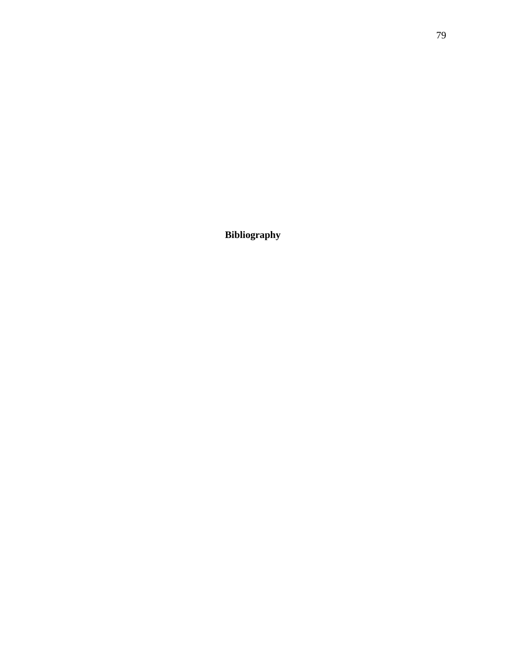**Bibliography**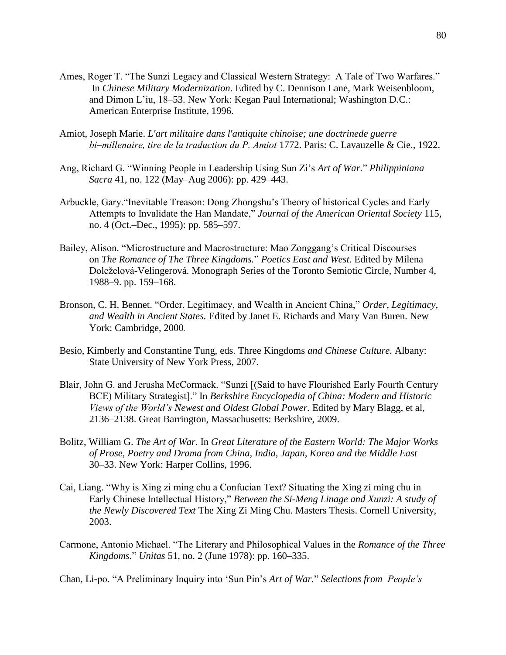- Ames, Roger T. "The Sunzi Legacy and Classical Western Strategy: A Tale of Two Warfares." In *Chinese Military Modernization.* Edited by C. Dennison Lane, Mark Weisenbloom, and Dimon L'iu, 18–53. New York: Kegan Paul International; Washington D.C.: American Enterprise Institute, 1996.
- Amiot, Joseph Marie. *L'art militaire dans l'antiquite chinoise; une doctrinede guerre bi‒millenaire, tire de la traduction du P. Amiot* 1772. Paris: C. Lavauzelle & Cie., 1922.
- Ang, Richard G. "Winning People in Leadership Using Sun Zi's *Art of War*." *Philippiniana Sacra* 41, no. 122 (May–Aug 2006): pp. 429–443.
- Arbuckle, Gary."Inevitable Treason: Dong Zhongshu's Theory of historical Cycles and Early Attempts to Invalidate the Han Mandate," *Journal of the American Oriental Society* 115, no. 4 (Oct.–Dec., 1995): pp. 585–597.
- Bailey, Alison. "Microstructure and Macrostructure: Mao Zonggang's Critical Discourses on *The Romance of The Three Kingdoms.*" *Poetics East and West.* Edited by Milena Doleželová-Velingerová. Monograph Series of the Toronto Semiotic Circle, Number 4, 1988–9. pp. 159–168.
- Bronson, C. H. Bennet. "Order, Legitimacy, and Wealth in Ancient China," *Order, Legitimacy, and Wealth in Ancient States.* Edited by Janet E. Richards and Mary Van Buren. New York: Cambridge, 2000.
- Besio, Kimberly and Constantine Tung, eds. Three Kingdoms *and Chinese Culture.* Albany: State University of New York Press, 2007.
- Blair, John G. and Jerusha McCormack. "Sunzi [(Said to have Flourished Early Fourth Century BCE) Military Strategist]." In *Berkshire Encyclopedia of China: Modern and Historic Views of the World's Newest and Oldest Global Power.* Edited by Mary Blagg, et al, 2136‒2138. Great Barrington, Massachusetts: Berkshire, 2009.
- Bolitz, William G. *The Art of War.* In *Great Literature of the Eastern World: The Major Works of Prose, Poetry and Drama from China, India, Japan, Korea and the Middle East* 30‒33. New York: Harper Collins, 1996.
- Cai, Liang. "Why is Xing zi ming chu a Confucian Text? Situating the Xing zi ming chu in Early Chinese Intellectual History," *Between the Si-Meng Linage and Xunzi: A study of the Newly Discovered Text* The Xing Zi Ming Chu. Masters Thesis. Cornell University, 2003.
- Carmone, Antonio Michael. "The Literary and Philosophical Values in the *Romance of the Three Kingdoms.*" *Unitas* 51, no. 2 (June 1978): pp. 160‒335.

Chan, Li-po. "A Preliminary Inquiry into 'Sun Pin's *Art of War.*" *Selections from People's*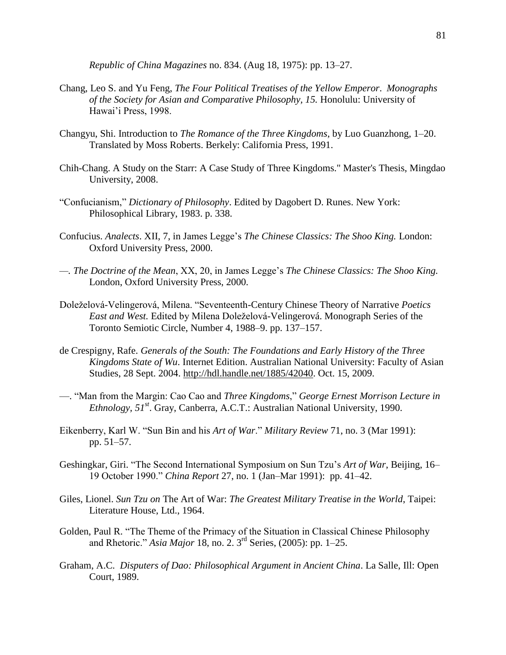*Republic of China Magazines* no. 834. (Aug 18, 1975): pp. 13‒27.

- Chang, Leo S. and Yu Feng, *The Four Political Treatises of the Yellow Emperor*. *Monographs of the Society for Asian and Comparative Philosophy, 15.* Honolulu: University of Hawai'i Press, 1998.
- Changyu, Shi. Introduction to *The Romance of the Three Kingdoms*, by Luo Guanzhong, 1‒20. Translated by Moss Roberts. Berkely: California Press, 1991.
- Chih-Chang. A Study on the Starr: A Case Study of Three Kingdoms." Master's Thesis, Mingdao University, 2008.
- "Confucianism," *Dictionary of Philosophy*. Edited by Dagobert D. Runes. New York: Philosophical Library, 1983. p. 338.
- Confucius. *Analects*. XII, 7, in James Legge's *The Chinese Classics: The Shoo King.* London: Oxford University Press, 2000.
- *—. The Doctrine of the Mean*, XX, 20, in James Legge's *The Chinese Classics: The Shoo King.* London, Oxford University Press, 2000.
- Doleželová-Velingerová, Milena. "Seventeenth-Century Chinese Theory of Narrative *Poetics East and West.* Edited by Milena Doleželová-Velingerová. Monograph Series of the Toronto Semiotic Circle, Number 4, 1988–9. pp. 137–157.
- de Crespigny, Rafe. *Generals of the South: The Foundations and Early History of the Three Kingdoms State of Wu*. Internet Edition. Australian National University: Faculty of Asian Studies, 28 Sept. 2004. [http://hdl.handle.net/1885/42040.](http://hdl.handle.net/1885/42040) Oct. 15, 2009.
- —. "Man from the Margin: Cao Cao and *Three Kingdoms*," *George Ernest Morrison Lecture in Ethnology, 51 st*. Gray, Canberra, A.C.T.: Australian National University, 1990.
- Eikenberry, Karl W. "Sun Bin and his *Art of War*." *Military Review* 71, no. 3 (Mar 1991): pp. 51–57.
- Geshingkar, Giri. "The Second International Symposium on Sun Tzu's *Art of War*, Beijing, 16– 19 October 1990." *China Report* 27, no. 1 (Jan–Mar 1991): pp. 41–42.
- Giles, Lionel. *Sun Tzu on* The Art of War: *The Greatest Military Treatise in the World*, Taipei: Literature House, Ltd., 1964.
- Golden, Paul R. "The Theme of the Primacy of the Situation in Classical Chinese Philosophy and Rhetoric." *Asia Major* 18, no. 2. 3rd Series, (2005): pp. 1‒25.
- Graham, A.C. *Disputers of Dao: Philosophical Argument in Ancient China*. La Salle, Ill: Open Court, 1989.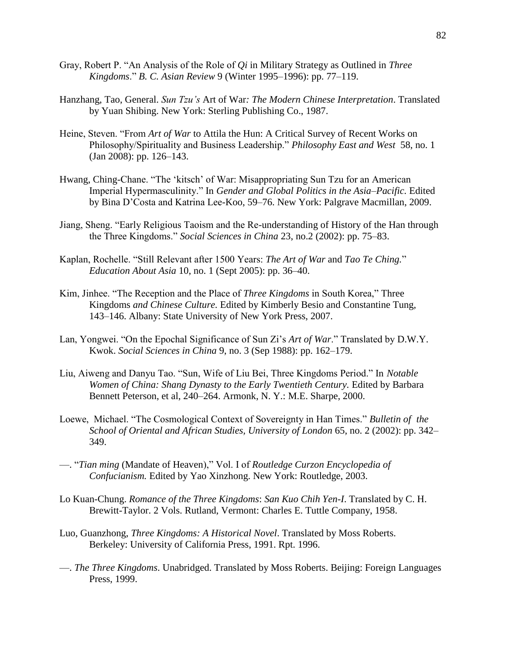- Gray, Robert P. "An Analysis of the Role of *Qi* in Military Strategy as Outlined in *Three Kingdoms.*" *B. C. Asian Review* 9 (Winter 1995–1996): pp. 77–119.
- Hanzhang, Tao, General. *Sun Tzu's* Art of War*: The Modern Chinese Interpretation*. Translated by Yuan Shibing. New York: Sterling Publishing Co., 1987.
- Heine, Steven. "From *Art of War* to Attila the Hun: A Critical Survey of Recent Works on Philosophy/Spirituality and Business Leadership." *Philosophy East and West* 58, no. 1  $(Jan 2008)$ : pp. 126–143.
- Hwang, Ching-Chane. "The 'kitsch' of War: Misappropriating Sun Tzu for an American Imperial Hypermasculinity." In *Gender and Global Politics in the Asia–Pacific*. Edited by Bina D'Costa and Katrina Lee-Koo, 59–76. New York: Palgrave Macmillan, 2009.
- Jiang, Sheng. "Early Religious Taoism and the Re-understanding of History of the Han through the Three Kingdoms." *Social Sciences in China* 23, no.2 (2002): pp. 75‒83.
- Kaplan, Rochelle. "Still Relevant after 1500 Years: *The Art of War* and *Tao Te Ching.*" *Education About Asia* 10, no. 1 (Sept 2005): pp. 36–40.
- Kim, Jinhee. "The Reception and the Place of *Three Kingdoms* in South Korea," Three Kingdoms *and Chinese Culture.* Edited by Kimberly Besio and Constantine Tung, 143‒146. Albany: State University of New York Press, 2007.
- Lan, Yongwei. "On the Epochal Significance of Sun Zi's *Art of War*." Translated by D.W.Y. Kwok. *Social Sciences in China* 9, no. 3 (Sep 1988): pp. 162–179.
- Liu, Aiweng and Danyu Tao. "Sun, Wife of Liu Bei, Three Kingdoms Period." In *Notable Women of China: Shang Dynasty to the Early Twentieth Century.* Edited by Barbara Bennett Peterson, et al, 240–264. Armonk, N. Y.: M.E. Sharpe, 2000.
- Loewe, Michael. "The Cosmological Context of Sovereignty in Han Times." *Bulletin of the School of Oriental and African Studies, University of London* 65, no. 2 (2002): pp. 342– 349.
- —. "*Tian ming* (Mandate of Heaven)," Vol. I of *Routledge Curzon Encyclopedia of Confucianism.* Edited by Yao Xinzhong. New York: Routledge, 2003.
- Lo Kuan-Chung. *Romance of the Three Kingdoms*: *San Kuo Chih Yen-I*. Translated by C. H. Brewitt-Taylor. 2 Vols. Rutland, Vermont: Charles E. Tuttle Company, 1958.
- Luo, Guanzhong, *Three Kingdoms: A Historical Novel*. Translated by Moss Roberts. Berkeley: University of California Press, 1991. Rpt. 1996.
- —. *The Three Kingdoms*. Unabridged. Translated by Moss Roberts. Beijing: Foreign Languages Press, 1999.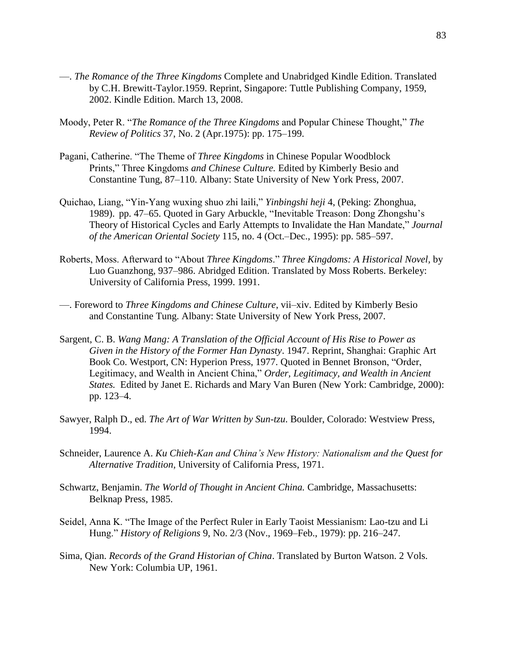- —. *The Romance of the Three Kingdoms* Complete and Unabridged Kindle Edition. Translated by C.H. Brewitt-Taylor.1959. Reprint, Singapore: Tuttle Publishing Company, 1959, 2002. Kindle Edition. March 13, 2008.
- Moody, Peter R. "*The Romance of the Three Kingdoms* and Popular Chinese Thought," *The Review of Politics* 37, No. 2 (Apr. 1975): pp. 175–199.
- Pagani, Catherine. "The Theme of *Three Kingdoms* in Chinese Popular Woodblock Prints," Three Kingdoms *and Chinese Culture.* Edited by Kimberly Besio and Constantine Tung, 87–110. Albany: State University of New York Press, 2007.
- Quichao, Liang, "Yin-Yang wuxing shuo zhi laili," *Yinbingshi heji* 4, (Peking: Zhonghua, 1989). pp. 47–65. Quoted in Gary Arbuckle, "Inevitable Treason: Dong Zhongshu's Theory of Historical Cycles and Early Attempts to Invalidate the Han Mandate," *Journal of the American Oriental Society* 115, no. 4 (Oct.–Dec., 1995): pp. 585–597.
- Roberts, Moss. Afterward to "About *Three Kingdoms*." *Three Kingdoms: A Historical Novel,* by Luo Guanzhong, 937–986. Abridged Edition. Translated by Moss Roberts. Berkeley: University of California Press, 1999. 1991.
- —. Foreword to *Three Kingdoms and Chinese Culture*, vii–xiv. Edited by Kimberly Besio and Constantine Tung. Albany: State University of New York Press, 2007.
- Sargent, C. B. *Wang Mang: A Translation of the Official Account of His Rise to Power as Given in the History of the Former Han Dynasty*. 1947. Reprint, Shanghai: Graphic Art Book Co. Westport, CN: Hyperion Press, 1977. Quoted in Bennet Bronson, "Order, Legitimacy, and Wealth in Ancient China," *Order, Legitimacy, and Wealth in Ancient States.* Edited by Janet E. Richards and Mary Van Buren (New York: Cambridge, 2000): pp. 123‒4.
- Sawyer, Ralph D., ed. *The Art of War Written by Sun-tzu*. Boulder, Colorado: Westview Press, 1994.
- Schneider, Laurence A. *Ku Chieh-Kan and China's New History: Nationalism and the Quest for Alternative Tradition*, University of California Press, 1971.
- Schwartz, Benjamin. *The World of Thought in Ancient China.* Cambridge, Massachusetts: Belknap Press, 1985.
- Seidel, Anna K. "The Image of the Perfect Ruler in Early Taoist Messianism: Lao-tzu and Li Hung." *History of Religions* 9, No. 2/3 (Nov., 1969‒Feb., 1979): pp. 216‒247.
- Sima, Qian. *Records of the Grand Historian of China*. Translated by Burton Watson. 2 Vols. New York: Columbia UP, 1961.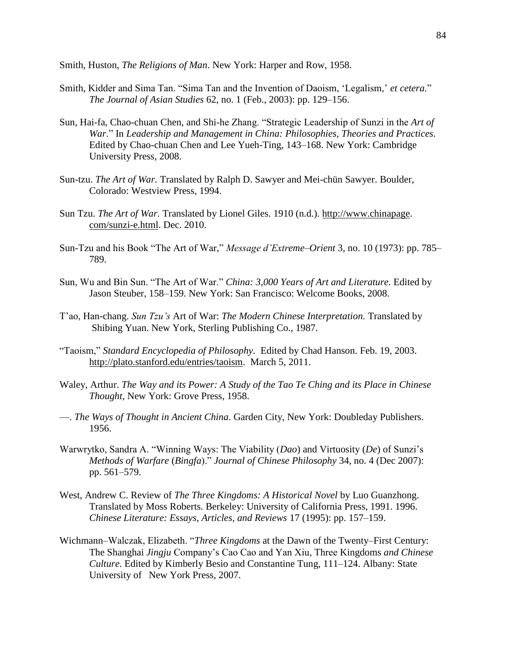Smith, Huston, *The Religions of Man*. New York: Harper and Row, 1958.

- Smith, Kidder and Sima Tan. "Sima Tan and the Invention of Daoism, 'Legalism,' *et cetera.*" *The Journal of Asian Studies* 62, no. 1 (Feb., 2003): pp. 129‒156.
- Sun, Hai-fa, Chao-chuan Chen, and Shi-he Zhang. "Strategic Leadership of Sunzi in the *Art of War*." In *Leadership and Management in China: Philosophies, Theories and Practices.* Edited by Chao-chuan Chen and Lee Yueh-Ting, 143–168. New York: Cambridge University Press, 2008.
- Sun-tzu. *The Art of War.* Translated by Ralph D. Sawyer and Mei-chün Sawyer. Boulder, Colorado: Westview Press, 1994.
- Sun Tzu. *The Art of War.* Translated by Lionel Giles. 1910 (n.d.). [http://www.chinapage.](http://www.chinapage/) com/sunzi-e.html. Dec. 2010.
- Sun-Tzu and his Book "The Art of War," *Message d'Extreme-Orient* 3, no. 10 (1973): pp. 785– 789.
- Sun, Wu and Bin Sun. "The Art of War." *China: 3,000 Years of Art and Literature.* Edited by Jason Steuber, 158-159. New York: San Francisco: Welcome Books, 2008.
- T'ao, Han-chang. *Sun Tzu's* Art of War: *The Modern Chinese Interpretation.* Translated by Shibing Yuan. New York, Sterling Publishing Co., 1987.
- "Taoism," *Standard Encyclopedia of Philosophy.* Edited by Chad Hanson. Feb. 19, 2003. [http://plato.stanford.edu/entries/taoism.](http://plato.stanford.edu/entries/taoism) March 5, 2011.
- Waley, Arthur. *The Way and its Power: A Study of the Tao Te Ching and its Place in Chinese Thought*, New York: Grove Press, 1958.
- —. *The Ways of Thought in Ancient China*. Garden City, New York: Doubleday Publishers. 1956.
- Warwrytko, Sandra A. "Winning Ways: The Viability (*Dao*) and Virtuosity (*De*) of Sunzi's *Methods of Warfare* (*Bingfa*)." *Journal of Chinese Philosophy* 34, no. 4 (Dec 2007): pp. 561–579.
- West, Andrew C. Review of *The Three Kingdoms: A Historical Novel* by Luo Guanzhong. Translated by Moss Roberts. Berkeley: University of California Press, 1991. 1996. *Chinese Literature: Essays, Articles, and Reviews* 17 (1995): pp. 157–159.
- Wichmann–Walczak, Elizabeth. "Three Kingdoms at the Dawn of the Twenty–First Century: The Shanghai *Jingju* Company's Cao Cao and Yan Xiu, Three Kingdoms *and Chinese Culture.* Edited by Kimberly Besio and Constantine Tung, 111–124. Albany: State University of New York Press, 2007.